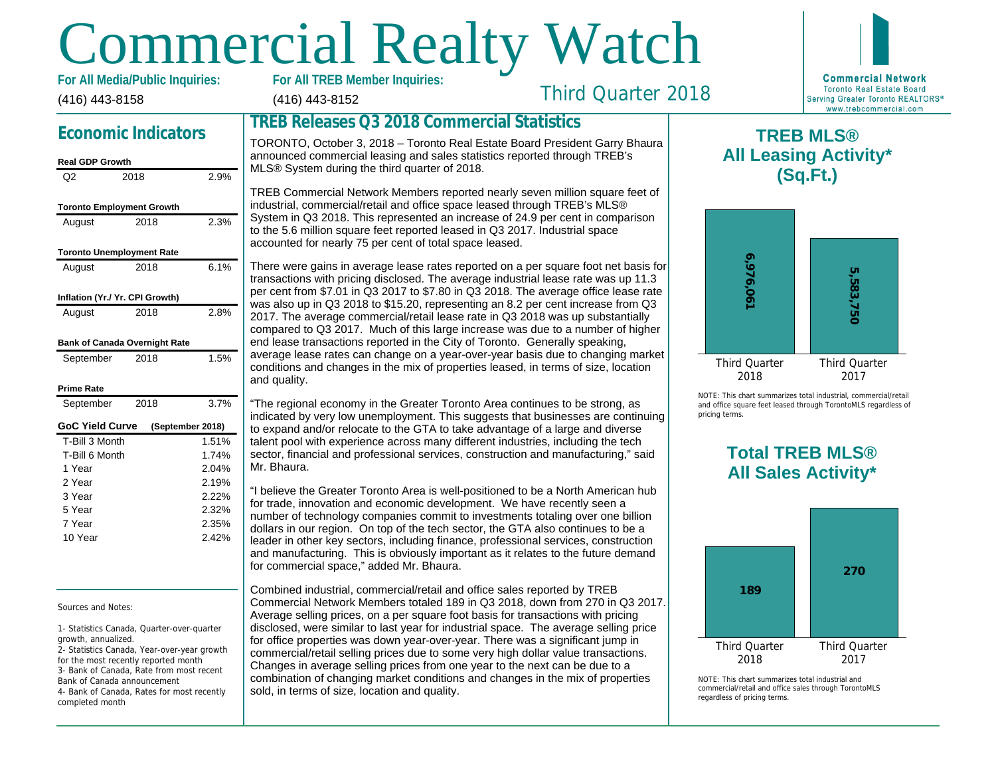# **OMMErcial Realty Watch**

(416) 443-8158 **For All Media/Public Inquiries:**

## Third Quarter 2018

## **Economic Indicators**

#### **Real GDP Growth**

| Q2                     | 2018                                 | 2.9%             |
|------------------------|--------------------------------------|------------------|
|                        | <b>Toronto Employment Growth</b>     |                  |
| August                 | 2018                                 | 2.3%             |
|                        | <b>Toronto Unemployment Rate</b>     |                  |
| August                 | 2018                                 | 6.1%             |
|                        | Inflation (Yr./ Yr. CPI Growth)      |                  |
| August                 | 2018                                 | 2.8%             |
|                        | <b>Bank of Canada Overnight Rate</b> |                  |
| September              | 2018                                 | 1.5%             |
| <b>Prime Rate</b>      |                                      |                  |
| September              | 2018                                 | 3.7%             |
| <b>GoC Yield Curve</b> |                                      | (September 2018) |
| T-Bill 3 Month         |                                      | 1.51%            |
| T-Bill 6 Month         |                                      | 1.74%            |
| 1 Year                 |                                      | 2.04%            |
| 2 Year                 |                                      | 2.19%            |
| 3 Year                 |                                      | 2.22%            |
| 5 Year                 |                                      | 2.32%            |
| 7 Year                 |                                      | 2.35%            |
| 10 Year                |                                      | 2.42%            |

Sources and Notes:

1- Statistics Canada, Quarter-over-quarter growth, annualized.

2- Statistics Canada, Year-over-year growth for the most recently reported month 3- Bank of Canada, Rate from most recent Bank of Canada announcement 4- Bank of Canada, Rates for most recently completed month

(416) 443-8152

## **TREB Releases Q3 2018 Commercial Statistics**

TORONTO, October 3, 2018 – Toronto Real Estate Board President Garry Bhaura announced commercial leasing and sales statistics reported through TREB's MLS® System during the third quarter of 2018.

TREB Commercial Network Members reported nearly seven million square feet of industrial, commercial/retail and office space leased through TREB's MLS® System in Q3 2018. This represented an increase of 24.9 per cent in comparison to the 5.6 million square feet reported leased in Q3 2017. Industrial space accounted for nearly 75 per cent of total space leased.

There were gains in average lease rates reported on a per square foot net basis for transactions with pricing disclosed. The average industrial lease rate was up 11.3 per cent from \$7.01 in Q3 2017 to \$7.80 in Q3 2018. The average office lease rate was also up in Q3 2018 to \$15.20, representing an 8.2 per cent increase from Q3 2017. The average commercial/retail lease rate in Q3 2018 was up substantially compared to Q3 2017. Much of this large increase was due to a number of higher end lease transactions reported in the City of Toronto. Generally speaking, average lease rates can change on a year-over-year basis due to changing market conditions and changes in the mix of properties leased, in terms of size, location and quality.

"The regional economy in the Greater Toronto Area continues to be strong, as indicated by very low unemployment. This suggests that businesses are continuing to expand and/or relocate to the GTA to take advantage of a large and diverse talent pool with experience across many different industries, including the tech sector, financial and professional services, construction and manufacturing," said Mr. Bhaura.

"I believe the Greater Toronto Area is well-positioned to be a North American hub for trade, innovation and economic development. We have recently seen a number of technology companies commit to investments totaling over one billion dollars in our region. On top of the tech sector, the GTA also continues to be a leader in other key sectors, including finance, professional services, construction and manufacturing. This is obviously important as it relates to the future demand for commercial space," added Mr. Bhaura.

Combined industrial, commercial/retail and office sales reported by TREB Commercial Network Members totaled 189 in Q3 2018, down from 270 in Q3 2017. Average selling prices, on a per square foot basis for transactions with pricing disclosed, were similar to last year for industrial space. The average selling price for office properties was down year-over-year. There was a significant jump in commercial/retail selling prices due to some very high dollar value transactions. Changes in average selling prices from one year to the next can be due to a combination of changing market conditions and changes in the mix of properties sold, in terms of size, location and quality.

**TREB MLS® All Leasing Activity\***



**Third Quar** 2018

NOTE: This chart sun and office square fee pricing terms.

## **Total TREB MLS® All Sa**

**189**

**Third Quar** 2018

 $NOTF: This chart sum$ commercial/retail and regardless of pricing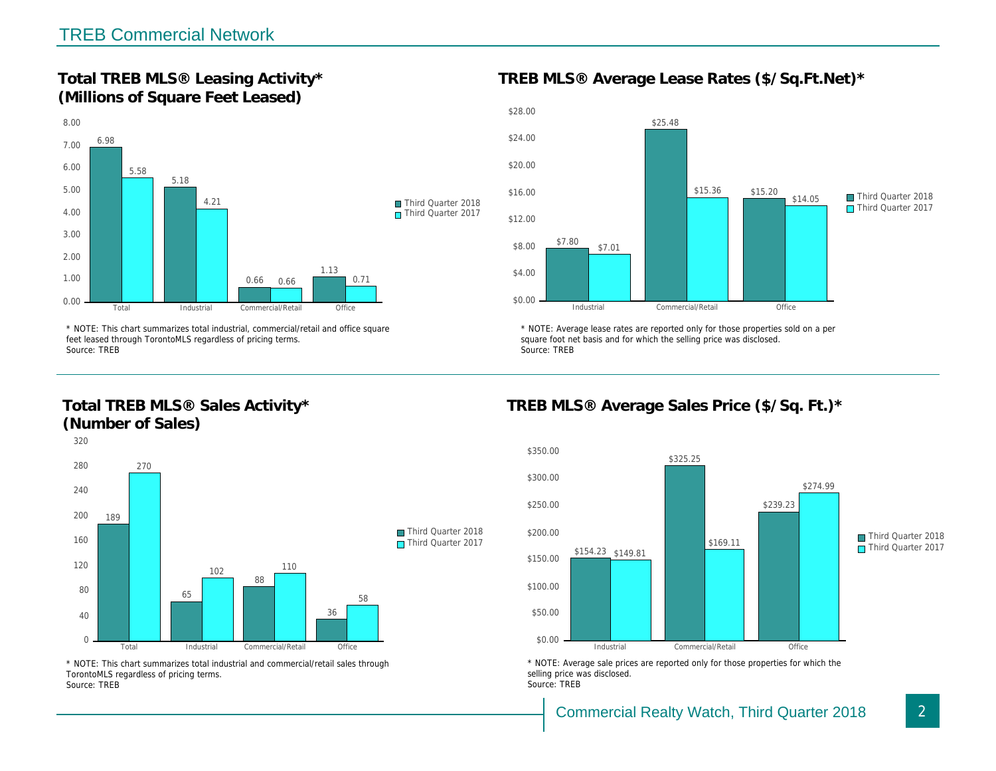Total TREB MLS® Leasing Activity\* (Millions of Square Feet Leased)

TREB MLS® Average Lease Rates (\$/So.

\* NOTE: This chart summarizes total industrial, commercial/retail and office square feet leased through TorontoMLS regardless of pricing terms. Source: TREB

Total TREB MLS® Sales Activity\* (Number of Sales)

\* NOTE: Average lease rates are reported only for those proper square foot net basis and for which the selling price was disclos Source: TREB

TREB MLS® Average Sales Price (\$/So.

\* NOTE: This chart summarizes total industrial and commercial/retail sales through TorontoMLS regardless of pricing terms. Source: TREB

\* NOTE: Average sale prices are reported only for those prope selling price was disclosed. Source: TREB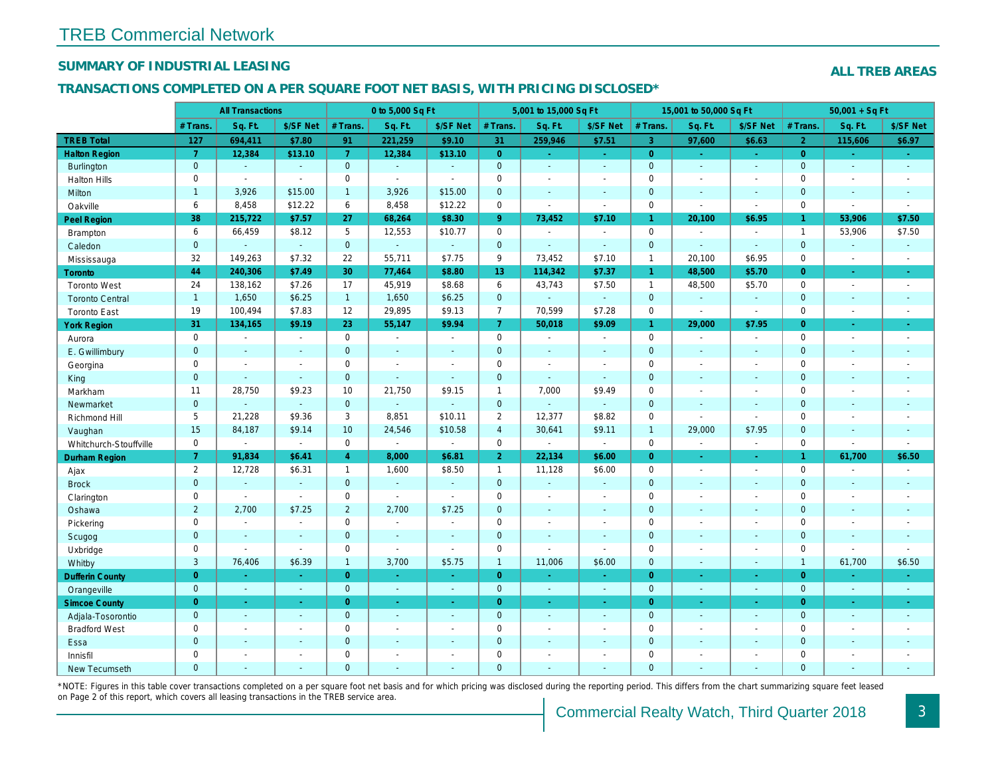## SUMMARY OF INDUSTRIAL LEASING

#### TRANSACTIONS COMPLETED ON A PER SQUARE FOOT NET BASIS, WITH PRICING DISCLOSED\*

| <b>All Transactions</b>                                 |                |                 | 0 to 5,000 Sq Ft |                |                | 5,001 to 15,000 Sq Ft |                                        |                | 15,001 to 50,000 Sq Ft |                  |
|---------------------------------------------------------|----------------|-----------------|------------------|----------------|----------------|-----------------------|----------------------------------------|----------------|------------------------|------------------|
| # Trans<br>Sq. Ft.                                      | \$/SF Net      | # Trans.        | Sq. Ft.          | \$/SF Net      | # Trans.       | Sq. Ft.               | \$/SF Net                              | # Trans.       | Sq. Ft.                | \$/SF Ne         |
| <b>TREB Total</b><br>694,411<br>127                     | \$7.80         | 91              | 221,259          | \$9.10         | 31             | 259,946               | \$7.51                                 | 3              | 97,600                 | \$6.63           |
| $\overline{7}$<br><b>Halton Region</b><br>12,384        | \$13.10        | $\overline{7}$  | 12,384           | \$13.10        | $\overline{0}$ | $\sim$                | $\frac{1}{2} \mathcal{L}_{\text{max}}$ | $\overline{0}$ | $\sim$                 | $\omega_{\rm c}$ |
| $\mathbf{0}$<br><b>Burlington</b><br>$\omega$           | $\omega$       | $\overline{0}$  | $\Delta$         | $\Delta$       | $\overline{0}$ | $\omega$              | $\omega$                               | $\mathbf{0}$   | $\omega$               | $\sim$           |
| $\mathbf 0$<br><b>Halton Hills</b><br>$\sim$            | $\blacksquare$ | 0               | $\sim$           | $\overline{a}$ | $\pmb{0}$      | $\blacksquare$        | $\blacksquare$                         | $\mathbf 0$    | $\blacksquare$         | $\blacksquare$   |
| $\mathbf{1}$<br>3,926<br>Milton                         | \$15.00        | $\mathbf{1}$    | 3,926            | \$15.00        | $\mathbf 0$    | $\mathbf{r}$          | $\mathbf{r}$                           | $\mathbf{0}$   | $\mathbf{r}$           | $\sim$           |
| 6<br>8,458<br>Oakville                                  | \$12.22        | 6               | 8,458            | \$12.22        | $\pmb{0}$      | $\blacksquare$        | $\blacksquare$                         | $\mathbf 0$    | $\blacksquare$         | $\blacksquare$   |
| 38<br>215,722<br><b>Peel Region</b>                     | \$7.57         | 27              | 68,264           | \$8.30         | 9 <sup>°</sup> | 73,452                | \$7.10                                 | $\mathbf{1}$   | 20,100                 | \$6.95           |
| 6<br>66,459<br>Brampton                                 | \$8.12         | 5               | 12,553           | \$10.77        | 0              | $\blacksquare$        | $\blacksquare$                         | $\mathbf 0$    | $\sim$                 | $\sim$           |
| $\overline{0}$<br>Caledon<br>$\omega$                   | $\omega$       | $\overline{0}$  | $\omega$         | $\sim$         | $\mathbf{0}$   | $\mathbf{r}$          | $\omega$                               | $\mathbf{0}$   | $\omega$               | $\sim$           |
| 32<br>149,263<br>Mississauga                            | \$7.32         | 22              | 55,711           | \$7.75         | 9              | 73,452                | \$7.10                                 | $\mathbf{1}$   | 20,100                 | \$6.95           |
| 44<br>240,306<br>Toronto                                | \$7.49         | 30              | 77,464           | \$8.80         | 13             | 114,342               | \$7.37                                 | $\mathbf{1}$   | 48,500                 | \$5.70           |
| 24<br><b>Toronto West</b><br>138,162                    | \$7.26         | 17              | 45,919           | \$8.68         | 6              | 43,743                | \$7.50                                 | $\mathbf{1}$   | 48,500                 | \$5.70           |
| $\mathbf{1}$<br>1,650<br><b>Toronto Central</b>         | \$6.25         | 1               | 1,650            | \$6.25         | $\mathbf 0$    | $\omega_{\rm c}$      | $\omega$                               | $\mathbf 0$    | a.                     | $\blacksquare$   |
| 19<br>100,494<br><b>Toronto East</b>                    | \$7.83         | 12              | 29,895           | \$9.13         | $\overline{7}$ | 70,599                | \$7.28                                 | $\mathbf 0$    | $\blacksquare$         | $\blacksquare$   |
| 31<br>134,165<br><b>York Region</b>                     | \$9.19         | 23              | 55,147           | \$9.94         | 7 <sup>1</sup> | 50,018                | \$9.09                                 | $\mathbf{1}$   | 29,000                 | \$7.95           |
| $\mathbf 0$<br>Aurora<br>$\sim$                         | $\blacksquare$ | $\mathbf 0$     | $\sim$           | $\blacksquare$ | 0              | $\sim$                | $\sim$                                 | $\mathbf 0$    | $\blacksquare$         | $\blacksquare$   |
| $\mathbf{0}$<br>E. Gwillimbury<br>$\blacksquare$        | $\blacksquare$ | $\mathbf{0}$    | $\sim$           | $\sim$         | $\pmb{0}$      | $\blacksquare$        | $\blacksquare$                         | $\mathbf 0$    | $\blacksquare$         | $\blacksquare$   |
| $\mathbf 0$<br>Georgina<br>$\sim$                       | $\blacksquare$ | $\mathbf 0$     | $\sim$           | $\overline{a}$ | $\mathbf 0$    | $\blacksquare$        | $\sim$                                 | $\mathbf 0$    | $\sim$                 | $\sim$           |
| $\mathbf 0$<br>King<br>$\sim$                           | $\omega$       | $\mathbf 0$     | $\omega$         | $\sim$         | $\mathbf 0$    | ä,                    | $\omega$                               | $\mathbf{0}$   | $\mathbf{r}$           | $\sim$           |
| 28,750<br>11<br>Markham                                 | \$9.23         | 10              | 21,750           | \$9.15         | $\mathbf{1}$   | 7,000                 | \$9.49                                 | $\mathbf 0$    | $\blacksquare$         | $\blacksquare$   |
| $\mathbf{0}$<br>Newmarket<br>$\blacksquare$             | $\omega$       | $\mathbf{0}$    | ä,               | $\blacksquare$ | $\pmb{0}$      | $\blacksquare$        | $\Box$                                 | $\mathbf{0}$   | $\blacksquare$         | $\blacksquare$   |
| 5<br>21,228<br>Richmond Hill                            | \$9.36         | 3               | 8,851            | \$10.11        | $\overline{2}$ | 12,377                | \$8.82                                 | $\mathbf 0$    | $\blacksquare$         | $\blacksquare$   |
| 15<br>84,187<br>Vaughan                                 | \$9.14         | 10 <sup>1</sup> | 24,546           | \$10.58        | $\overline{4}$ | 30,641                | \$9.11                                 | $\overline{1}$ | 29,000                 | \$7.95           |
| $\mathbf 0$<br>Whitchurch-Stouffville<br>$\blacksquare$ | $\blacksquare$ | $\mathbf 0$     | $\omega$         | $\sim$         | $\mathbf 0$    | $\blacksquare$        | $\sim$                                 | $\mathbf 0$    | $\sim$                 | $\sim$           |
| $\overline{7}$<br>91,834<br><b>Durham Region</b>        | \$6.41         | $\overline{4}$  | 8,000            | \$6.81         | $\overline{2}$ | 22,134                | \$6.00                                 | $\overline{0}$ | $\blacksquare$         | $\sim$           |
| $\overline{2}$<br>12,728<br>Ajax                        | \$6.31         | $\mathbf{1}$    | 1,600            | \$8.50         | $\mathbf{1}$   | 11,128                | \$6.00                                 | $\mathbf 0$    | $\blacksquare$         | $\sim$           |
| <b>Brock</b><br>$\mathbf{0}$<br>$\sim$                  | $\sim$         | $\mathbf{0}$    | $\omega$         | $\sim$         | $\mathbf 0$    | $\omega$              | $\blacksquare$                         | $\mathbf 0$    | ٠                      | $\sim$           |
| $\mathbf 0$<br>Clarington<br>$\blacksquare$             | $\Delta$       | $\mathbf 0$     | $\mathbf{r}$     | $\mathbf{r}$   | $\pmb{0}$      | $\blacksquare$        | $\blacksquare$                         | $\mathbf 0$    | $\blacksquare$         | $\sim$           |
| $\overline{2}$<br>2,700<br>Oshawa                       | \$7.25         | $\overline{2}$  | 2,700            | \$7.25         | $\pmb{0}$      | $\blacksquare$        | $\blacksquare$                         | $\mathbf 0$    | $\blacksquare$         | $\blacksquare$   |
| $\mathbf 0$<br>Pickering<br>$\blacksquare$              | $\blacksquare$ | $\Omega$        | $\mathbf{r}$     | $\blacksquare$ | $\pmb{0}$      | $\blacksquare$        | $\sim$                                 | $\mathbf 0$    | $\blacksquare$         | $\blacksquare$   |
| $\mathbf{0}$<br>Scugog<br>$\blacksquare$                | $\blacksquare$ | $\mathbf{0}$    | $\sim$           | $\sim$         | $\mathbf 0$    | $\blacksquare$        | $\blacksquare$                         | $\mathbf{0}$   | $\blacksquare$         | $\blacksquare$   |
| $\mathbf 0$<br>Uxbridge<br>$\blacksquare$               | $\blacksquare$ | $\mathbf 0$     | $\blacksquare$   | $\sim$         | $\pmb{0}$      | $\blacksquare$        | $\blacksquare$                         | $\mathbf 0$    | $\blacksquare$         | $\blacksquare$   |
| 3<br>76,406<br>Whitby                                   | \$6.39         | $\mathbf{1}$    | 3,700            | \$5.75         | $\mathbf{1}$   | 11,006                | \$6.00                                 | $\mathbf{0}$   | $\blacksquare$         | $\sim$           |
| $\overline{0}$<br><b>Dufferin County</b><br>$\sim$      | $\Delta \tau$  | $\overline{0}$  | $\omega$         | ÷.             | $\overline{0}$ | $\blacksquare$        | ÷.                                     | $\overline{0}$ | $\omega$               | $\omega$         |
| $\mathbf{0}$<br>Orangeville<br>$\omega$                 | $\sim$         | $\mathbf{0}$    | $\omega$         | $\sim$         | $\mathbf{0}$   | ◆                     | $\sim$                                 | $\mathbf{0}$   | $\omega$               | $\sim$           |
| $\overline{0}$<br><b>Simcoe County</b><br>$\omega$      | ÷.             | $\overline{0}$  | $\omega$         | $\omega$       | $\overline{0}$ | ä,                    | ÷.                                     | $\overline{0}$ | ä,                     | $\omega_{\rm c}$ |
| $\mathbf{0}$<br>Adjala-Tosorontio<br>$\sim$             | $\blacksquare$ | $\mathbf{0}$    | $\sim$           | $\sim$         | $\mathbf 0$    | $\omega$              | $\sim$                                 | $\mathbf{0}$   | $\omega$               | $\sim$           |
| $\mathsf 0$<br><b>Bradford West</b><br>$\blacksquare$   | $\omega$       | $\mathbf 0$     | $\sim$           | $\blacksquare$ | $\pmb{0}$      | $\overline{a}$        | $\overline{a}$                         | $\mathbf 0$    | $\overline{a}$         | $\blacksquare$   |
| $\overline{0}$<br>Essa<br>$\sim$                        | $\sim$         | $\mathbf{0}$    | $\sim$           | $\sim$         | $\mathbf 0$    | $\blacksquare$        | $\blacksquare$                         | $\mathbf{0}$   | $\blacksquare$         | $\blacksquare$   |
| $\mathbf 0$<br>Innisfil<br>$\blacksquare$               | $\blacksquare$ | $\mathbf 0$     | $\overline{a}$   |                | $\pmb{0}$      | $\blacksquare$        | $\blacksquare$                         | $\mathsf 0$    | $\blacksquare$         | $\blacksquare$   |
| $\overline{0}$<br>New Tecumseth<br>$\sim$               | $\sim$         | $\mathbf{0}$    | $\mathbf{r}$     | $\sim$         | $\mathbf{0}$   | $\blacksquare$        | ÷.                                     | $\mathbf{0}$   | $\blacksquare$         | $\sim$           |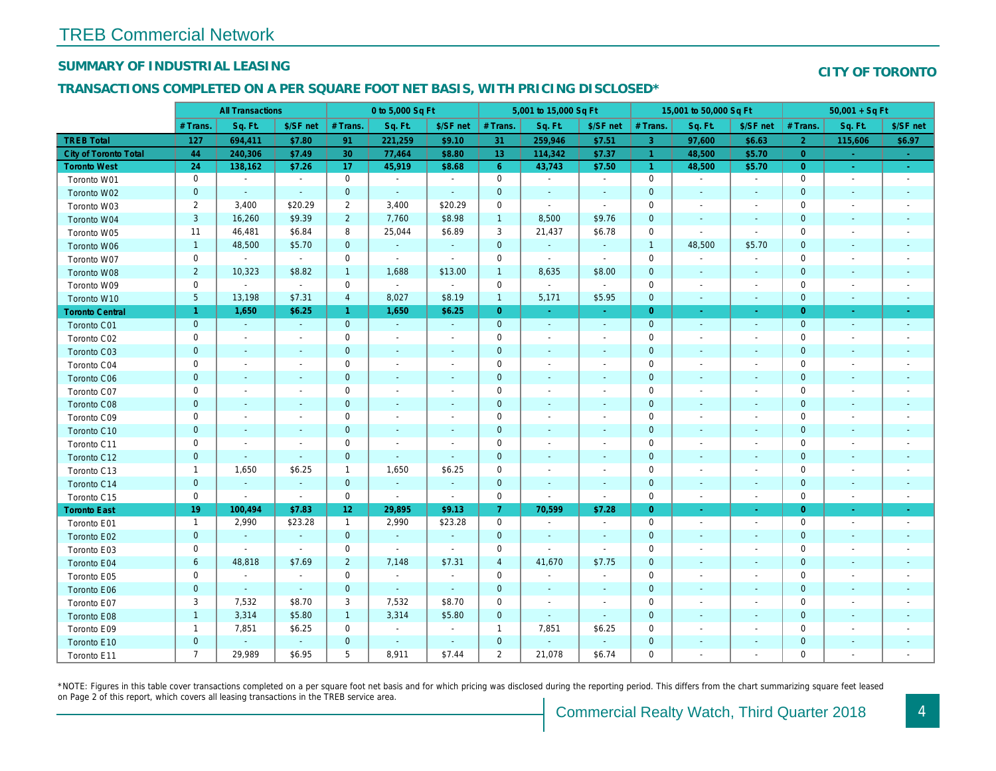## SUMMARY OF INDUSTRIAL LEASING

#### TRANSACTIONS COMPLETED ON A PER SQUARE FOOT NET BASIS, WITH PRICING DISCLOSED\*

|                        | <b>All Transactions</b> |                          | 0 to 5,000 Sq Ft         |                 |                          | 5,001 to 15,000 Sq Ft    |                     |                          |                          | 15,001 to 50,000 Sq Ft |                          |                          |  |
|------------------------|-------------------------|--------------------------|--------------------------|-----------------|--------------------------|--------------------------|---------------------|--------------------------|--------------------------|------------------------|--------------------------|--------------------------|--|
|                        | # Trans.                | Sq. Ft.                  | \$/SF net                | # Trans.        | Sq. Ft.                  | \$/SF net                | # Trans.            | Sq. Ft.                  | \$/SF net                | # Trans.               | Sq. Ft.                  | \$/SF ne                 |  |
| <b>TREB Total</b>      | 127                     | 694,411                  | \$7.80                   | 91              | 221,259                  | \$9.10                   | 31                  | 259,946                  | \$7.51                   | 3                      | 97,600                   | \$6.63                   |  |
| City of Toronto Total  | 44                      | 240,306                  | \$7.49                   | 30              | 77,464                   | \$8.80                   | 13 <sup>°</sup>     | 114,342                  | \$7.37                   | $\overline{1}$         | 48,500                   | \$5.70                   |  |
| <b>Toronto West</b>    | 24                      | 138,162                  | \$7.26                   | 17              | 45,919                   | \$8.68                   | $6^{\circ}$         | 43,743                   | \$7.50                   | $\overline{1}$         | 48,500                   | \$5.70                   |  |
| Toronto W01            | $\mathbf 0$             | $\blacksquare$           | $\sim$                   | $\mathbf 0$     | $\blacksquare$           | $\blacksquare$           | $\mathbf 0$         | $\blacksquare$           | $\blacksquare$           | $\mathbf 0$            | $\sim$                   | $\sim$                   |  |
| Toronto W02            | $\mathbf 0$             | $\sim$                   | $\blacksquare$           | $\mathbf 0$     | $\blacksquare$           | $\blacksquare$           | $\mathbf 0$         | $\sim$                   | $\blacksquare$           | 0                      | $\sim$                   | $\sim$                   |  |
| Toronto W03            | $\overline{2}$          | 3,400                    | \$20.29                  | $\overline{2}$  | 3,400                    | \$20.29                  | 0                   | $\blacksquare$           | $\blacksquare$           | 0                      | $\overline{\phantom{a}}$ | $\sim$                   |  |
| Toronto W04            | $\mathsf 3$             | 16,260                   | \$9.39                   | $\overline{2}$  | 7,760                    | \$8.98                   | $\mathbf{1}$        | 8,500                    | \$9.76                   | 0                      | $\overline{\phantom{a}}$ | $\sim$                   |  |
| Toronto W05            | 11                      | 46,481                   | \$6.84                   | 8               | 25,044                   | \$6.89                   | 3                   | 21,437                   | \$6.78                   | $\mathbf 0$            | $\overline{\phantom{a}}$ | $\overline{\phantom{a}}$ |  |
| Toronto W06            | $\mathbf{1}$            | 48,500                   | \$5.70                   | $\mathbf 0$     | $\omega$                 | $\blacksquare$           | $\mathbf 0$         | $\blacksquare$           | $\blacksquare$           | $\mathbf{1}$           | 48,500                   | \$5.70                   |  |
| Toronto W07            | $\mathsf 0$             | $\sim$                   | $\sim$                   | $\mathbf 0$     | $\blacksquare$           | $\sim$                   | $\mathbf 0$         | $\blacksquare$           | $\sim$                   | $\mathbf 0$            | $\overline{\phantom{a}}$ | $\sim$                   |  |
| Toronto W08            | $\overline{c}$          | 10,323                   | \$8.82                   | $\overline{1}$  | 1,688                    | \$13.00                  | $\overline{1}$      | 8,635                    | \$8.00                   | $\mathbf 0$            | $\blacksquare$           | $\sim$                   |  |
| Toronto W09            | $\mathbf 0$             | $\sim$                   | $\sim$                   | $\mathbf 0$     | $\omega$                 | $\blacksquare$           | $\mathsf{O}\xspace$ | $\blacksquare$           | $\blacksquare$           | 0                      | $\overline{\phantom{a}}$ | $\sim$                   |  |
| Toronto W10            | $\overline{5}$          | 13,198                   | \$7.31                   | $\overline{4}$  | 8,027                    | \$8.19                   | $\mathbf{1}$        | 5,171                    | \$5.95                   | $\mathbf 0$            | $\blacksquare$           | $\sim$                   |  |
| <b>Toronto Central</b> | $\mathbf{1}$            | 1,650                    | \$6.25                   | $\mathbf{1}$    | 1,650                    | \$6.25                   | $\overline{0}$      | $\sim$                   | $\sim$                   | $\overline{0}$         | $\sim$                   | $\sim$                   |  |
| Toronto C01            | $\pmb{0}$               | $\sim$                   | $\sim$                   | $\mathbf{0}$    | $\omega$                 | $\blacksquare$           | $\mathbf 0$         | $\omega$                 | $\blacksquare$           | $\mathbf{0}$           | $\blacksquare$           | $\sim$                   |  |
| Toronto C02            | $\mathbf 0$             | $\blacksquare$           | $\blacksquare$           | $\mathbf 0$     | $\overline{a}$           | $\overline{\phantom{a}}$ | $\mathbf 0$         | $\blacksquare$           | $\blacksquare$           | 0                      |                          | $\overline{\phantom{a}}$ |  |
| Toronto C03            | $\pmb{0}$               | $\blacksquare$           |                          | $\mathbf 0$     | $\blacksquare$           | $\blacksquare$           | $\mathbf 0$         | ٠                        |                          | 0                      | $\sim$                   | $\sim$                   |  |
| Toronto C04            | 0                       | $\overline{\phantom{a}}$ |                          | $\mathbf 0$     | $\overline{a}$           | $\overline{\phantom{a}}$ | 0                   | $\overline{\phantom{a}}$ | $\blacksquare$           | 0                      |                          | $\overline{\phantom{a}}$ |  |
| <b>Toronto C06</b>     | $\pmb{0}$               | $\blacksquare$           | $\overline{\phantom{a}}$ | $\mathbf 0$     | $\blacksquare$           | ٠                        | $\pmb{0}$           | $\blacksquare$           | $\overline{\phantom{a}}$ | 0                      | $\overline{\phantom{a}}$ | $\sim$                   |  |
| Toronto C07            | 0                       | $\blacksquare$           | $\sim$                   | $\mathbf 0$     | $\blacksquare$           | $\blacksquare$           | $\mathbf 0$         | $\blacksquare$           | $\sim$                   | 0                      |                          | $\overline{\phantom{a}}$ |  |
| Toronto C08            | $\mathbf 0$             | $\blacksquare$           | $\blacksquare$           | $\mathbf 0$     | $\blacksquare$           | $\blacksquare$           | $\mathbf 0$         | $\blacksquare$           | $\overline{a}$           | $\mathbf 0$            | $\sim$                   | $\overline{\phantom{a}}$ |  |
| Toronto C09            | 0                       | $\overline{\phantom{a}}$ | $\sim$                   | $\mathbf 0$     | $\blacksquare$           | $\blacksquare$           | $\mathbf 0$         | $\blacksquare$           | $\sim$                   | 0                      |                          | $\overline{\phantom{a}}$ |  |
| Toronto C10            | $\mathbf 0$             | $\blacksquare$           | $\blacksquare$           | $\mathbf 0$     | $\blacksquare$           | $\blacksquare$           | $\mathbf 0$         | $\blacksquare$           | $\blacksquare$           | $\mathbf 0$            | $\blacksquare$           | $\overline{\phantom{a}}$ |  |
| Toronto C11            | 0                       | $\blacksquare$           | $\sim$                   | $\mathbf 0$     | $\overline{a}$           | $\overline{\phantom{a}}$ | $\mathbf 0$         | $\blacksquare$           | $\blacksquare$           | 0                      |                          | $\overline{\phantom{a}}$ |  |
| Toronto C12            | $\pmb{0}$               | $\blacksquare$           | $\blacksquare$           | $\mathbf 0$     | $\blacksquare$           | $\blacksquare$           | 0                   | $\blacksquare$           | $\blacksquare$           | 0                      | $\overline{\phantom{a}}$ |                          |  |
| Toronto C13            | $\mathbf{1}$            | 1,650                    | \$6.25                   | $\mathbf{1}$    | 1,650                    | \$6.25                   | 0                   | $\blacksquare$           | $\blacksquare$           | 0                      |                          | $\overline{\phantom{a}}$ |  |
| Toronto C14            | $\pmb{0}$               | $\blacksquare$           | $\blacksquare$           | $\mathbf 0$     | $\blacksquare$           | $\blacksquare$           | $\mathbf 0$         | $\blacksquare$           | $\blacksquare$           | $\pmb{0}$              | $\blacksquare$           | $\overline{\phantom{a}}$ |  |
| Toronto C15            | $\mathbf 0$             | $\blacksquare$           | $\blacksquare$           | 0               | $\blacksquare$           | $\blacksquare$           | 0                   | $\blacksquare$           | $\blacksquare$           | 0                      | $\overline{\phantom{a}}$ | $\blacksquare$           |  |
| <b>Toronto East</b>    | 19                      | 100,494                  | \$7.83                   | 12 <sub>2</sub> | 29,895                   | \$9.13                   | 7                   | 70,599                   | \$7.28                   | $\mathbf{0}$           |                          | ÷                        |  |
| Toronto E01            | -1                      | 2,990                    | \$23.28                  | $\mathbf{1}$    | 2,990                    | \$23.28                  | 0                   | $\sim$                   | $\blacksquare$           | $\mathbf 0$            | $\overline{\phantom{a}}$ | $\sim$                   |  |
| Toronto E02            | $\mathbf 0$             | $\omega$                 | $\blacksquare$           | $\overline{0}$  | $\omega$                 | $\blacksquare$           | $\mathbf 0$         | $\sim$                   | $\blacksquare$           | $\mathbf 0$            | $\blacksquare$           | $\sim$                   |  |
| Toronto E03            | $\mathbf 0$             | $\sim$                   | $\sim$                   | $\mathbf 0$     | $\sim$                   | $\sim$                   | $\mathbf 0$         | $\blacksquare$           | $\sim$                   | $\mathbf 0$            |                          | $\overline{\phantom{a}}$ |  |
| Toronto E04            | 6                       | 48,818                   | \$7.69                   | $\overline{2}$  | 7,148                    | \$7.31                   | $\overline{4}$      | 41,670                   | \$7.75                   | $\mathbf 0$            |                          | $\blacksquare$           |  |
| Toronto E05            | $\mathbf 0$             | $\blacksquare$           | $\blacksquare$           | $\mathbf 0$     | $\sim$                   | $\blacksquare$           | $\mathbf 0$         | $\blacksquare$           | $\blacksquare$           | $\mathbf 0$            |                          |                          |  |
| Toronto E06            | $\pmb{0}$               | $\omega$                 | $\sim$                   | $\mathbf{0}$    | $\sim$                   | $\blacksquare$           | $\mathbf 0$         | $\blacksquare$           | $\blacksquare$           | $\mathbf 0$            | $\blacksquare$           | $\blacksquare$           |  |
| Toronto E07            | 3                       | 7,532                    | \$8.70                   | 3               | 7,532                    | \$8.70                   | $\mathbf 0$         | $\blacksquare$           | $\overline{\phantom{a}}$ | 0                      |                          | $\overline{\phantom{a}}$ |  |
| Toronto E08            | $\mathbf{1}$            | 3,314                    | \$5.80                   | $\mathbf{1}$    | 3,314                    | \$5.80                   | $\mathbf 0$         | $\blacksquare$           | $\blacksquare$           | $\pmb{0}$              |                          | $\blacksquare$           |  |
| Toronto E09            | 1                       | 7,851                    | \$6.25                   | 0               | $\overline{\phantom{a}}$ | $\overline{\phantom{a}}$ | $\mathbf{1}$        | 7,851                    | \$6.25                   | 0                      |                          |                          |  |
| Toronto E10            | $\mathbf 0$             | $\blacksquare$           | $\omega$                 | $\mathbf 0$     | $\omega$                 | $\blacksquare$           | $\mathbf 0$         | $\blacksquare$           | $\blacksquare$           | $\pmb{0}$              | $\blacksquare$           |                          |  |
| Toronto E11            | $\overline{7}$          | 29,989                   | \$6.95                   | 5               | 8,911                    | \$7.44                   | $\overline{2}$      | 21,078                   | \$6.74                   | 0                      |                          |                          |  |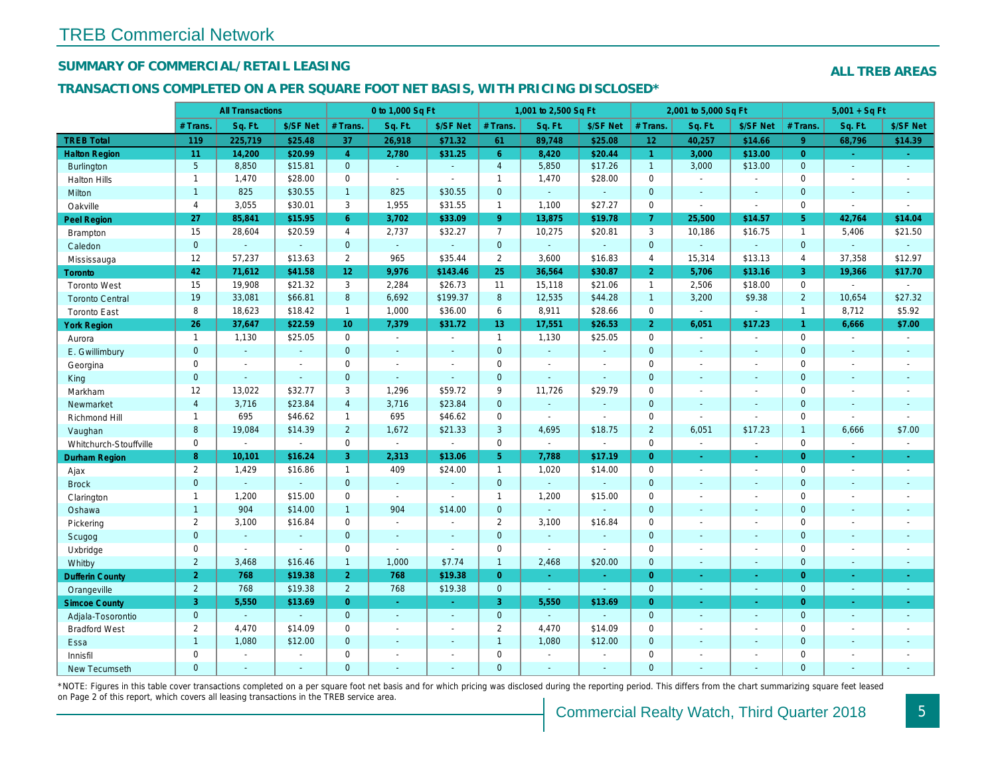## SUMMARY OF COMMERCIAL/RETAIL LEASING

#### TRANSACTIONS COMPLETED ON A PER SQUARE FOOT NET BASIS, WITH PRICING DISCLOSED\*

|                        |                 | <b>All Transactions</b> |                |                 | 0 to 1,000 Sq Ft |                          |                | 1,001 to 2,500 Sq Ft |                |                      | 2,001 to 5,000 Sq Ft |                          |
|------------------------|-----------------|-------------------------|----------------|-----------------|------------------|--------------------------|----------------|----------------------|----------------|----------------------|----------------------|--------------------------|
|                        | # Trans.        | Sq. Ft.                 | \$/SF Net      | # Trans.        | Sq. Ft.          | \$/SF Net                | # Trans.       | Sq. Ft.              | \$/SF Net      | # Trans.             | Sq. Ft.              | \$/SF Ne                 |
| <b>TREB Total</b>      | 119             | 225,719                 | \$25.48        | 37              | 26,918           | \$71.32                  | 61             | 89,748               | \$25.08        | 12 <sub>2</sub>      | 40,257               | \$14.66                  |
| <b>Halton Region</b>   | 11              | 14,200                  | \$20.99        | $\overline{4}$  | 2,780            | \$31.25                  | 6 <sup>°</sup> | 8,420                | \$20.44        | $\blacktriangleleft$ | 3,000                | \$13.00                  |
| <b>Burlington</b>      | $5\overline{)}$ | 8,850                   | \$15.81        | $\mathbf{0}$    | $\sim$           | $\Delta$                 | $\overline{4}$ | 5,850                | \$17.26        | $\mathbf{1}$         | 3,000                | \$13.00                  |
| <b>Halton Hills</b>    | $\mathbf{1}$    | 1,470                   | \$28.00        | $\Omega$        | $\sim$           | $\overline{\phantom{a}}$ | $\mathbf{1}$   | 1,470                | \$28.00        | $\mathbf 0$          | $\omega$             | $\blacksquare$           |
| Milton                 | $\mathbf{1}$    | 825                     | \$30.55        | $\mathbf{1}$    | 825              | \$30.55                  | $\mathbf 0$    | $\omega$             | $\omega$       | $\mathbf 0$          | $\omega$             | $\blacksquare$           |
| Oakville               | $\overline{4}$  | 3,055                   | \$30.01        | 3               | 1,955            | \$31.55                  | $\mathbf{1}$   | 1,100                | \$27.27        | $\mathbf 0$          | $\blacksquare$       | $\sim$                   |
| <b>Peel Region</b>     | 27              | 85,841                  | \$15.95        | 6               | 3,702            | \$33.09                  | 9 <sup>°</sup> | 13,875               | \$19.78        | $\overline{7}$       | 25,500               | \$14.57                  |
| <b>Brampton</b>        | 15              | 28,604                  | \$20.59        | $\overline{4}$  | 2,737            | \$32.27                  | $\overline{7}$ | 10,275               | \$20.81        | 3                    | 10,186               | \$16.75                  |
| Caledon                | $\mathbf{0}$    | $\omega$                | $\omega$       | $\mathbf{0}$    | $\omega$         | $\sim$                   | $\mathbf 0$    | $\omega$             | $\omega$       | $\mathbf 0$          | $\omega$             | $\blacksquare$           |
| Mississauga            | 12              | 57,237                  | \$13.63        | $\overline{2}$  | 965              | \$35.44                  | $\overline{2}$ | 3,600                | \$16.83        | $\overline{4}$       | 15,314               | \$13.13                  |
| <b>Toronto</b>         | 42              | 71,612                  | \$41.58        | 12 <sup>°</sup> | 9,976            | \$143.46                 | 25             | 36,564               | \$30.87        | 2                    | 5,706                | \$13.16                  |
| <b>Toronto West</b>    | 15              | 19,908                  | \$21.32        | 3               | 2,284            | \$26.73                  | 11             | 15,118               | \$21.06        | $\mathbf{1}$         | 2,506                | \$18.00                  |
| <b>Toronto Central</b> | 19              | 33,081                  | \$66.81        | 8               | 6,692            | \$199.37                 | 8              | 12,535               | \$44.28        | $\overline{1}$       | 3,200                | \$9.38                   |
| <b>Toronto East</b>    | 8               | 18,623                  | \$18.42        | $\mathbf{1}$    | 1,000            | \$36.00                  | 6              | 8,911                | \$28.66        | $\mathbf 0$          | $\blacksquare$       | $\blacksquare$           |
| <b>York Region</b>     | 26              | 37,647                  | \$22.59        | 10 <sup>°</sup> | 7,379            | \$31.72                  | 13             | 17,551               | \$26.53        | $\overline{2}$       | 6,051                | \$17.23                  |
| Aurora                 | $\mathbf{1}$    | 1,130                   | \$25.05        | $\mathbf 0$     | $\omega$         | $\blacksquare$           | $\mathbf{1}$   | 1,130                | \$25.05        | $\mathbf 0$          | $\blacksquare$       | $\sim$                   |
| E. Gwillimbury         | $\mathbf{0}$    | $\omega$                | $\omega$       | $\Omega$        | $\Delta$         | $\sim$                   | $\mathbf 0$    | $\omega$             | $\blacksquare$ | $\mathbf{0}$         | $\blacksquare$       | $\sim$                   |
| Georgina               | $\mathbf 0$     | $\blacksquare$          | $\blacksquare$ | $\mathbf 0$     | $\sim$           | ÷.                       | $\pmb{0}$      | $\blacksquare$       | $\sim$         | $\mathbf 0$          | $\blacksquare$       | $\blacksquare$           |
| King                   | $\mathbf{0}$    | $\omega$                | $\Delta$       | $\mathbf{0}$    | ÷.               | $\Delta$                 | $\mathbf 0$    | $\omega$             | $\omega$       | $\mathbf{0}$         | $\omega$             | $\blacksquare$           |
| Markham                | 12              | 13,022                  | \$32.77        | 3               | 1,296            | \$59.72                  | 9              | 11,726               | \$29.79        | $\mathbf 0$          | $\blacksquare$       | $\blacksquare$           |
| Newmarket              | $\overline{4}$  | 3,716                   | \$23.84        | $\overline{4}$  | 3,716            | \$23.84                  | $\mathbf{0}$   | $\omega$             | $\omega$       | $\mathbf{0}$         | $\blacksquare$       | $\blacksquare$           |
| Richmond Hill          | $\mathbf{1}$    | 695                     | \$46.62        | $\mathbf{1}$    | 695              | \$46.62                  | 0              | $\blacksquare$       | $\blacksquare$ | $\mathbf 0$          | $\sim$               | $\blacksquare$           |
| Vaughan                | 8               | 19,084                  | \$14.39        | $\overline{2}$  | 1,672            | \$21.33                  | 3              | 4,695                | \$18.75        | $\overline{2}$       | 6,051                | \$17.23                  |
| Whitchurch-Stouffville | $\mathbf 0$     | $\blacksquare$          | $\blacksquare$ | $\mathbf 0$     | $\omega$         | $\sim$                   | $\mathbf 0$    | $\omega$             | $\blacksquare$ | $\mathbf 0$          | $\omega$             | $\sim$                   |
| <b>Durham Region</b>   | 8               | 10,101                  | \$16.24        | 3               | 2,313            | \$13.06                  | 5 <sub>1</sub> | 7,788                | \$17.19        | $\overline{0}$       | $\omega$             | $\sigma$                 |
| Ajax                   | $\overline{2}$  | 1,429                   | \$16.86        | $\mathbf{1}$    | 409              | \$24.00                  | $\mathbf{1}$   | 1,020                | \$14.00        | $\mathbf 0$          | $\blacksquare$       | $\sim$                   |
| <b>Brock</b>           | $\overline{0}$  | $\blacksquare$          | $\Delta$       | $\mathbf{0}$    | $\omega$         | $\sim$                   | $\mathbf{0}$   | $\omega_{\rm c}$     | $\blacksquare$ | $\mathbf 0$          | $\omega$             | $\sim$                   |
| Clarington             | $\mathbf{1}$    | 1,200                   | \$15.00        | $\mathbf 0$     | $\sim$           | $\sim$                   | $\mathbf{1}$   | 1,200                | \$15.00        | $\mathbf 0$          | $\overline{a}$       | $\sim$                   |
| Oshawa                 | $\mathbf{1}$    | 904                     | \$14.00        | $\mathbf{1}$    | 904              | \$14.00                  | $\mathbf 0$    | $\mathbf{r}$         | ä,             | $\mathbf{0}$         | $\omega$             | $\sim$                   |
| Pickering              | $\overline{2}$  | 3,100                   | \$16.84        | $\mathbf 0$     | $\sim$           | ÷.                       | $\overline{2}$ | 3,100                | \$16.84        | $\mathbf 0$          | $\blacksquare$       | $\sim$                   |
| Scugog                 | $\mathbf{0}$    | ÷.                      | $\Delta$       | $\mathbf{0}$    | $\sim$           | ÷.                       | $\mathbf 0$    | ÷.                   | ä,             | $\mathbf{0}$         | $\blacksquare$       | $\sim$                   |
| Uxbridge               | $\mathbf 0$     | $\blacksquare$          | $\blacksquare$ | $\mathbf 0$     | $\blacksquare$   | $\sim$                   | $\mathbf 0$    | $\blacksquare$       | $\blacksquare$ | $\mathbf 0$          | $\blacksquare$       | $\blacksquare$           |
| Whitby                 | $\overline{2}$  | 3,468                   | \$16.46        | $\mathbf{1}$    | 1,000            | \$7.74                   | $\mathbf{1}$   | 2,468                | \$20.00        | $\mathbf{0}$         | $\blacksquare$       | $\sim$                   |
| <b>Dufferin County</b> | $\overline{2}$  | 768                     | \$19.38        | 2 <sup>1</sup>  | 768              | \$19.38                  | $\overline{0}$ | $\sim$               | $\sim$         | $\overline{0}$       | $\omega$             | $\sim$                   |
| Orangeville            | $\overline{2}$  | 768                     | \$19.38        | $\overline{2}$  | 768              | \$19.38                  | $\mathbf{0}$   | $\omega$             | $\omega$       | $\mathbf{0}$         | $\omega$             | $\omega_{\rm c}$         |
| <b>Simcoe County</b>   | 3               | 5,550                   | \$13.69        | $\overline{0}$  | $\omega$         | $\omega$                 | 3              | 5,550                | \$13.69        | $\overline{0}$       | $\blacksquare$       | ÷                        |
| Adjala-Tosorontio      | $\overline{0}$  | $\omega$                | $\sim$         | $\Omega$        | $\sim$           | $\sim$                   | $\mathbf{0}$   | $\blacksquare$       | $\sim$         | $\mathbf{0}$         | $\omega$             | $\sim$                   |
| <b>Bradford West</b>   | $\overline{2}$  | 4,470                   | \$14.09        | $\mathbf 0$     | $\blacksquare$   | $\blacksquare$           | $\overline{2}$ | 4,470                | \$14.09        | $\mathbf 0$          | $\blacksquare$       | $\overline{\phantom{a}}$ |
| Essa                   | $\mathbf{1}$    | 1,080                   | \$12.00        | $\mathbf{0}$    | $\sim$           | $\sim$                   | $\mathbf{1}$   | 1,080                | \$12.00        | $\mathbf{0}$         | $\blacksquare$       | $\blacksquare$           |
| Innisfil               | $\mathbf 0$     | $\sim$                  | $\blacksquare$ | $\mathbf 0$     | $\sim$           | $\sim$                   | 0              | $\blacksquare$       | $\blacksquare$ | $\mathbf 0$          | $\blacksquare$       | $\blacksquare$           |
| <b>New Tecumseth</b>   | $\Omega$        | $\sim$                  | $\sim$         | $\Omega$        |                  |                          | $\mathbf{0}$   | ÷.                   | $\overline{a}$ | $\overline{0}$       | $\overline{a}$       | $\sim$                   |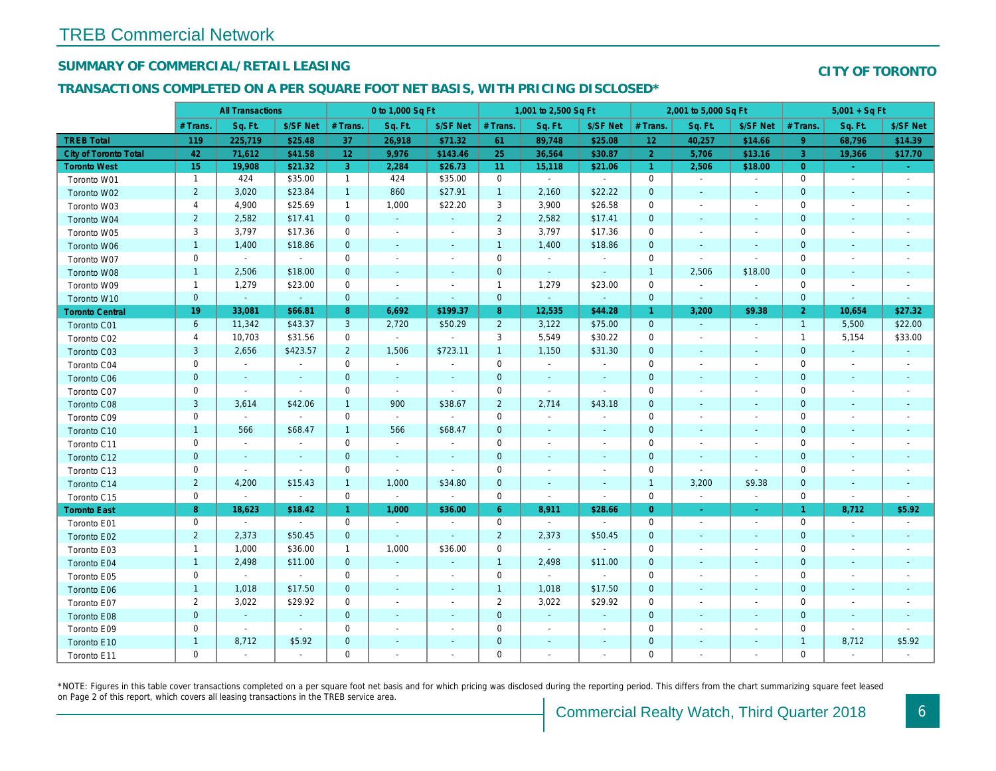## SUMMARY OF COMMERCIAL/RETAIL LEASING

#### TRANSACTIONS COMPLETED ON A PER SQUARE FOOT NET BASIS, WITH PRICING DISCLOSED\*

|                              |                | <b>All Transactions</b> |                |                | 0 to 1,000 Sq Ft         |                          |                | 1,001 to 2,500 Sq Ft     |                |                      | 2,001 to 5,000 Sq Ft     |                          |
|------------------------------|----------------|-------------------------|----------------|----------------|--------------------------|--------------------------|----------------|--------------------------|----------------|----------------------|--------------------------|--------------------------|
|                              | # Trans.       | Sq. Ft.                 | \$/SF Net      | # Trans.       | Sq. Ft.                  | \$/SF Net                | # Trans.       | Sq. Ft.                  | \$/SF Net      | # Trans.             | Sq. Ft.                  | \$/SF Ne                 |
| <b>TREB Total</b>            | 119            | 225,719                 | \$25.48        | 37             | 26,918                   | \$71.32                  | 61             | 89,748                   | \$25.08        | 12 <sub>2</sub>      | 40,257                   | \$14.66                  |
| <b>City of Toronto Total</b> | 42             | 71,612                  | \$41.58        | 12             | 9,976                    | \$143.46                 | 25             | 36,564                   | \$30.87        | $\overline{2}$       | 5,706                    | \$13.16                  |
| <b>Toronto West</b>          | 15             | 19,908                  | \$21.32        | 3              | 2,284                    | \$26.73                  | 11             | 15,118                   | \$21.06        | $\blacktriangleleft$ | 2,506                    | \$18.00                  |
| Toronto W01                  | $\mathbf{1}$   | 424                     | \$35.00        | $\mathbf{1}$   | 424                      | \$35.00                  | $\mathbf 0$    | $\blacksquare$           | $\sim$         | $\mathbf 0$          | $\blacksquare$           | $\blacksquare$           |
| Toronto W02                  | $\overline{2}$ | 3,020                   | \$23.84        | $\mathbf{1}$   | 860                      | \$27.91                  | $\mathbf{1}$   | 2,160                    | \$22.22        | $\mathbf 0$          | $\Delta$                 | $\sim$                   |
| Toronto W03                  | 4              | 4,900                   | \$25.69        | $\mathbf{1}$   | 1,000                    | \$22.20                  | 3              | 3,900                    | \$26.58        | 0                    | $\blacksquare$           | $\blacksquare$           |
| Toronto W04                  | $\overline{2}$ | 2,582                   | \$17.41        | $\mathbf{0}$   | $\omega$                 | $\omega$                 | $\overline{2}$ | 2,582                    | \$17.41        | $\mathbf 0$          | $\blacksquare$           | $\blacksquare$           |
| Toronto W05                  | 3              | 3,797                   | \$17.36        | $\mathbf 0$    | $\blacksquare$           | $\blacksquare$           | 3              | 3,797                    | \$17.36        | $\mathbf 0$          | $\blacksquare$           | $\overline{\phantom{a}}$ |
| Toronto W06                  | $\mathbf{1}$   | 1,400                   | \$18.86        | $\mathbf{0}$   | $\sim$                   | $\blacksquare$           | $\mathbf{1}$   | 1,400                    | \$18.86        | $\mathbf{0}$         | $\sim$                   | $\sim$                   |
| Toronto W07                  | 0              | $\blacksquare$          | $\sim$         | $\mathbf 0$    | $\overline{\phantom{a}}$ | $\overline{\phantom{a}}$ | $\mathbf 0$    | $\blacksquare$           | $\blacksquare$ | 0                    | $\blacksquare$           | $\blacksquare$           |
| Toronto W08                  | $\mathbf{1}$   | 2,506                   | \$18.00        | $\mathbf{0}$   | $\blacksquare$           | $\sim$                   | $\mathbf 0$    | $\blacksquare$           | $\blacksquare$ | $\overline{1}$       | 2,506                    | \$18.00                  |
| Toronto W09                  | $\mathbf{1}$   | 1,279                   | \$23.00        | 0              | $\overline{\phantom{a}}$ | $\overline{\phantom{a}}$ | $\mathbf{1}$   | 1,279                    | \$23.00        | 0                    | $\blacksquare$           | $\blacksquare$           |
| Toronto W10                  | $\mathbf{0}$   | $\omega$                | $\sim$         | $\mathbf{0}$   | $\sim$                   | $\blacksquare$           | $\mathbf{0}$   | $\sim$                   | $\sim$         | $\mathbf{0}$         | $\sim$                   | $\sim$                   |
| <b>Toronto Central</b>       | 19             | 33,081                  | \$66.81        | 8              | 6,692                    | \$199.37                 | 8 <sup>°</sup> | 12,535                   | \$44.28        | $\overline{1}$       | 3,200                    | \$9.38                   |
| Toronto C01                  | 6              | 11,342                  | \$43.37        | $\mathbf{3}$   | 2,720                    | \$50.29                  | $\overline{2}$ | 3,122                    | \$75.00        | $\mathbf{0}$         | $\omega$                 | $\blacksquare$           |
| Toronto C02                  | 4              | 10,703                  | \$31.56        | 0              | $\omega$                 | $\blacksquare$           | 3              | 5,549                    | \$30.22        | 0                    | $\blacksquare$           | $\blacksquare$           |
| Toronto C03                  | 3              | 2,656                   | \$423.57       | $\overline{2}$ | 1,506                    | \$723.11                 | $\mathbf{1}$   | 1,150                    | \$31.30        | $\mathbf{0}$         | $\sim$                   |                          |
| Toronto C04                  | $\mathbf 0$    | $\blacksquare$          | $\sim$         | $\mathbf 0$    | $\blacksquare$           | $\sim$                   | $\mathbf 0$    | $\blacksquare$           | $\sim$         | $\mathbf 0$          | $\blacksquare$           | $\blacksquare$           |
| Toronto C06                  | $\mathbf{0}$   | $\blacksquare$          |                | $\mathbf 0$    | $\blacksquare$           | $\blacksquare$           | $\mathbf 0$    | $\blacksquare$           | $\blacksquare$ | $\mathbf{0}$         | $\blacksquare$           | $\overline{\phantom{a}}$ |
| Toronto C07                  | 0              | $\blacksquare$          | $\blacksquare$ | $\mathbf 0$    | $\sim$                   | $\blacksquare$           | $\mathbf 0$    | $\blacksquare$           | $\sim$         | 0                    | $\blacksquare$           | $\blacksquare$           |
| Toronto C08                  | 3              | 3,614                   | \$42.06        | $\mathbf{1}$   | 900                      | \$38.67                  | $\overline{2}$ | 2,714                    | \$43.18        | $\mathbf 0$          | $\overline{\phantom{a}}$ | ٠                        |
| Toronto C09                  | 0              | $\blacksquare$          | $\sim$         | 0              | $\sim$                   | $\blacksquare$           | $\mathbf 0$    | $\blacksquare$           | $\blacksquare$ | $\mathbf 0$          | $\blacksquare$           | $\overline{\phantom{a}}$ |
| Toronto C10                  | $\mathbf{1}$   | 566                     | \$68.47        | $\mathbf{1}$   | 566                      | \$68.47                  | $\mathbf 0$    | $\sim$                   | $\sim$         | $\mathbf{0}$         | $\omega$                 | $\sim$                   |
| Toronto C11                  | 0              | $\blacksquare$          | $\blacksquare$ | $\mathbf 0$    | $\sim$                   | $\sim$                   | $\mathbf 0$    | $\sim$                   | $\blacksquare$ | $\mathbf 0$          | $\sim$                   | $\overline{\phantom{a}}$ |
| Toronto C12                  | $\mathbf{0}$   | $\sim$                  | $\sim$         | $\mathbf 0$    | $\blacksquare$           | $\blacksquare$           | $\mathbf 0$    | $\overline{\phantom{a}}$ | $\blacksquare$ | $\mathbf 0$          | $\blacksquare$           | $\blacksquare$           |
| Toronto C13                  | 0              | $\blacksquare$          | $\blacksquare$ | $\mathbf 0$    | $\blacksquare$           | $\blacksquare$           | 0              | $\overline{\phantom{a}}$ | $\blacksquare$ | 0                    | $\blacksquare$           | $\blacksquare$           |
| Toronto C14                  | $\overline{2}$ | 4,200                   | \$15.43        | $\mathbf{1}$   | 1,000                    | \$34.80                  | $\mathbf 0$    | $\blacksquare$           | $\blacksquare$ | $\overline{1}$       | 3,200                    | \$9.38                   |
| Toronto C15                  | 0              | $\omega$                | $\omega$       | 0              | $\blacksquare$           | $\sim$                   | $\mathbf 0$    | $\blacksquare$           | $\blacksquare$ | $\mathbf 0$          | $\blacksquare$           | $\sim$                   |
| <b>Toronto East</b>          | 8              | 18,623                  | \$18.42        | $\mathbf{1}$   | 1,000                    | \$36.00                  | 6 <sup>°</sup> | 8,911                    | \$28.66        | $\overline{0}$       | $\blacksquare$           | $\sigma$                 |
| Toronto E01                  | 0              | $\sim$                  | $\sim$         | 0              | $\sim$                   | $\overline{\phantom{a}}$ | $\mathbf 0$    | $\blacksquare$           | $\sim$         | $\mathbf 0$          | $\blacksquare$           | $\sim$                   |
| Toronto E02                  | $\overline{2}$ | 2,373                   | \$50.45        | $\mathbf{0}$   | $\omega$                 | $\sim$                   | $\overline{2}$ | 2,373                    | \$50.45        | $\mathbf{0}$         | $\blacksquare$           | $\blacksquare$           |
| Toronto E03                  | $\mathbf{1}$   | 1,000                   | \$36.00        | $\mathbf{1}$   | 1,000                    | \$36.00                  | $\mathsf 0$    | $\mathbf{r}$             | $\blacksquare$ | $\mathbf 0$          | $\sim$                   | $\blacksquare$           |
| Toronto E04                  | $\mathbf{1}$   | 2,498                   | \$11.00        | $\mathbf{0}$   | $\omega$                 | $\blacksquare$           | $\mathbf{1}$   | 2,498                    | \$11.00        | $\mathbf{0}$         | $\blacksquare$           |                          |
| Toronto E05                  | 0              | $\sim$                  | $\mathbf{r}$   | 0              | $\blacksquare$           | $\blacksquare$           | $\mathbf 0$    | $\blacksquare$           | $\sim$         | $\mathbf 0$          | $\blacksquare$           | $\blacksquare$           |
| Toronto E06                  | $\mathbf{1}$   | 1,018                   | \$17.50        | $\mathbf 0$    | $\blacksquare$           | $\blacksquare$           | $\mathbf{1}$   | 1,018                    | \$17.50        | $\mathbf{0}$         | $\blacksquare$           | $\blacksquare$           |
| Toronto E07                  | $\overline{2}$ | 3,022                   | \$29.92        | $\mathbf 0$    | $\blacksquare$           | $\overline{\phantom{a}}$ | $\overline{2}$ | 3,022                    | \$29.92        | $\mathbf 0$          | ٠                        | $\blacksquare$           |
| Toronto E08                  | $\mathbf{0}$   | $\omega$                | $\omega$       | $\overline{0}$ | ä,                       | $\blacksquare$           | $\mathbf 0$    | $\blacksquare$           | $\blacksquare$ | $\mathbf{0}$         | $\blacksquare$           | $\blacksquare$           |
| Toronto E09                  | 0              | $\blacksquare$          | $\blacksquare$ | $\mathbf 0$    | $\blacksquare$           | $\blacksquare$           | $\mathbf 0$    | $\overline{\phantom{a}}$ | $\blacksquare$ | $\mathbf 0$          | $\overline{\phantom{a}}$ | $\overline{\phantom{a}}$ |
| Toronto E10                  | $\mathbf{1}$   | 8,712                   | \$5.92         | $\mathbf 0$    | $\blacksquare$           | $\blacksquare$           | $\mathbf 0$    | $\blacksquare$           | $\blacksquare$ | $\mathbf{0}$         | $\blacksquare$           | $\overline{\phantom{a}}$ |
| Toronto E11                  | 0              | $\blacksquare$          | $\sim$         | $\mathbf 0$    | $\blacksquare$           | $\blacksquare$           | $\mathbf 0$    | $\sim$                   | $\sim$         | $\mathbf 0$          | $\sim$                   |                          |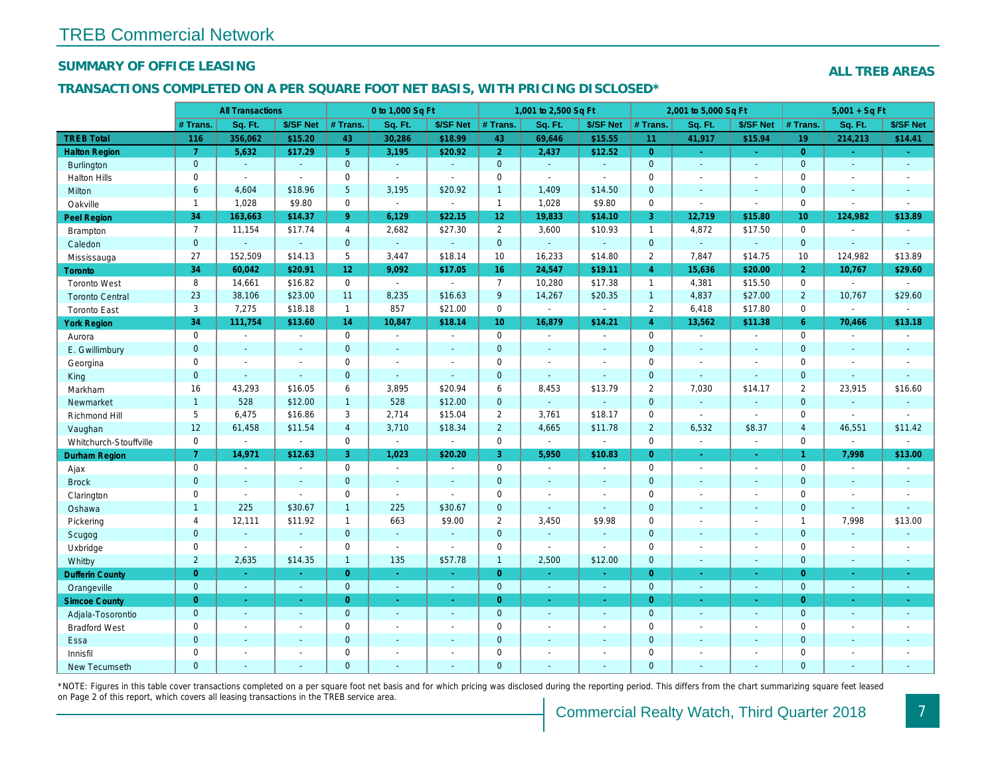### SUMMARY OF OFFICE LEASING

### TRANSACTIONS COMPLETED ON A PER SQUARE FOOT NET BASIS, WITH PRICING DISCLOSED\*

|                        |                | <b>All Transactions</b> |                |                 | 0 to 1,000 Sq Ft            |                          |                 | 1,001 to 2,500 Sq Ft     |                          |                | 2,001 to 5,000 Sq Ft |                  |
|------------------------|----------------|-------------------------|----------------|-----------------|-----------------------------|--------------------------|-----------------|--------------------------|--------------------------|----------------|----------------------|------------------|
|                        | # Trans.       | Sq. Ft.                 | \$/SF Net      | # Trans.        | Sq. Ft.                     | \$/SF Net                | # Trans.        | Sq. Ft.                  | \$/SF Net                | # Trans.       | Sq. Ft.              | \$/SF Ne         |
| <b>TREB Total</b>      | 116            | 356,062                 | \$15.20        | 43              | 30,286                      | \$18.99                  | 43              | 69,646                   | \$15.55                  | 11             | 41,917               | \$15.94          |
| <b>Halton Region</b>   | $\overline{7}$ | 5,632                   | \$17.29        | 5 <sup>1</sup>  | 3,195                       | \$20.92                  | 2 <sup>1</sup>  | 2,437                    | \$12.52                  | $\overline{0}$ | $\omega$             | $\omega_{\rm c}$ |
| Burlington             | $\mathbf{0}$   | $\omega$                | $\omega$       | $\mathbf{0}$    | $\sim$                      | $\omega$                 | $\mathbf{0}$    | $\omega$                 | $\omega$                 | $\overline{0}$ | $\omega$             | $\blacksquare$   |
| <b>Halton Hills</b>    | $\mathbf 0$    | $\sim$                  | $\blacksquare$ | $\mathbf 0$     | $\tilde{\phantom{a}}$       | $\sim$                   | $\mathbf 0$     | $\blacksquare$           | $\blacksquare$           | $\mathbf 0$    | $\sim$               | $\blacksquare$   |
| Milton                 | 6              | 4,604                   | \$18.96        | $5\phantom{.0}$ | 3,195                       | \$20.92                  | $\mathbf{1}$    | 1,409                    | \$14.50                  | $\mathbf{0}$   | $\blacksquare$       | $\blacksquare$   |
| Oakville               | $\mathbf{1}$   | 1,028                   | \$9.80         | $\mathbf 0$     | $\mathcal{L}_{\mathcal{A}}$ | $\mathbf{r}$             | $\overline{1}$  | 1,028                    | \$9.80                   | $\mathbf 0$    | $\mathbf{r}$         | $\sim$           |
| <b>Peel Region</b>     | 34             | 163,663                 | \$14.37        | $9^{\circ}$     | 6,129                       | \$22.15                  | 12 <sub>2</sub> | 19,833                   | \$14.10                  | 3              | 12,719               | \$15.80          |
| Brampton               | $\overline{7}$ | 11,154                  | \$17.74        | $\overline{4}$  | 2,682                       | \$27.30                  | $\overline{2}$  | 3,600                    | \$10.93                  | $\mathbf{1}$   | 4,872                | \$17.50          |
| Caledon                | $\mathbf{0}$   | $\sim$                  | $\sim$         | $\mathbf{0}$    | $\omega$                    | ÷.                       | $\mathbf{0}$    | $\omega$                 | $\omega$                 | $\overline{0}$ | $\omega$             | $\sim$           |
| Mississauga            | 27             | 152,509                 | \$14.13        | 5               | 3,447                       | \$18.14                  | 10              | 16,233                   | \$14.80                  | $\overline{2}$ | 7,847                | \$14.75          |
| <b>Toronto</b>         | 34             | 60,042                  | \$20.91        | 12              | 9,092                       | \$17.05                  | 16              | 24,547                   | \$19.11                  | $\overline{4}$ | 15,636               | \$20.00          |
| <b>Toronto West</b>    | 8              | 14,661                  | \$16.82        | $\Omega$        | $\sim$                      | $\blacksquare$           | $\overline{7}$  | 10,280                   | \$17.38                  | $\overline{1}$ | 4,381                | \$15.50          |
| <b>Toronto Central</b> | 23             | 38,106                  | \$23.00        | 11              | 8,235                       | \$16.63                  | $9\,$           | 14,267                   | \$20.35                  | $\overline{1}$ | 4,837                | \$27.00          |
| <b>Toronto East</b>    | 3              | 7,275                   | \$18.18        | $\mathbf{1}$    | 857                         | \$21.00                  | $\mathbf 0$     | $\blacksquare$           | $\blacksquare$           | $\overline{2}$ | 6,418                | \$17.80          |
| <b>York Region</b>     | 34             | 111,754                 | \$13.60        | 14              | 10,847                      | \$18.14                  | 10 <sup>°</sup> | 16,879                   | \$14.21                  | $\overline{4}$ | 13,562               | \$11.38          |
| Aurora                 | $\mathbf 0$    | $\blacksquare$          | $\sim$         | $\mathbf 0$     | $\blacksquare$              | $\blacksquare$           | $\mathbf 0$     | $\blacksquare$           | $\blacksquare$           | $\mathbf 0$    | $\blacksquare$       | $\blacksquare$   |
| E. Gwillimbury         | $\mathbf{0}$   | $\sim$                  | $\sim$         | $\mathbf{0}$    | $\mathbf{r}$                | $\sim$                   | $\mathbf{0}$    | $\sim$                   | $\sim$                   | $\mathbf{0}$   | $\omega$             | $\sim$           |
| Georgina               | $\mathbf 0$    | $\sim$                  | $\sim$         | $\mathbf 0$     | $\sim$                      | $\blacksquare$           | $\mathbf 0$     | $\blacksquare$           | $\overline{a}$           | $\mathbf 0$    | $\sim$               | $\sim$           |
| King                   | $\mathbf{0}$   | $\sim$                  | $\omega$       | $\overline{0}$  | $\sim$                      | $\mathbf{r}$             | $\mathbf{0}$    | $\Delta$                 | $\Delta$                 | $\mathbf{0}$   | $\Delta$             | $\sim$           |
| Markham                | 16             | 43,293                  | \$16.05        | 6               | 3,895                       | \$20.94                  | 6               | 8,453                    | \$13.79                  | $\overline{2}$ | 7,030                | \$14.17          |
| Newmarket              | $\mathbf{1}$   | 528                     | \$12.00        | $\mathbf{1}$    | 528                         | \$12.00                  | $\mathbf 0$     | $\omega$                 | $\Delta$                 | $\mathbf{0}$   | $\omega$             | $\bullet$        |
| Richmond Hill          | 5              | 6,475                   | \$16.86        | 3               | 2,714                       | \$15.04                  | $\overline{2}$  | 3,761                    | \$18.17                  | $\mathbf 0$    | $\blacksquare$       | $\blacksquare$   |
| Vaughan                | 12             | 61,458                  | \$11.54        | $\overline{4}$  | 3,710                       | \$18.34                  | $\overline{2}$  | 4,665                    | \$11.78                  | $\overline{2}$ | 6,532                | \$8.37           |
| Whitchurch-Stouffville | 0              | $\blacksquare$          | $\mathbf{r}$   | 0               | $\mathcal{L}_{\mathcal{A}}$ | $\blacksquare$           | $\mathsf 0$     | $\blacksquare$           | $\blacksquare$           | $\mathbf 0$    | $\blacksquare$       | $\blacksquare$   |
| Durham Region          | 7 <sup>1</sup> | 14,971                  | \$12.63        | 3               | 1,023                       | \$20.20                  | 3               | 5,950                    | \$10.83                  | $\overline{0}$ | $\blacksquare$       | $\sigma$         |
| Ajax                   | $\mathbf 0$    | $\blacksquare$          | $\sim$         | $\mathbf 0$     | $\sim$                      | $\blacksquare$           | $\mathbf 0$     | $\blacksquare$           | $\blacksquare$           | $\Omega$       | $\blacksquare$       | $\blacksquare$   |
| <b>Brock</b>           | $\mathbf 0$    | $\omega$                | $\blacksquare$ | $\mathbf 0$     | $\omega$                    | $\blacksquare$           | $\mathbf 0$     | $\omega$                 | $\sim$                   | $\mathbf{0}$   | $\blacksquare$       | $\blacksquare$   |
| Clarington             | 0              | $\blacksquare$          | $\omega$       | $\mathbf 0$     | $\mathbf{r}$                | $\sim$                   | $\mathbf 0$     | $\blacksquare$           | $\blacksquare$           | $\mathbf 0$    | $\sim$               | $\blacksquare$   |
| Oshawa                 | $\mathbf{1}$   | 225                     | \$30.67        | $\mathbf{1}$    | 225                         | \$30.67                  | $\mathbf{0}$    | $\sim$                   | $\sim$                   | $\mathbf{0}$   | $\sim$               | $\sim$           |
| Pickering              | $\overline{4}$ | 12,111                  | \$11.92        | $\mathbf{1}$    | 663                         | \$9.00                   | $\overline{2}$  | 3,450                    | \$9.98                   | $\mathbf 0$    | $\blacksquare$       | $\blacksquare$   |
| Scugog                 | $\mathbf{0}$   | $\sim$                  | $\sim$         | $\mathbf{0}$    | $\omega$                    | $\blacksquare$           | $\mathbf 0$     | $\blacksquare$           | ä,                       | $\mathbf{0}$   | $\omega$             | $\blacksquare$   |
| Uxbridge               | $\mathbf 0$    | $\sim$                  | $\omega$       | $\mathbf 0$     | $\mathbf{r}$                | $\sim$                   | $\mathbf 0$     | $\blacksquare$           | $\blacksquare$           | $\mathbf 0$    | $\blacksquare$       | $\blacksquare$   |
| Whitby                 | $\overline{2}$ | 2,635                   | \$14.35        | $\mathbf{1}$    | 135                         | \$57.78                  | $\mathbf{1}$    | 2,500                    | \$12.00                  | $\mathbf{0}$   | $\blacksquare$       | $\sim$           |
| <b>Dufferin County</b> | $\overline{0}$ | $\sim$                  | $\Delta \tau$  | $\overline{0}$  | $\omega$                    | $\omega$                 | $\overline{0}$  | $\omega$                 | $\omega$                 | $\overline{0}$ | $\sim$               | $\sim$           |
| Orangeville            | $\mathbf{0}$   | $\omega$                | $\omega$       | $\overline{0}$  | $\omega$                    | $\omega$                 | $\mathbf{0}$    | $\sim$                   | $\blacksquare$           | $\overline{0}$ | $\omega$             | $\sim$           |
| <b>Simcoe County</b>   | $\overline{0}$ | $\sim$                  | $\blacksquare$ | $\overline{0}$  | $\blacksquare$              | ÷                        | $\mathbf{0}$    | $\blacksquare$           | ÷                        | $\overline{0}$ | $\blacksquare$       | $\sigma_{\rm c}$ |
| Adjala-Tosorontio      | $\mathbf{0}$   | $\sim$                  | $\sim$         | $\mathbf{0}$    | $\sim$                      | $\sim$                   | $\mathbf{0}$    | $\blacksquare$           | $\sim$                   | $\overline{0}$ | $\blacksquare$       | $\sim$           |
| <b>Bradford West</b>   | 0              | $\blacksquare$          | $\sim$         | $\mathbf 0$     | $\omega$                    | $\blacksquare$           | $\mathbf 0$     | $\blacksquare$           | $\blacksquare$           | $\mathbf 0$    | $\blacksquare$       | $\blacksquare$   |
| Essa                   | $\mathbf{0}$   | $\sim$                  | $\sim$         | $\mathbf 0$     | $\sim$                      | $\blacksquare$           | $\mathbf 0$     | $\sim$                   | $\sim$                   | $\mathbf{0}$   | $\sim$               | $\blacksquare$   |
| Innisfil               | $\mathbf 0$    | $\sim$                  | $\sim$         | $\mathbf 0$     | $\blacksquare$              | $\overline{\phantom{a}}$ | $\mathbf 0$     | $\overline{\phantom{a}}$ | $\overline{\phantom{a}}$ | $\mathbf 0$    | $\blacksquare$       | $\blacksquare$   |
| <b>New Tecumseth</b>   | $\Omega$       | $\sim$                  |                | $\Omega$        | ä,                          | $\sim$                   | $\mathbf{0}$    | $\blacksquare$           | $\blacksquare$           | $\mathbf{0}$   | $\sim$               | $\sim$           |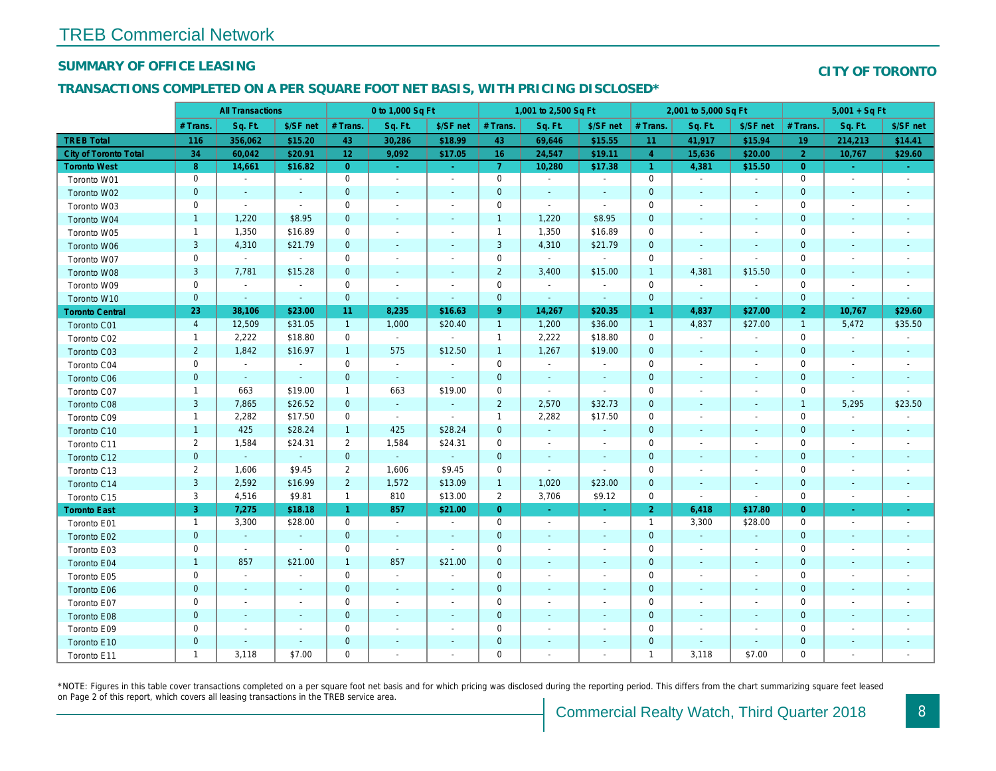### SUMMARY OF OFFICE LEASING

### TRANSACTIONS COMPLETED ON A PER SQUARE FOOT NET BASIS, WITH PRICING DISCLOSED\*

|                              | <b>All Transactions</b> |                          | 0 to 1,000 Sq Ft         |                |                          | 1,001 to 2,500 Sq Ft     |                     |                          |                          | 2,001 to 5,000 Sq Ft |                          |                          |  |
|------------------------------|-------------------------|--------------------------|--------------------------|----------------|--------------------------|--------------------------|---------------------|--------------------------|--------------------------|----------------------|--------------------------|--------------------------|--|
|                              | # Trans.                | Sq. Ft.                  | \$/SF net                | # Trans.       | Sq. Ft.                  | \$/SF net                | # Trans.            | Sq. Ft.                  | \$/SF net                | # Trans.             | Sq. Ft.                  | \$/SF ne                 |  |
| <b>TREB Total</b>            | 116                     | 356,062                  | \$15.20                  | 43             | 30,286                   | \$18.99                  | 43                  | 69,646                   | \$15.55                  | 11                   | 41,917                   | \$15.94                  |  |
| <b>City of Toronto Total</b> | 34                      | 60,042                   | \$20.91                  | 12             | 9,092                    | \$17.05                  | 16                  | 24,547                   | \$19.11                  | $\overline{4}$       | 15,636                   | \$20.00                  |  |
| <b>Toronto West</b>          | 8                       | 14,661                   | \$16.82                  | $\overline{0}$ | $\bullet$                | $\sim$                   | $\overline{7}$      | 10,280                   | \$17.38                  | $\blacktriangleleft$ | 4,381                    | \$15.50                  |  |
| Toronto W01                  | $\mathbf 0$             | $\sim$                   | $\blacksquare$           | $\mathbf 0$    | $\blacksquare$           | $\blacksquare$           | $\mathbf 0$         | $\blacksquare$           | $\blacksquare$           | 0                    | $\blacksquare$           | $\sim$                   |  |
| Toronto W02                  | $\mathbf 0$             | $\sim$                   | $\overline{\phantom{a}}$ | $\mathbf 0$    | $\blacksquare$           | $\overline{\phantom{a}}$ | $\mathbf 0$         | $\sim$                   | $\blacksquare$           | $\mathbf 0$          | $\sim$                   | $\sim$                   |  |
| Toronto W03                  | 0                       | $\sim$                   | $\sim$                   | $\mathbf 0$    | $\blacksquare$           | $\blacksquare$           | $\mathbf 0$         | $\sim$                   | $\blacksquare$           | $\mathbf 0$          |                          | $\overline{\phantom{a}}$ |  |
| Toronto W04                  | $\mathbf{1}$            | 1,220                    | \$8.95                   | $\mathbf 0$    | $\blacksquare$           | $\blacksquare$           | $\mathbf{1}$        | 1,220                    | \$8.95                   | $\mathbf 0$          | $\blacksquare$           | $\sim$                   |  |
| Toronto W05                  | $\mathbf{1}$            | 1,350                    | \$16.89                  | $\mathbf 0$    | $\overline{a}$           | $\overline{\phantom{a}}$ | $\mathbf{1}$        | 1,350                    | \$16.89                  | $\mathbf 0$          |                          | $\overline{\phantom{a}}$ |  |
| Toronto W06                  | 3                       | 4,310                    | \$21.79                  | $\mathbf 0$    | $\blacksquare$           | $\blacksquare$           | 3                   | 4,310                    | \$21.79                  | 0                    | $\overline{\phantom{a}}$ |                          |  |
| Toronto W07                  | $\mathbf 0$             | $\blacksquare$           | $\blacksquare$           | $\mathbf 0$    | $\blacksquare$           | $\blacksquare$           | $\mathbf 0$         | $\blacksquare$           | $\blacksquare$           | $\mathbf 0$          | $\blacksquare$           | $\sim$                   |  |
| Toronto W08                  | 3                       | 7,781                    | \$15.28                  | $\mathbf 0$    | $\blacksquare$           | $\blacksquare$           | $\overline{c}$      | 3,400                    | \$15.00                  | $\overline{1}$       | 4,381                    | \$15.50                  |  |
| Toronto W09                  | $\mathbf 0$             | $\blacksquare$           | $\blacksquare$           | $\mathbf 0$    | $\overline{a}$           | $\overline{\phantom{a}}$ | $\mathbf 0$         | $\blacksquare$           | $\blacksquare$           | $\mathbf 0$          | $\overline{\phantom{a}}$ | $\overline{\phantom{a}}$ |  |
| Toronto W10                  | $\pmb{0}$               | $\blacksquare$           | $\sim$                   | $\mathbf{0}$   | $\blacksquare$           | $\blacksquare$           | $\mathbf 0$         | $\blacksquare$           | $\sim$                   | $\mathbf 0$          | $\blacksquare$           | $\blacksquare$           |  |
| <b>Toronto Central</b>       | 23                      | 38,106                   | \$23.00                  | 11             | 8,235                    | \$16.63                  | 9                   | 14,267                   | \$20.35                  | $\overline{1}$       | 4,837                    | \$27.00                  |  |
| Toronto C01                  | $\overline{4}$          | 12,509                   | \$31.05                  | $\mathbf{1}$   | 1,000                    | \$20.40                  | $\mathbf{1}$        | 1,200                    | \$36.00                  | $\overline{1}$       | 4,837                    | \$27.00                  |  |
| Toronto C02                  | $\mathbf{1}$            | 2,222                    | \$18.80                  | $\mathbf 0$    | $\sim$                   | $\sim$                   | $\mathbf{1}$        | 2,222                    | \$18.80                  | $\mathbf 0$          | $\blacksquare$           | $\blacksquare$           |  |
| Toronto C03                  | $\overline{c}$          | 1,842                    | \$16.97                  | $\mathbf{1}$   | 575                      | \$12.50                  | $\mathbf{1}$        | 1,267                    | \$19.00                  | $\mathbf 0$          | $\blacksquare$           | $\blacksquare$           |  |
| Toronto C04                  | $\mathbf 0$             | $\blacksquare$           | $\blacksquare$           | $\mathbf 0$    | $\overline{\phantom{a}}$ | $\overline{\phantom{a}}$ | $\mathbf 0$         | $\blacksquare$           | $\overline{\phantom{a}}$ | $\mathbf 0$          |                          | $\overline{\phantom{a}}$ |  |
| <b>Toronto C06</b>           | $\pmb{0}$               | $\blacksquare$           | $\sim$                   | $\mathbf 0$    | $\omega$                 | $\blacksquare$           | $\mathbf 0$         | $\blacksquare$           | $\blacksquare$           | $\pmb{0}$            | $\blacksquare$           | $\sim$                   |  |
| Toronto C07                  | $\mathbf{1}$            | 663                      | \$19.00                  | $\mathbf{1}$   | 663                      | \$19.00                  | $\mathsf{O}\xspace$ | $\sim$                   | $\blacksquare$           | $\mathbf 0$          |                          | $\overline{\phantom{a}}$ |  |
| Toronto C08                  | $\mathsf 3$             | 7,865                    | \$26.52                  | $\mathbf{0}$   | $\omega$                 | $\blacksquare$           | $\overline{2}$      | 2,570                    | \$32.73                  | $\mathbf 0$          | $\sim$                   | $\blacksquare$           |  |
| Toronto C09                  | $\mathbf{1}$            | 2,282                    | \$17.50                  | $\mathbf 0$    | $\sim$                   | $\blacksquare$           | $\overline{1}$      | 2,282                    | \$17.50                  | $\mathbf 0$          | $\overline{\phantom{a}}$ | $\overline{\phantom{a}}$ |  |
| Toronto C10                  | $\mathbf{1}$            | 425                      | \$28.24                  | $\mathbf{1}$   | 425                      | \$28.24                  | $\mathbf 0$         | $\omega$                 | $\sim$                   | $\mathbf 0$          | $\blacksquare$           | $\sim$                   |  |
| Toronto C11                  | $\overline{2}$          | 1,584                    | \$24.31                  | $\overline{2}$ | 1,584                    | \$24.31                  | $\mathbf 0$         | $\blacksquare$           | $\overline{\phantom{a}}$ | 0                    | $\blacksquare$           | $\overline{\phantom{a}}$ |  |
| Toronto C12                  | $\pmb{0}$               | $\blacksquare$           | $\omega$                 | $\mathbf 0$    | $\omega$                 | $\blacksquare$           | 0                   | $\blacksquare$           | $\blacksquare$           | $\mathbf 0$          | ٠                        | $\overline{\phantom{a}}$ |  |
| Toronto C13                  | $\overline{2}$          | 1,606                    | \$9.45                   | $\overline{2}$ | 1,606                    | \$9.45                   | 0                   | $\blacksquare$           | $\blacksquare$           | 0                    | $\overline{\phantom{a}}$ | $\overline{\phantom{a}}$ |  |
| Toronto C14                  | $\mathbf{3}$            | 2,592                    | \$16.99                  | $\overline{2}$ | 1,572                    | \$13.09                  | $\mathbf{1}$        | 1,020                    | \$23.00                  | $\mathbf{0}$         | $\sim$                   | $\sim$                   |  |
| Toronto C15                  | 3                       | 4,516                    | \$9.81                   | $\mathbf{1}$   | 810                      | \$13.00                  | $\overline{2}$      | 3,706                    | \$9.12                   | $\mathbf 0$          | $\blacksquare$           | $\blacksquare$           |  |
| <b>Toronto East</b>          | 3                       | 7,275                    | \$18.18                  | $\mathbf{1}$   | 857                      | \$21.00                  | $\overline{0}$      | $\sim$                   | $\omega$                 | 2 <sup>1</sup>       | 6,418                    | \$17.80                  |  |
| Toronto E01                  | $\mathbf{1}$            | 3,300                    | \$28.00                  | 0              | $\blacksquare$           | $\blacksquare$           | $\mathbf 0$         | $\blacksquare$           | $\blacksquare$           | $\overline{1}$       | 3,300                    | \$28.00                  |  |
| Toronto E02                  | $\mathbf 0$             | $\omega$                 | $\sim$                   | $\mathbf{0}$   | $\blacksquare$           | $\blacksquare$           | $\mathbf 0$         | $\blacksquare$           | $\overline{\phantom{a}}$ | $\mathbf 0$          | $\blacksquare$           | $\sim$                   |  |
| Toronto E03                  | 0                       | $\blacksquare$           | $\sim$                   | 0              | $\blacksquare$           | $\blacksquare$           | 0                   | $\blacksquare$           | $\blacksquare$           | 0                    | $\overline{\phantom{a}}$ | $\sim$                   |  |
| Toronto E04                  | $\mathbf{1}$            | 857                      | \$21.00                  | $\mathbf{1}$   | 857                      | \$21.00                  | $\mathbf 0$         | $\blacksquare$           | $\blacksquare$           | $\mathbf 0$          | $\overline{\phantom{a}}$ | $\sim$                   |  |
| Toronto E05                  | 0                       | $\blacksquare$           | $\blacksquare$           | $\mathbf 0$    | $\blacksquare$           | $\blacksquare$           | $\mathbf 0$         | $\blacksquare$           | $\overline{a}$           | $\mathbf 0$          | $\overline{\phantom{a}}$ | $\overline{\phantom{a}}$ |  |
| Toronto E06                  | $\mathbf 0$             | $\sim$                   | $\sim$                   | $\mathbf{0}$   | $\sim$                   | $\blacksquare$           | $\mathbf 0$         | $\sim$                   | $\overline{\phantom{a}}$ | $\mathbf 0$          | $\sim$                   | $\sim$                   |  |
| Toronto E07                  | 0                       | $\overline{\phantom{a}}$ | $\overline{\phantom{a}}$ | $\mathbf 0$    | $\ddot{\phantom{0}}$     | $\overline{\phantom{a}}$ | $\mathbf 0$         | $\overline{\phantom{a}}$ | $\blacksquare$           | 0                    |                          | $\overline{\phantom{a}}$ |  |
| Toronto E08                  | $\pmb{0}$               | $\blacksquare$           | $\sim$                   | $\mathbf 0$    | $\overline{\phantom{a}}$ | $\blacksquare$           | $\mathbf 0$         | $\blacksquare$           | $\blacksquare$           | $\mathbf 0$          | $\sim$                   | $\overline{\phantom{a}}$ |  |
| Toronto E09                  | 0                       | $\overline{\phantom{a}}$ | $\overline{\phantom{a}}$ | 0              | $\blacksquare$           | $\blacksquare$           | 0                   | $\blacksquare$           | $\blacksquare$           | 0                    | $\overline{\phantom{a}}$ | $\overline{\phantom{a}}$ |  |
| Toronto E10                  | $\pmb{0}$               | $\blacksquare$           | $\sim$                   | $\mathbf 0$    | $\sim$                   | $\blacksquare$           | $\pmb{0}$           | $\blacksquare$           | $\blacksquare$           | $\pmb{0}$            | $\blacksquare$           | $\overline{\phantom{a}}$ |  |
| Toronto E11                  | $\mathbf{1}$            | 3,118                    | \$7.00                   | $\mathbf 0$    | $\blacksquare$           | $\blacksquare$           | 0                   | $\blacksquare$           | $\blacksquare$           | $\mathbf{1}$         | 3,118                    | \$7.00                   |  |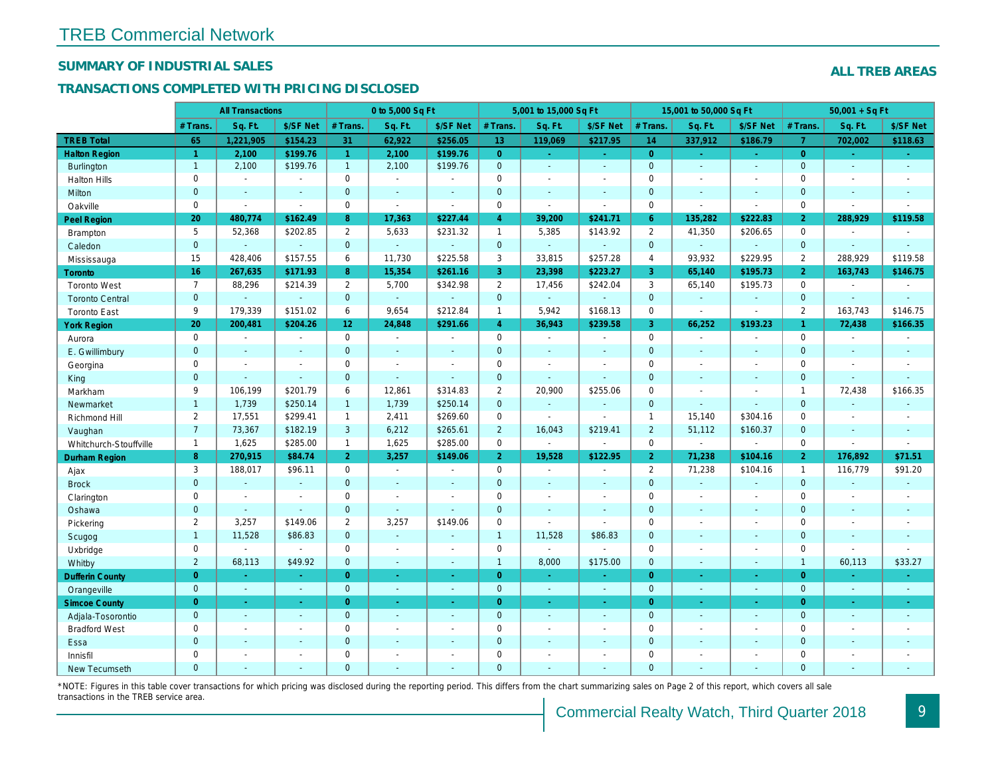## SUMMARY OF INDUSTRIAL SALES

## TRANSACTIONS COMPLETED WITH PRICING DISCLOSED

|                        |                | <b>All Transactions</b> |                |                 | 0 to 5,000 Sq Ft |                |                | 5,001 to 15,000 Sq Ft    |                  |                | 15,001 to 50,000 Sq Ft   |                          |
|------------------------|----------------|-------------------------|----------------|-----------------|------------------|----------------|----------------|--------------------------|------------------|----------------|--------------------------|--------------------------|
|                        | # Trans.       | Sq. Ft.                 | \$/SF Net      | # Trans.        | Sq. Ft.          | \$/SF Net      | # Trans.       | Sq. Ft.                  | \$/SF Net        | # Trans.       | Sq. Ft.                  | \$/SF Ne                 |
| <b>TREB Total</b>      | 65             | 1,221,905               | \$154.23       | 31              | 62,922           | \$256.05       | 13             | 119,069                  | \$217.95         | 14             | 337,912                  | \$186.79                 |
| <b>Halton Region</b>   | $\overline{1}$ | 2,100                   | \$199.76       | $\mathbf{1}$    | 2,100            | \$199.76       | $\overline{0}$ | $\omega_{\rm c}$         | $\omega_{\rm c}$ | $\overline{0}$ | $\blacksquare$           | $\omega_{\rm c}$         |
| <b>Burlington</b>      | $\mathbf{1}$   | 2,100                   | \$199.76       | $\mathbf{1}$    | 2,100            | \$199.76       | $\mathbf{0}$   | $\omega$                 | $\omega$         | $\mathbf{0}$   | $\omega$                 | $\sim$                   |
| <b>Halton Hills</b>    | $\mathbf 0$    | $\sim$                  | $\blacksquare$ | $\Omega$        | $\sim$           |                | $\mathbf 0$    | $\blacksquare$           | $\blacksquare$   | $\Omega$       | $\blacksquare$           | $\sim$                   |
| Milton                 | $\mathbf{0}$   | $\blacksquare$          | $\blacksquare$ | $\mathbf{0}$    | $\blacksquare$   | $\blacksquare$ | $\mathbf 0$    | $\blacksquare$           | $\blacksquare$   | $\mathbf 0$    | $\blacksquare$           | $\blacksquare$           |
| Oakville               | $\mathbf 0$    | $\blacksquare$          | $\blacksquare$ | $\mathbf 0$     | $\blacksquare$   | $\sim$         | 0              | $\overline{\phantom{a}}$ | $\sim$           | $\mathbf 0$    | $\blacksquare$           | $\blacksquare$           |
| <b>Peel Region</b>     | 20             | 480,774                 | \$162.49       | 8               | 17,363           | \$227.44       | $\overline{4}$ | 39,200                   | \$241.71         | $6^{\circ}$    | 135,282                  | \$222.83                 |
| Brampton               | 5              | 52,368                  | \$202.85       | $\overline{2}$  | 5,633            | \$231.32       | $\mathbf{1}$   | 5,385                    | \$143.92         | 2              | 41,350                   | \$206.65                 |
| Caledon                | $\mathbf{0}$   | $\blacksquare$          | $\blacksquare$ | $\mathbf{0}$    | $\omega$         | $\sim$         | $\mathbf{0}$   | $\blacksquare$           | $\omega$         | $\mathbf 0$    | $\omega$                 | $\omega$                 |
| Mississauga            | 15             | 428,406                 | \$157.55       | 6               | 11,730           | \$225.58       | 3              | 33,815                   | \$257.28         | $\overline{4}$ | 93.932                   | \$229.95                 |
| Toronto                | 16             | 267,635                 | \$171.93       | 8               | 15,354           | \$261.16       | 3              | 23,398                   | \$223.27         | 3              | 65,140                   | \$195.73                 |
| <b>Toronto West</b>    | $\overline{7}$ | 88,296                  | \$214.39       | $\mathbf{2}$    | 5,700            | \$342.98       | $\overline{2}$ | 17,456                   | \$242.04         | 3              | 65,140                   | \$195.73                 |
| <b>Toronto Central</b> | $\overline{0}$ | $\Delta$                | $\Delta$       | $\mathbf{0}$    | $\omega$         | $\sim$         | $\mathbf{0}$   | ä,                       | ä,               | $\mathbf{0}$   | ÷.                       | $\omega$                 |
| <b>Toronto East</b>    | 9              | 179,339                 | \$151.02       | 6               | 9,654            | \$212.84       | $\mathbf{1}$   | 5,942                    | \$168.13         | $\mathbf 0$    | $\sim$                   | $\blacksquare$           |
| <b>York Region</b>     | 20             | 200,481                 | \$204.26       | 12 <sub>2</sub> | 24,848           | \$291.66       | $\overline{4}$ | 36,943                   | \$239.58         | $\overline{3}$ | 66,252                   | \$193.23                 |
| Aurora                 | $\mathbf 0$    | $\blacksquare$          | $\sim$         | $\Omega$        | $\sim$           | $\blacksquare$ | $\mathbf 0$    | $\blacksquare$           | $\blacksquare$   | $\mathbf 0$    | $\blacksquare$           | $\sim$                   |
| E. Gwillimbury         | $\mathbf{0}$   | $\blacksquare$          | $\blacksquare$ | $\mathbf{0}$    | $\sim$           |                | $\mathbf 0$    | $\blacksquare$           | $\blacksquare$   | $\mathbf 0$    | $\blacksquare$           | $\blacksquare$           |
| Georgina               | $\mathbf 0$    | $\blacksquare$          | $\blacksquare$ | $\mathbf 0$     | $\sim$           | $\sim$         | $\mathbf 0$    | $\blacksquare$           | $\blacksquare$   | $\mathbf 0$    | $\blacksquare$           | $\blacksquare$           |
| King                   | $\mathbf{0}$   | $\sim$                  | $\sim$         | $\mathbf{0}$    | $\sim$           | $\sim$         | $\mathbf 0$    | $\blacksquare$           | $\blacksquare$   | $\overline{0}$ | $\blacksquare$           | $\sim$                   |
| Markham                | 9              | 106,199                 | \$201.79       | 6               | 12,861           | \$314.83       | $\overline{2}$ | 20,900                   | \$255.06         | $\mathbf 0$    | $\blacksquare$           | $\blacksquare$           |
| Newmarket              | $\mathbf{1}$   | 1,739                   | \$250.14       | $\mathbf{1}$    | 1,739            | \$250.14       | $\mathbf{0}$   | $\blacksquare$           | $\blacksquare$   | $\mathbf{0}$   | $\blacksquare$           | $\blacksquare$           |
| Richmond Hill          | 2              | 17,551                  | \$299.41       | $\mathbf{1}$    | 2,411            | \$269.60       | 0              | $\blacksquare$           | $\sim$           | $\mathbf{1}$   | 15,140                   | \$304.16                 |
| Vaughan                | $\overline{7}$ | 73,367                  | \$182.19       | 3               | 6,212            | \$265.61       | $\overline{2}$ | 16,043                   | \$219.41         | $\overline{2}$ | 51,112                   | \$160.37                 |
| Whitchurch-Stouffville | $\mathbf{1}$   | 1,625                   | \$285.00       | $\mathbf{1}$    | 1,625            | \$285.00       | $\mathbf 0$    | $\overline{\phantom{a}}$ | $\sim$           | $\mathbf 0$    | $\overline{\phantom{a}}$ | $\blacksquare$           |
| <b>Durham Region</b>   | 8              | 270,915                 | \$84.74        | 2 <sup>1</sup>  | 3,257            | \$149.06       | 2 <sup>1</sup> | 19,528                   | \$122.95         | $\overline{2}$ | 71,238                   | \$104.1                  |
| Ajax                   | 3              | 188,017                 | \$96.11        | 0               | $\blacksquare$   | $\blacksquare$ | $\pmb{0}$      | $\blacksquare$           | $\sim$           | $\overline{2}$ | 71,238                   | \$104.16                 |
| <b>Brock</b>           | $\mathbf{0}$   | $\blacksquare$          | $\sim$         | $\mathbf{0}$    | $\sim$           | $\sim$         | $\mathbf 0$    | $\omega$                 | $\blacksquare$   | $\mathbf 0$    | $\omega$                 | $\sim$                   |
| Clarington             | $\mathbf 0$    | $\blacksquare$          | $\blacksquare$ | $\mathbf 0$     | $\blacksquare$   |                | $\pmb{0}$      | $\blacksquare$           | $\blacksquare$   | $\mathbf 0$    | $\blacksquare$           | $\blacksquare$           |
| Oshawa                 | $\overline{0}$ | $\blacksquare$          | $\omega$       | $\overline{0}$  | $\blacksquare$   | $\blacksquare$ | $\mathbf 0$    | $\blacksquare$           | $\blacksquare$   | $\mathbf{0}$   | $\blacksquare$           | $\blacksquare$           |
| Pickering              | $\overline{2}$ | 3,257                   | \$149.06       | 2               | 3,257            | \$149.06       | $\pmb{0}$      | $\blacksquare$           | $\blacksquare$   | $\mathbf 0$    | $\blacksquare$           | $\blacksquare$           |
| Scugog                 | $\mathbf{1}$   | 11,528                  | \$86.83        | $\mathbf{0}$    | $\omega$         |                | $\mathbf{1}$   | 11,528                   | \$86.83          | $\mathbf{0}$   | $\blacksquare$           | $\blacksquare$           |
| Uxbridge               | $\mathbf 0$    | $\blacksquare$          | $\blacksquare$ | $\mathbf 0$     | $\sim$           |                | $\mathsf{O}$   | $\blacksquare$           | $\sim$           | $\mathbf 0$    | $\overline{a}$           | $\overline{\phantom{a}}$ |
| Whitby                 | $\overline{c}$ | 68,113                  | \$49.92        | $\mathbf{0}$    | $\sim$           | $\sim$         | $\mathbf{1}$   | 8,000                    | \$175.00         | $\mathbf{0}$   | $\blacksquare$           | $\sim$                   |
| <b>Dufferin County</b> | $\overline{0}$ | ÷.                      | $\sim$         | $\overline{0}$  | a.               | $\sim$         | $\overline{0}$ | ٠                        | ٠                | $\overline{0}$ | ×.                       | $\sim$                   |
| Orangeville            | $\mathbf{0}$   | $\omega$                | $\omega$       | $\mathbf 0$     | $\omega$         | $\sim$         | $\mathbf{0}$   | $\omega$                 | $\omega_{\rm c}$ | $\mathbf{0}$   | $\omega$                 | $\sim$                   |
| <b>Simcoe County</b>   | $\overline{0}$ | $\sim$                  | $\omega$       | $\overline{0}$  | $\omega$         | $\omega$       | $\overline{0}$ | $\omega$                 | $\omega$         | $\overline{0}$ | $\blacksquare$           | $\sim$                   |
| Adjala-Tosorontio      | $\mathbf{0}$   | $\sim$                  | $\sim$         | $\mathbf{0}$    | $\sim$           | $\sim$         | $\mathbf 0$    | $\omega$                 | $\blacksquare$   | $\mathbf 0$    | $\mathbf{r}$             | $\sim$                   |
| <b>Bradford West</b>   | $\mathbf 0$    | $\sim$                  | $\blacksquare$ | $\mathbf 0$     | $\sim$           | $\sim$         | $\pmb{0}$      | $\blacksquare$           | $\blacksquare$   | $\mathbf 0$    | $\blacksquare$           | $\sim$                   |
| Essa                   | $\mathbf{0}$   | $\sim$                  | $\sim$         | $\mathbf{0}$    |                  |                | $\pmb{0}$      | $\blacksquare$           | $\blacksquare$   | $\mathbf 0$    | $\blacksquare$           |                          |
| Innisfil               | $\mathbf 0$    | $\blacksquare$          | $\blacksquare$ | $\mathbf 0$     | $\sim$           | $\blacksquare$ | $\mathbf 0$    | $\blacksquare$           | $\blacksquare$   | $\mathbf 0$    | $\blacksquare$           | $\blacksquare$           |
| <b>New Tecumseth</b>   | $\Omega$       |                         |                | $\Omega$        |                  |                | $\Omega$       |                          |                  | $\Omega$       |                          |                          |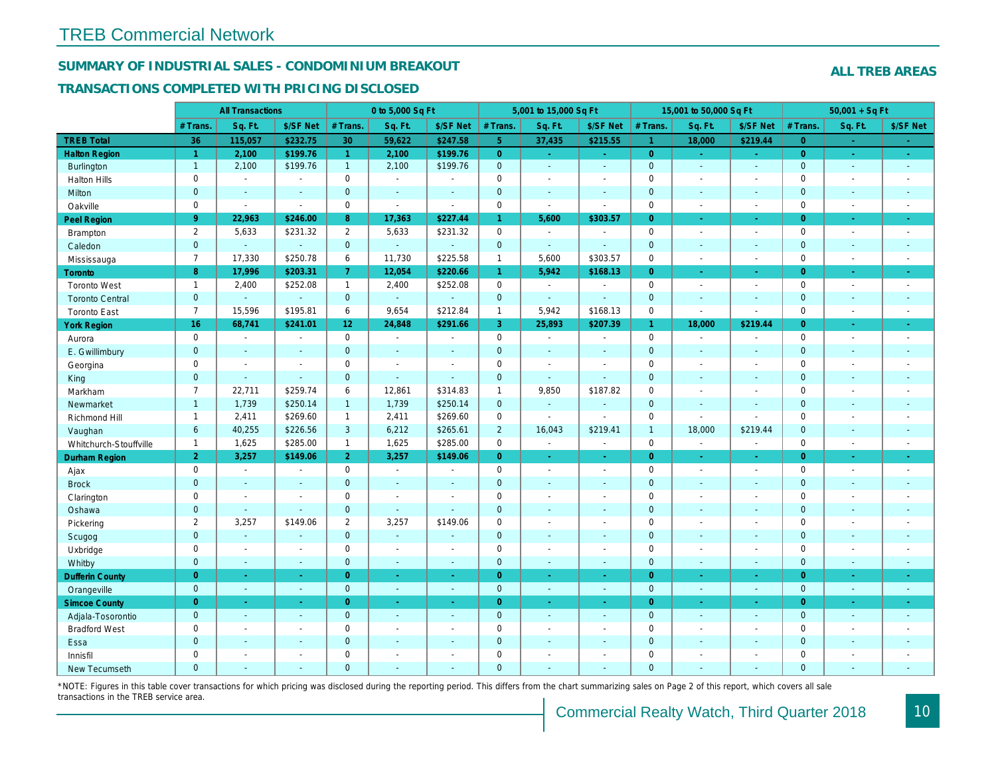## SUMMARY OF INDUSTRIAL SALES - CONDOMINIUM BREAKOUT

#### TRANSACTIONS COMPLETED WITH PRICING DISCLOSED

|                        |                      | <b>All Transactions</b> |                |                       | 0 to 5,000 Sq Ft         |                          |                | 5,001 to 15,000 Sq Ft |                  |                      | 15,001 to 50,000 Sq Ft   |                      |
|------------------------|----------------------|-------------------------|----------------|-----------------------|--------------------------|--------------------------|----------------|-----------------------|------------------|----------------------|--------------------------|----------------------|
|                        | # Trans.             | Sq. Ft.                 | \$/SF Net      | # Trans.              | Sq. Ft.                  | \$/SF Net                | # Trans.       | Sq. Ft.               | \$/SF Net        | # Trans.             | Sq. Ft.                  | \$/SF Ne             |
| <b>TREB Total</b>      | 36                   | 115,057                 | \$232.75       | 30                    | 59,622                   | \$247.58                 | 5 <sup>1</sup> | 37,435                | \$215.55         | $\blacktriangleleft$ | 18,000                   | \$219.44             |
| <b>Halton Region</b>   | $\blacktriangleleft$ | 2,100                   | \$199.76       | $\mathbf{1}$          | 2,100                    | \$199.76                 | $\overline{0}$ | $\sim$                | $\omega_{\rm c}$ | $\overline{0}$       | $\omega$                 | $\omega_{\rm c}$     |
| Burlington             | $\overline{1}$       | 2,100                   | \$199.76       | 1                     | 2,100                    | \$199.76                 | $\mathbf{0}$   | $\blacksquare$        | $\mathbf{u}$     | $\mathbf{0}$         | $\omega$                 | $\sim$               |
| <b>Halton Hills</b>    | 0                    | $\blacksquare$          | $\sim$         | $\mathbf 0$           | $\sim$                   | $\overline{\phantom{a}}$ | $\mathbf 0$    | $\blacksquare$        | $\blacksquare$   | $\mathbf 0$          | L.                       | $\blacksquare$       |
| Milton                 | $\overline{0}$       | $\blacksquare$          | $\blacksquare$ | $\overline{0}$        | $\sim$                   | $\blacksquare$           | $\mathbf 0$    | $\omega$              | $\sim$           | $\mathbf{0}$         | $\blacksquare$           | $\blacksquare$       |
| Oakville               | $\mathbf 0$          | $\blacksquare$          | $\blacksquare$ | 0                     | $\blacksquare$           | $\blacksquare$           | $\mathsf 0$    | $\sim$                | $\blacksquare$   | $\mathbf 0$          | $\sim$                   | $\blacksquare$       |
| Peel Region            | $9^{\circ}$          | 22,963                  | \$246.00       | 8                     | 17,363                   | \$227.44                 | $\mathbf{1}$   | 5,600                 | \$303.57         | $\overline{0}$       | $\blacksquare$           | $\sim$               |
| <b>Brampton</b>        | 2                    | 5,633                   | \$231.32       | $\mathbf{2}^{\prime}$ | 5,633                    | \$231.32                 | $\mathbf 0$    | $\sim$                | $\blacksquare$   | $\mathbf 0$          | $\blacksquare$           | $\sim$               |
| Caledon                | $\mathbf 0$          | $\omega$                | $\omega$       | $\mathbf 0$           | $\omega$                 | $\sim$                   | $\pmb{0}$      | $\omega$              | $\mathbf{r}$     | $\mathbf 0$          | $\omega$                 | $\sim$               |
| Mississauga            | $\overline{7}$       | 17,330                  | \$250.78       | 6                     | 11,730                   | \$225.58                 | $\mathbf{1}$   | 5,600                 | \$303.57         | $\mathbf 0$          | $\sim$                   | $\blacksquare$       |
| <b>Toronto</b>         | 8                    | 17,996                  | \$203.31       | $\overline{7}$        | 12,054                   | \$220.66                 | $\mathbf{1}$   | 5,942                 | \$168.13         | $\Omega$             | ÷.                       | $\omega_{\rm c}$     |
| <b>Toronto West</b>    | $\mathbf{1}$         | 2,400                   | \$252.08       | $\mathbf{1}$          | 2,400                    | \$252.08                 | $\mathbf 0$    | $\sim$                | $\blacksquare$   | $\mathbf 0$          | $\blacksquare$           | $\sim$               |
| <b>Toronto Central</b> | $\mathbf{0}$         | $\blacksquare$          | $\omega$       | $\mathbf 0$           | $\omega$                 |                          | $\mathbf 0$    | $\blacksquare$        | $\sim$           | $\mathbf{0}$         | $\blacksquare$           | $\blacksquare$       |
| <b>Toronto East</b>    | $\overline{7}$       | 15,596                  | \$195.81       | 6                     | 9,654                    | \$212.84                 | $\mathbf{1}$   | 5,942                 | \$168.13         | $\mathbf 0$          | $\blacksquare$           | $\blacksquare$       |
| <b>York Region</b>     | 16                   | 68,741                  | \$241.01       | 12 <sub>2</sub>       | 24,848                   | \$291.66                 | 3              | 25,893                | \$207.39         | $\mathbf{1}$         | 18,000                   | \$219.44             |
| Aurora                 | $\mathbf 0$          | $\sim$                  | $\blacksquare$ | $\mathbf 0$           | $\blacksquare$           | $\blacksquare$           | $\mathbf 0$    | $\sim$                | $\blacksquare$   | $\mathbf 0$          | $\blacksquare$           | $\blacksquare$       |
| E. Gwillimbury         | $\mathbf{0}$         | $\blacksquare$          | $\blacksquare$ | $\mathbf 0$           | $\sim$                   | $\sim$                   | $\mathbf 0$    | $\blacksquare$        | $\blacksquare$   | $\mathbf{0}$         | $\overline{\phantom{a}}$ | $\blacksquare$       |
| Georgina               | 0                    | $\sim$                  | $\blacksquare$ | 0                     | $\blacksquare$           | $\overline{\phantom{a}}$ | $\mathbf 0$    | $\blacksquare$        | $\blacksquare$   | $\mathbf 0$          | $\sim$                   | $\sim$               |
| King                   | $\mathbf{0}$         | $\sim$                  | $\mathbf{r}$   | $\overline{0}$        | $\omega$                 | $\sim$                   | $\mathbf 0$    | $\mathbf{r}$          | $\sim$           | $\mathbf{0}$         | ÷.                       | $\sim$               |
| Markham                | $\overline{7}$       | 22,711                  | \$259.74       | 6                     | 12,861                   | \$314.83                 | $\mathbf{1}$   | 9,850                 | \$187.82         | $\mathbf 0$          | $\blacksquare$           | $\blacksquare$       |
| Newmarket              | $\overline{1}$       | 1,739                   | \$250.14       | $\mathbf{1}$          | 1,739                    | \$250.14                 | $\mathbf{0}$   | $\blacksquare$        | $\sim$           | $\mathbf{0}$         | $\blacksquare$           | $\blacksquare$       |
| Richmond Hill          | $\overline{1}$       | 2,411                   | \$269.60       | $\mathbf{1}$          | 2,411                    | \$269.60                 | $\mathbf 0$    | $\blacksquare$        | $\sim$           | $\mathbf 0$          | $\sim$                   | $\blacksquare$       |
| Vaughan                | 6                    | 40,255                  | \$226.56       | 3                     | 6,212                    | \$265.61                 | $\overline{2}$ | 16,043                | \$219.41         | $\overline{1}$       | 18,000                   | \$219.44             |
| Whitchurch-Stouffville | $\mathbf{1}$         | 1,625                   | \$285.00       | $\mathbf{1}$          | 1,625                    | \$285.00                 | $\mathbf 0$    | $\blacksquare$        | $\sim$           | $\mathbf 0$          | $\tilde{\phantom{a}}$    | $\blacksquare$       |
| <b>Durham Region</b>   | $\overline{2}$       | 3,257                   | \$149.06       | $\overline{2}$        | 3,257                    | \$149.06                 | $\overline{0}$ | $\pm$                 | $\blacksquare$   | $\overline{0}$       | $\blacksquare$           | $\sigma$             |
| Ajax                   | $\mathbf 0$          | $\blacksquare$          | $\blacksquare$ | $\mathbf 0$           | $\sim$                   | $\overline{\phantom{a}}$ | $\mathbf 0$    | $\sim$                | $\blacksquare$   | $\mathbf 0$          | $\blacksquare$           | $\blacksquare$       |
| <b>Brock</b>           | $\mathbf{0}$         | $\blacksquare$          | $\blacksquare$ | $\overline{0}$        | $\omega$                 | $\blacksquare$           | $\mathbf 0$    | $\omega$              | $\sim$           | $\mathbf{0}$         | $\omega$                 | $\sim$               |
| Clarington             | 0                    | $\blacksquare$          | $\blacksquare$ | 0                     | $\sim$                   |                          | $\mathbf 0$    | $\tilde{\phantom{a}}$ | $\blacksquare$   | $\mathbf 0$          | ÷,                       | $\blacksquare$       |
| Oshawa                 | $\mathbf{0}$         | $\blacksquare$          | $\omega$       | $\mathbf{0}$          | $\sim$                   | $\sim$                   | $\mathbf 0$    | $\blacksquare$        | $\blacksquare$   | $\mathbf{0}$         | $\blacksquare$           | $\sim$               |
| Pickering              | $\overline{2}$       | 3,257                   | \$149.06       | $\mathbf{2}$          | 3,257                    | \$149.06                 | $\mathbf 0$    | $\blacksquare$        | $\blacksquare$   | $\mathbf 0$          | L.                       | $\sim$               |
| Scugog                 | $\mathbf{0}$         | $\blacksquare$          | $\blacksquare$ | $\mathbf 0$           | $\sim$                   | $\sim$                   | $\mathbf 0$    | $\sim$                | $\sim$           | $\mathbf 0$          | $\blacksquare$           | $\blacksquare$       |
| Uxbridge               | $\mathbf 0$          | $\sim$                  | $\blacksquare$ | $\mathbf 0$           | $\blacksquare$           | $\overline{\phantom{a}}$ | $\mathbf 0$    | $\tilde{\phantom{a}}$ | $\blacksquare$   | $\mathbf 0$          | $\blacksquare$           | $\blacksquare$       |
| Whitby                 | $\overline{0}$       | $\sim$                  | $\mathbf{r}$   | $\overline{0}$        | $\sim$                   | $\sim$                   | $\mathbf 0$    | $\sim$                | $\Delta$         | $\overline{0}$       | $\blacksquare$           | $\sim$               |
| <b>Dufferin County</b> | $\overline{0}$       | $\sim$                  | $\omega$       | $\overline{0}$        | $\sim$                   | $\sim$                   | $\overline{0}$ | $\sim$                | $\omega$         | $\overline{0}$       | $\omega$                 | $\sim$               |
| Orangeville            | $\mathbf{0}$         | $\omega$                | $\omega$       | $\overline{0}$        | $\omega$                 | $\omega$                 | $\mathbf{0}$   | $\sim$                | $\blacksquare$   | $\mathbf{0}$         | $\omega$                 | $\sim$               |
| <b>Simcoe County</b>   | $\overline{0}$       | $\omega$                | $\omega$       | $\overline{0}$        | $\bullet$                | $\frac{1}{\sqrt{2}}$     | $\overline{0}$ | $\blacksquare$        | $\omega$         | $\overline{0}$       | $\blacksquare$           | $\frac{1}{\sqrt{2}}$ |
| Adjala-Tosorontio      | $\mathbf{0}$         | $\omega$                | $\blacksquare$ | $\overline{0}$        | $\sim$                   | $\sim$                   | $\mathbf{0}$   | $\sim$                | $\blacksquare$   | $\mathbf{0}$         | $\blacksquare$           | $\sim$               |
| <b>Bradford West</b>   | 0                    | $\blacksquare$          | $\blacksquare$ | $\mathbf 0$           | $\blacksquare$           | $\blacksquare$           | $\mathbf 0$    | $\blacksquare$        | $\blacksquare$   | $\mathbf 0$          | $\blacksquare$           | $\blacksquare$       |
| Essa                   | $\mathbf{0}$         | $\blacksquare$          | $\blacksquare$ | $\mathbf 0$           | $\sim$                   | $\sim$                   | $\pmb{0}$      | $\blacksquare$        | $\blacksquare$   | $\mathbf 0$          | $\blacksquare$           | $\blacksquare$       |
| Innisfil               | $\mathbf 0$          | $\blacksquare$          | $\blacksquare$ | $\mathbf 0$           | $\overline{\phantom{a}}$ | $\overline{\phantom{a}}$ | $\mathbf 0$    | $\blacksquare$        | $\blacksquare$   | $\mathbf 0$          | $\blacksquare$           | $\blacksquare$       |
| <b>New Tecumseth</b>   | $\Omega$             | $\sim$                  | $\overline{a}$ | $\Omega$              |                          | $\sim$                   | $\overline{0}$ | ÷.                    | $\overline{a}$   | $\mathbf{0}$         | ÷.                       | $\sim$               |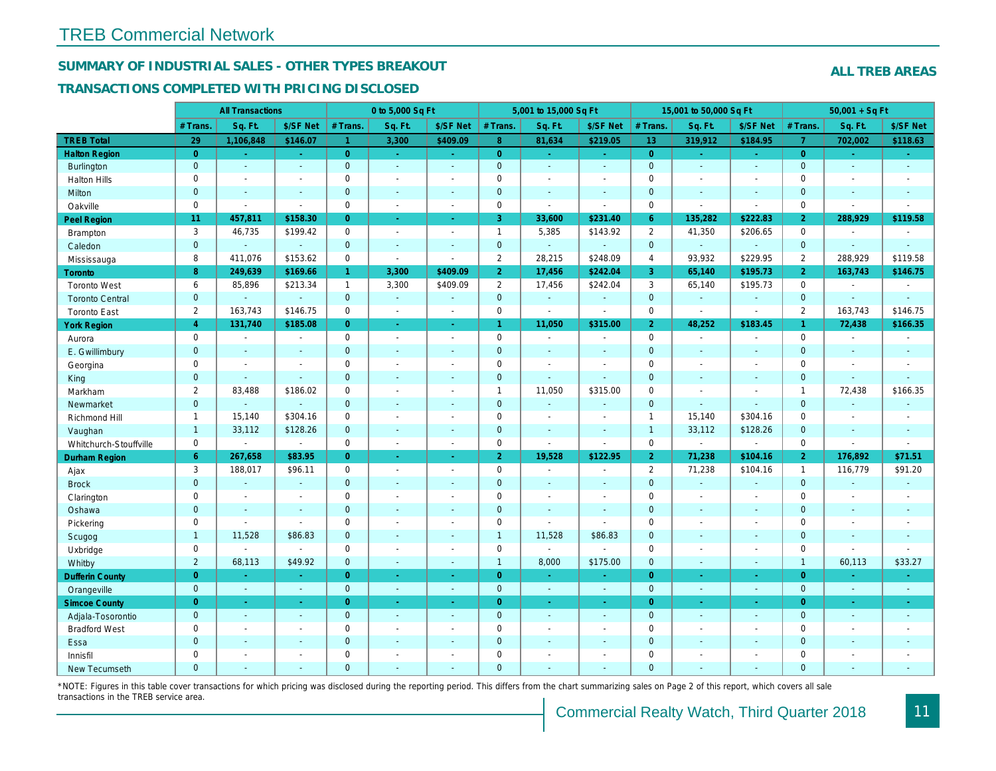## SUMMARY OF INDUSTRIAL SALES - OTHER TYPES BREAKOUT

#### TRANSACTIONS COMPLETED WITH PRICING DISCLOSED

|                        |                | <b>All Transactions</b>  |                |                | 0 to 5,000 Sq Ft         |                          |                      | 5,001 to 15,000 Sq Ft    |                          |                | 15,001 to 50,000 Sq Ft |                |
|------------------------|----------------|--------------------------|----------------|----------------|--------------------------|--------------------------|----------------------|--------------------------|--------------------------|----------------|------------------------|----------------|
|                        | # Trans        | Sq. Ft.                  | \$/SF Net      | # Trans.       | Sq. Ft.                  | \$/SF Net                | # Trans.             | Sq. Ft.                  | \$/SF Net                | # Trans.       | Sq. Ft.                | \$/SF Ne       |
| <b>TREB Total</b>      | 29             | 1,106,848                | \$146.07       | $\mathbf{1}$   | 3,300                    | \$409.09                 | 8 <sup>°</sup>       | 81,634                   | \$219.05                 | 13             | 319,912                | \$184.95       |
| <b>Halton Region</b>   | $\overline{0}$ | $\sim$                   | $\omega$       | $\overline{0}$ | $\omega$                 | $\omega$                 | $\overline{0}$       | $\omega_{\rm c}$         | ÷.                       | $\overline{0}$ | $\blacksquare$         | $\sim$         |
| Burlington             | $\overline{0}$ | $\omega$                 | $\mathbf{r}$   | $\overline{0}$ | $\omega$                 | $\omega$                 | $\mathbf{0}$         | $\omega$                 | $\blacksquare$           | $\mathbf{0}$   | $\sim$                 | $\sim$         |
| <b>Halton Hills</b>    | 0              | $\blacksquare$           | $\blacksquare$ | 0              | $\blacksquare$           | $\overline{\phantom{a}}$ | $\mathbf 0$          | $\sim$                   | $\blacksquare$           | $\mathbf 0$    | $\overline{a}$         | $\blacksquare$ |
| Milton                 | $\overline{0}$ | $\blacksquare$           | $\blacksquare$ | $\overline{0}$ | $\mathbf{r}$             | $\sim$                   | $\mathbf 0$          | $\sim$                   | $\sim$                   | $\mathbf{0}$   | $\omega$               | $\sim$         |
| Oakville               | $\mathbf 0$    | $\sim$                   | $\sim$         | $\mathbf 0$    | $\blacksquare$           | $\blacksquare$           | $\mathbf 0$          | $\sim$                   | $\sim$                   | $\mathbf 0$    | ÷.                     | $\blacksquare$ |
| Peel Region            | 11             | 457,811                  | \$158.30       | $\overline{0}$ | $\bullet$                | $\sim$                   | 3                    | 33,600                   | \$231.40                 | 6              | 135,282                | \$222.83       |
| <b>Brampton</b>        | 3              | 46,735                   | \$199.42       | $\mathbf 0$    | $\sim$                   | $\overline{\phantom{a}}$ | $\mathbf{1}$         | 5,385                    | \$143.92                 | 2              | 41,350                 | \$206.65       |
| Caledon                | $\mathbf{0}$   | $\blacksquare$           | $\omega$       | $\overline{0}$ | $\omega$                 | $\sim$                   | $\mathbf{0}$         | $\omega_{\rm c}$         | $\omega$                 | $\mathbf{0}$   | $\omega$               | $\sim$         |
| Mississauga            | 8              | 411,076                  | \$153.62       | 0              | $\sim$                   | $\blacksquare$           | $\overline{2}$       | 28,215                   | \$248.09                 | $\overline{4}$ | 93,932                 | \$229.95       |
| <b>Toronto</b>         | 8              | 249,639                  | \$169.66       | $\mathbf{1}$   | 3,300                    | \$409.09                 | 2 <sub>1</sub>       | 17,456                   | \$242.04                 | 3              | 65,140                 | \$195.7        |
| <b>Toronto West</b>    | 6              | 85,896                   | \$213.34       | $\mathbf{1}$   | 3,300                    | \$409.09                 | $\overline{2}$       | 17,456                   | \$242.04                 | 3              | 65,140                 | \$195.73       |
| <b>Toronto Central</b> | $\mathbf{0}$   | $\sim$                   | $\blacksquare$ | $\mathbf 0$    | $\sim$                   | $\sim$                   | $\mathbf 0$          | $\blacksquare$           | $\blacksquare$           | $\mathbf{0}$   | $\omega$               | $\blacksquare$ |
| <b>Toronto East</b>    | $\overline{2}$ | 163,743                  | \$146.75       | $\mathbf 0$    | $\blacksquare$           | $\sim$                   | $\mathbf 0$          | $\omega$                 | $\sim$                   | $\mathbf 0$    | $\blacksquare$         | $\sim$         |
| <b>York Region</b>     | $\overline{4}$ | 131,740                  | \$185.08       | $\Omega$       | $\sim$                   | $\sim$                   | $\blacktriangleleft$ | 11,050                   | \$315.00                 | $\overline{2}$ | 48,252                 | \$183.45       |
| Aurora                 | $\mathbf 0$    | $\blacksquare$           | $\blacksquare$ | $\mathbf 0$    | $\sim$                   | $\overline{\phantom{a}}$ | $\mathbf 0$          | $\blacksquare$           | $\blacksquare$           | $\mathbf 0$    | $\blacksquare$         | $\blacksquare$ |
| E. Gwillimbury         | $\mathbf{0}$   | $\blacksquare$           | $\blacksquare$ | $\overline{0}$ |                          | $\sim$                   | $\mathbf 0$          | $\sim$                   | $\sim$                   | $\mathbf 0$    | ä,                     | $\blacksquare$ |
| Georgina               | $\mathbf 0$    | $\sim$                   | $\blacksquare$ | $\mathbf 0$    | $\blacksquare$           | $\sim$                   | $\mathbf 0$          | $\sim$                   | $\sim$                   | $\mathbf 0$    | $\blacksquare$         | $\blacksquare$ |
| King                   | $\mathbf{0}$   | $\blacksquare$           | $\omega$       | $\overline{0}$ | $\sim$                   | $\sim$                   | $\mathbf 0$          | $\blacksquare$           | $\blacksquare$           | $\mathbf{0}$   | $\blacksquare$         | $\blacksquare$ |
| Markham                | $\overline{2}$ | 83,488                   | \$186.02       | $\mathbf 0$    | $\sim$                   | $\overline{\phantom{a}}$ | $\mathbf{1}$         | 11,050                   | \$315.00                 | $\mathbf 0$    | $\blacksquare$         | $\blacksquare$ |
| Newmarket              | $\mathbf{0}$   | ä,                       | $\blacksquare$ | $\mathbf 0$    | $\sim$                   | $\sim$                   | $\pmb{0}$            | $\blacksquare$           | $\sim$                   | $\mathbf{0}$   | $\blacksquare$         | $\blacksquare$ |
| Richmond Hill          | $\mathbf{1}$   | 15,140                   | \$304.16       | 0              | $\overline{\phantom{a}}$ | $\overline{\phantom{a}}$ | $\mathbf 0$          | $\blacksquare$           | $\overline{\phantom{a}}$ | $\mathbf{1}$   | 15,140                 | \$304.16       |
| Vaughan                | $\mathbf{1}$   | 33,112                   | \$128.26       | $\overline{0}$ | $\sim$                   | $\sim$                   | $\mathbf{0}$         | $\overline{\phantom{a}}$ | $\overline{\phantom{a}}$ | $\overline{1}$ | 33,112                 | \$128.26       |
| Whitchurch-Stouffville | $\mathsf 0$    | $\overline{\phantom{a}}$ | $\omega$       | 0              | $\blacksquare$           | $\blacksquare$           | $\mathsf 0$          | $\ddot{\phantom{a}}$     | $\blacksquare$           | $\mathbf 0$    | $\blacksquare$         | $\blacksquare$ |
| Durham Region          | 6              | 267,658                  | \$83.95        | $\overline{0}$ | $\omega$                 | $\sim$                   | 2 <sup>1</sup>       | 19,528                   | \$122.95                 | 2 <sup>1</sup> | 71,238                 | \$104.1        |
| Ajax                   | 3              | 188,017                  | \$96.11        | $\mathbf 0$    | $\sim$                   | $\sim$                   | $\mathbf 0$          | $\blacksquare$           | $\blacksquare$           | $\overline{2}$ | 71,238                 | \$104.16       |
| <b>Brock</b>           | $\mathbf{0}$   | $\omega$                 | $\blacksquare$ | $\overline{0}$ | $\omega$                 | $\blacksquare$           | $\mathbf 0$          | $\blacksquare$           | $\mathbf{u}$             | $\mathbf{0}$   | $\sim$                 | $\sim$         |
| Clarington             | 0              | $\blacksquare$           | $\blacksquare$ | $\mathbf 0$    | $\sim$                   |                          | $\mathbf 0$          | $\sim$                   | $\blacksquare$           | $\mathbf 0$    | $\overline{a}$         | $\blacksquare$ |
| Oshawa                 | $\overline{0}$ | $\blacksquare$           | $\blacksquare$ | $\overline{0}$ |                          |                          | $\mathbf 0$          | $\blacksquare$           | $\blacksquare$           | $\overline{0}$ | $\blacksquare$         | $\blacksquare$ |
| Pickering              | 0              | $\sim$                   | $\blacksquare$ | $\mathbf 0$    | $\blacksquare$           | $\sim$                   | $\mathbf 0$          | $\tilde{\phantom{a}}$    | $\sim$                   | $\mathbf 0$    | ÷,                     | $\blacksquare$ |
| Scugog                 | $\mathbf{1}$   | 11,528                   | \$86.83        | $\overline{0}$ | $\sim$                   | $\blacksquare$           | $\mathbf{1}$         | 11,528                   | \$86.83                  | $\mathbf 0$    | $\blacksquare$         | $\blacksquare$ |
| Uxbridge               | $\mathbf 0$    | $\blacksquare$           | $\blacksquare$ | $\mathbf 0$    | $\sim$                   |                          | $\mathbf 0$          | $\tilde{\phantom{a}}$    | $\tilde{\phantom{a}}$    | $\mathbf 0$    | L.                     | $\blacksquare$ |
| Whitby                 | $\overline{2}$ | 68,113                   | \$49.92        | $\mathbf 0$    | $\sim$                   | $\sim$                   | $\mathbf{1}$         | 8,000                    | \$175.00                 | $\mathbf{0}$   | $\blacksquare$         | $\sim$         |
| <b>Dufferin County</b> | $\overline{0}$ | $\sim$                   | $\sim$         | $\overline{0}$ | $\sim$                   | $\sim$                   | $\overline{0}$       | $\blacksquare$           | ٠                        | $\overline{0}$ | ٠                      | $\sim$         |
| Orangeville            | $\mathbf{0}$   | $\sim$                   | $\sim$         | $\overline{0}$ | $\omega$                 | $\omega$                 | $\mathbf{0}$         | $\omega$                 | $\sim$                   | $\mathbf{0}$   | $\omega$               | $\sim$         |
| <b>Simcoe County</b>   | $\overline{0}$ | $\sim$                   | $\omega$       | $\overline{0}$ | $\sim$                   | $\sim$                   | $\overline{0}$       | $\blacksquare$           | $\omega$                 | $\overline{0}$ | $\blacksquare$         | $\bullet$      |
| Adjala-Tosorontio      | $\mathbf{0}$   | $\omega$                 | $\blacksquare$ | $\mathbf 0$    | $\sim$                   | $\sim$                   | $\mathbf{0}$         | $\blacksquare$           | $\blacksquare$           | $\mathbf{0}$   | $\omega$               | $\sim$         |
| <b>Bradford West</b>   | $\mathbf 0$    | $\sim$                   | $\blacksquare$ | $\mathbf 0$    | $\sim$                   | $\sim$                   | $\mathbf 0$          | $\sim$                   | $\blacksquare$           | $\mathbf 0$    | $\blacksquare$         | $\sim$         |
| Essa                   | $\mathbf{0}$   | $\blacksquare$           | $\blacksquare$ | $\mathbf 0$    |                          |                          | $\pmb{0}$            | $\blacksquare$           | $\sim$                   | $\mathbf 0$    | $\blacksquare$         |                |
| Innisfil               | $\mathbf 0$    | $\blacksquare$           | $\blacksquare$ | $\mathbf 0$    | $\sim$                   | $\sim$                   | $\mathbf 0$          | $\blacksquare$           | $\blacksquare$           | $\mathbf 0$    | L.                     | $\blacksquare$ |
| <b>New Tecumseth</b>   | $\Omega$       |                          |                | $\Omega$       |                          |                          | $\Omega$             |                          |                          | $\overline{0}$ |                        |                |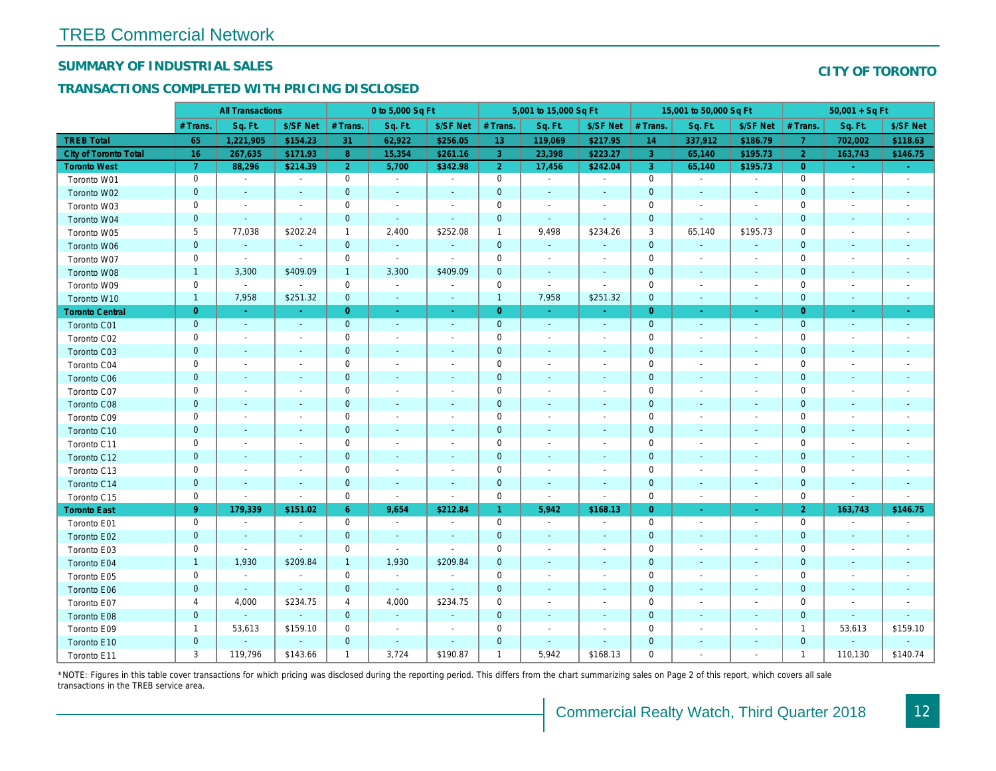## SUMMARY OF INDUSTRIAL SALES

## TRANSACTIONS COMPLETED WITH PRICING DISCLOSED

|                              | <b>All Transactions</b> |                          | 0 to 5,000 Sq Ft         |                |                |                          | 5,001 to 15,000 Sq Ft | 15,001 to 50,000 Sq Ft   |                          |                |                          |                          |
|------------------------------|-------------------------|--------------------------|--------------------------|----------------|----------------|--------------------------|-----------------------|--------------------------|--------------------------|----------------|--------------------------|--------------------------|
|                              | # Trans                 | Sq. Ft.                  | \$/SF Net                | # Trans.       | Sq. Ft.        | \$/SF Net                | # Trans.              | Sq. Ft.                  | \$/SF Net                | # Trans.       | Sq. Ft.                  | \$/SF Ne                 |
| <b>TREB Total</b>            | 65                      | 1,221,905                | \$154.23                 | 31             | 62,922         | \$256.05                 | 13                    | 119,069                  | \$217.95                 | 14             | 337,912                  | \$186.7                  |
| <b>City of Toronto Total</b> | 16                      | 267,635                  | \$171.93                 | 8              | 15,354         | \$261.16                 | $\overline{3}$        | 23,398                   | \$223.27                 | $\overline{3}$ | 65,140                   | \$195.7                  |
| <b>Toronto West</b>          | $\overline{7}$          | 88,296                   | \$214.39                 | 2 <sup>1</sup> | 5,700          | \$342.98                 | 2 <sup>1</sup>        | 17,456                   | \$242.04                 | $\mathbf{3}$   | 65,140                   | \$195.73                 |
| Toronto W01                  | $\mathbf 0$             | $\sim$                   | $\blacksquare$           | $\mathbf 0$    | $\sim$         | $\blacksquare$           | $\mathsf 0$           | $\blacksquare$           | $\blacksquare$           | $\mathbf 0$    | $\blacksquare$           | $\blacksquare$           |
| Toronto W02                  | $\mathbf 0$             | $\sim$                   |                          | $\mathbf 0$    | $\blacksquare$ | $\blacksquare$           | $\mathbf 0$           | $\blacksquare$           | ٠                        | $\mathbf 0$    | $\blacksquare$           | $\blacksquare$           |
| Toronto W03                  | 0                       | $\blacksquare$           | $\sim$                   | 0              | $\blacksquare$ | $\blacksquare$           | 0                     | $\blacksquare$           | $\blacksquare$           | 0              | $\blacksquare$           | $\blacksquare$           |
| Toronto W04                  | $\mathbf{0}$            | $\sim$                   | $\sim$                   | $\mathbf 0$    | $\omega$       | $\mathbf{r}$             | $\mathbf{0}$          | $\omega$                 | $\Delta$                 | $\mathbf{0}$   | $\Delta$                 | $\sim$                   |
| Toronto W05                  | 5                       | 77,038                   | \$202.24                 | $\mathbf{1}$   | 2,400          | \$252.08                 | $\mathbf{1}$          | 9,498                    | \$234.26                 | 3              | 65,140                   | \$195.73                 |
| Toronto W06                  | $\mathbf 0$             | $\blacksquare$           | $\sim$                   | $\mathbf 0$    | $\bullet$      | $\blacksquare$           | $\mathbf 0$           | $\blacksquare$           | $\blacksquare$           | $\mathbf 0$    | $\blacksquare$           |                          |
| Toronto W07                  | 0                       | $\blacksquare$           | $\blacksquare$           | 0              | $\sim$         | $\blacksquare$           | 0                     | $\overline{\phantom{a}}$ | $\blacksquare$           | 0              | $\overline{\phantom{a}}$ | $\overline{\phantom{a}}$ |
| Toronto W08                  | $\mathbf{1}$            | 3,300                    | \$409.09                 | $\mathbf{1}$   | 3,300          | \$409.09                 | $\mathbf 0$           | $\blacksquare$           | $\omega$                 | $\mathbf 0$    | $\blacksquare$           | $\blacksquare$           |
| Toronto W09                  | 0                       | $\blacksquare$           | $\sim$                   | $\mathbf 0$    | $\blacksquare$ | $\overline{\phantom{a}}$ | $\mathbf 0$           | $\blacksquare$           | $\blacksquare$           | $\mathbf 0$    | $\blacksquare$           | $\blacksquare$           |
| Toronto W10                  | $\mathbf{1}$            | 7,958                    | \$251.32                 | $\mathbf 0$    | $\blacksquare$ | $\bullet$                | $\mathbf{1}$          | 7,958                    | \$251.32                 | $\mathbf 0$    | $\blacksquare$           | $\blacksquare$           |
| <b>Toronto Central</b>       | $\overline{0}$          | $\sim$                   | $\sim$                   | $\overline{0}$ | $\blacksquare$ | $\blacksquare$           | $\overline{0}$        | $\sim$                   | $\sim$                   | $\overline{0}$ | $\blacksquare$           | $\sim$                   |
| Toronto C01                  | $\mathbf{0}$            | $\sim$                   | $\sim$                   | $\mathbf{0}$   | $\sim$         | $\sim$                   | $\mathbf 0$           | $\blacksquare$           | $\sim$                   | $\mathbf{0}$   | $\blacksquare$           | $\blacksquare$           |
| Toronto C02                  | $\mathbf 0$             | $\overline{\phantom{a}}$ |                          | $\mathbf 0$    | $\overline{a}$ | $\blacksquare$           | $\mathsf 0$           | $\overline{a}$           | $\overline{a}$           | $\mathbf 0$    | ٠                        | $\blacksquare$           |
| Toronto C03                  | $\mathbf 0$             | $\blacksquare$           | $\sim$                   | $\mathbf{0}$   | ä,             | $\blacksquare$           | $\mathbf 0$           | ÷,                       | ٠                        | $\mathbf{0}$   | $\blacksquare$           | $\blacksquare$           |
| Toronto C04                  | 0                       | $\blacksquare$           |                          | $\mathbf 0$    | $\blacksquare$ | $\blacksquare$           | $\mathbf 0$           | $\blacksquare$           | $\blacksquare$           | $\mathbf 0$    | ÷,                       | $\blacksquare$           |
| Toronto C06                  | $\mathbf 0$             | $\blacksquare$           |                          | $\mathbf 0$    | $\blacksquare$ | $\blacksquare$           | $\mathbf 0$           | ÷,                       | $\blacksquare$           | $\mathbf 0$    | $\blacksquare$           | $\blacksquare$           |
| Toronto C07                  | $\mathbf 0$             |                          |                          | $\mathbf 0$    | $\sim$         | $\blacksquare$           | $\mathbf 0$           |                          | $\sim$                   | $\mathbf 0$    | J.                       | $\blacksquare$           |
| Toronto C08                  | $\mathbf{0}$            | $\sim$                   |                          | $\mathbf 0$    | $\frac{1}{2}$  | $\blacksquare$           | $\mathbf 0$           | ٠                        | $\blacksquare$           | $\mathbf{0}$   | $\blacksquare$           | $\blacksquare$           |
| Toronto C09                  | 0                       | $\overline{\phantom{a}}$ | $\overline{\phantom{a}}$ | $\mathbf 0$    | $\blacksquare$ | $\blacksquare$           | $\mathbf 0$           | $\overline{\phantom{a}}$ | $\overline{\phantom{a}}$ | 0              | $\overline{\phantom{a}}$ | $\overline{\phantom{a}}$ |
| Toronto C10                  | $\mathbf 0$             | $\sim$                   | $\sim$                   | $\mathbf 0$    | $\blacksquare$ | $\blacksquare$           | $\mathbf 0$           | $\blacksquare$           | $\blacksquare$           | $\mathbf 0$    | $\blacksquare$           | $\blacksquare$           |
| Toronto C11                  | 0                       | $\overline{\phantom{a}}$ |                          | $\mathbf 0$    | $\sim$         | $\blacksquare$           | $\mathbf 0$           | $\sim$                   | $\blacksquare$           | $\mathbf 0$    | $\sim$                   | $\blacksquare$           |
| Toronto C12                  | $\mathbf{0}$            | $\sim$                   | $\sim$                   | $\overline{0}$ | ä,             | $\blacksquare$           | $\mathbf{0}$          | $\sim$                   | $\sim$                   | $\mathbf 0$    | $\sim$                   | $\sim$                   |
| Toronto C13                  | 0                       | $\overline{\phantom{a}}$ | $\overline{\phantom{a}}$ | $\mathbf 0$    | $\blacksquare$ | $\blacksquare$           | $\pmb{0}$             | $\overline{\phantom{a}}$ | $\blacksquare$           | 0              | $\overline{\phantom{a}}$ | $\overline{\phantom{a}}$ |
| Toronto C14                  | $\mathbf 0$             | $\overline{\phantom{a}}$ | $\sim$                   | $\mathbf 0$    | $\sim$         | $\overline{\phantom{a}}$ | $\mathbf 0$           | $\blacksquare$           | $\blacksquare$           | $\mathbf 0$    | $\overline{\phantom{a}}$ | $\sim$                   |
| Toronto C15                  | 0                       | $\blacksquare$           | $\blacksquare$           | $\mathbf 0$    | $\blacksquare$ | $\blacksquare$           | $\mathbf 0$           | $\blacksquare$           | $\blacksquare$           | $\mathbf 0$    | $\blacksquare$           | $\sim$                   |
| <b>Toronto East</b>          | 9 <sup>°</sup>          | 179,339                  | \$151.02                 | $6^{\circ}$    | 9,654          | \$212.84                 | $\mathbf{1}$          | 5,942                    | \$168.13                 | $\overline{0}$ | $\sim$                   | $\sim$                   |
| Toronto E01                  | 0                       | $\blacksquare$           | $\blacksquare$           | $\mathbf 0$    | $\sim$         | $\blacksquare$           | $\mathbf 0$           | $\sim$                   | $\blacksquare$           | $\mathbf 0$    | $\blacksquare$           | $\sim$                   |
| Toronto E02                  | $\mathbf 0$             | $\sim$                   | $\sim$                   | $\mathbf 0$    | $\blacksquare$ | $\blacksquare$           | $\mathbf 0$           | $\blacksquare$           | $\sim$                   | $\mathbf 0$    | $\blacksquare$           | $\blacksquare$           |
| Toronto E03                  | 0                       | $\sim$                   | $\overline{\phantom{a}}$ | 0              | $\blacksquare$ | $\overline{\phantom{a}}$ | $\mathbf 0$           | $\blacksquare$           | $\blacksquare$           | $\mathbf 0$    | $\blacksquare$           | $\blacksquare$           |
| Toronto E04                  | $\mathbf{1}$            | 1,930                    | \$209.84                 | $\mathbf{1}$   | 1,930          | \$209.84                 | $\mathbf 0$           | $\sim$                   | $\blacksquare$           | $\mathbf{0}$   | $\sim$                   | $\blacksquare$           |
| Toronto E05                  | 0                       | $\sim$                   | $\blacksquare$           | $\mathbf 0$    | $\sim$         | $\blacksquare$           | $\mathbf 0$           | $\blacksquare$           | $\blacksquare$           | $\mathbf 0$    | $\overline{\phantom{a}}$ | $\blacksquare$           |
| Toronto E06                  | $\mathbf 0$             |                          | $\sim$                   | $\mathbf 0$    | $\sim$         | $\blacksquare$           | $\mathbf 0$           |                          |                          | $\mathbf 0$    | $\blacksquare$           |                          |
| Toronto E07                  | 4                       | 4,000                    | \$234.75                 | 4              | 4,000          | \$234.75                 | 0                     | $\overline{\phantom{a}}$ | $\blacksquare$           | 0              | $\blacksquare$           | $\blacksquare$           |
| Toronto E08                  | $\mathbf{0}$            | $\omega$                 | $\omega$                 | $\overline{0}$ | $\sim$         | $\blacksquare$           | $\mathbf 0$           | $\sim$                   | $\sim$                   | $\mathbf 0$    | $\sim$                   |                          |
| Toronto E09                  | $\mathbf{1}$            | 53,613                   | \$159.10                 | 0              | $\blacksquare$ | $\blacksquare$           | $\mathbf 0$           | $\blacksquare$           | $\blacksquare$           | $\mathbf 0$    | $\blacksquare$           | $\blacksquare$           |
| Toronto E10                  | $\mathbf 0$             |                          | $\sim$                   | $\mathbf 0$    | $\blacksquare$ | $\blacksquare$           | $\mathbf 0$           | $\blacksquare$           | $\sim$                   | $\mathbf 0$    |                          |                          |
| Toronto E11                  | 3                       | 119,796                  | \$143.66                 | $\mathbf{1}$   | 3,724          | \$190.87                 | $\mathbf{1}$          | 5,942                    | \$168.13                 | 0              | $\blacksquare$           | $\overline{\phantom{a}}$ |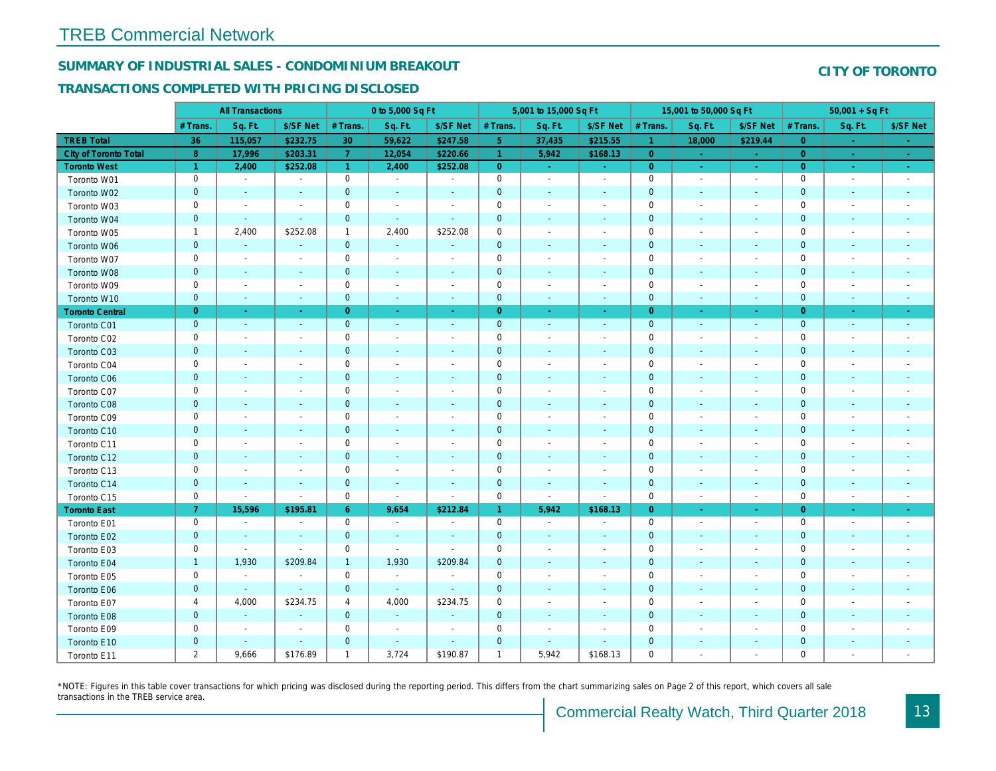## SUMMARY OF INDUSTRIAL SALES - CONDOMINIUM BREAKOUT

#### TRANSACTIONS COMPLETED WITH PRICING DISCLOSED

|                        |                      | <b>All Transactions</b>  |                          | 0 to 5,000 Sq Ft     |                          |                          |                     | 5,001 to 15,000 Sq Ft    |                          |                      | 15,001 to 50,000 Sq Ft   |                          |
|------------------------|----------------------|--------------------------|--------------------------|----------------------|--------------------------|--------------------------|---------------------|--------------------------|--------------------------|----------------------|--------------------------|--------------------------|
|                        | # Trans.             | Sq. Ft.                  | \$/SF Net                | # Trans.             | Sq. Ft.                  | \$/SF Net                | # Trans.            | Sq. Ft.                  | \$/SF Net                | # Trans.             | Sq. Ft.                  | \$/SF Ne                 |
| <b>TREB Total</b>      | 36                   | 115,057                  | \$232.75                 | 30                   | 59,622                   | \$247.58                 | 5 <sub>1</sub>      | 37,435                   | \$215.55                 | $\blacktriangleleft$ | 18,000                   | \$219.44                 |
| City of Toronto Total  | $\bf 8$              | 17,996                   | \$203.31                 | $\overline{7}$       | 12,054                   | \$220.66                 | $\overline{1}$      | 5,942                    | \$168.13                 | $\overline{0}$       | $\sim$                   | $\sim$                   |
| <b>Toronto West</b>    | $\blacktriangleleft$ | 2,400                    | \$252.08                 | $\blacktriangleleft$ | 2,400                    | \$252.08                 | $\overline{0}$      | $\omega_{\rm c}$         | $\sim$                   | $\overline{0}$       | $\sim$                   | $\sim$                   |
| Toronto W01            | 0                    | $\blacksquare$           | $\blacksquare$           | $\mathbf 0$          | $\sim$                   | $\blacksquare$           | $\mathbf 0$         | $\sim$                   | $\blacksquare$           | $\mathbf 0$          | $\blacksquare$           | $\sim$                   |
| Toronto W02            | $\mathbf{0}$         | $\sim$                   | $\sim$                   | $\mathbf{0}$         | $\blacksquare$           | $\blacksquare$           | $\mathbf 0$         | $\blacksquare$           | $\blacksquare$           | $\mathbf 0$          | $\blacksquare$           | $\blacksquare$           |
| Toronto W03            | 0                    | $\blacksquare$           | $\overline{\phantom{a}}$ | $\mathbf 0$          | $\blacksquare$           | $\blacksquare$           | $\mathbf 0$         | $\blacksquare$           | $\blacksquare$           | $\mathbf 0$          | $\blacksquare$           | $\blacksquare$           |
| Toronto W04            | $\mathbf 0$          | $\sim$                   | $\sim$                   | $\mathbf{0}$         | $\blacksquare$           | $\blacksquare$           | $\mathbf 0$         | $\blacksquare$           | $\blacksquare$           | $\mathbf{0}$         | $\blacksquare$           | $\blacksquare$           |
| Toronto W05            | $\mathbf{1}$         | 2,400                    | \$252.08                 | $\mathbf{1}$         | 2,400                    | \$252.08                 | $\mathbf 0$         | $\overline{\phantom{a}}$ | $\blacksquare$           | 0                    | $\overline{\phantom{a}}$ | $\blacksquare$           |
| Toronto W06            | $\mathbf{0}$         |                          |                          | $\mathbf 0$          | $\blacksquare$           | $\blacksquare$           | $\mathbf 0$         |                          |                          | $\mathbf 0$          | $\sim$                   |                          |
| Toronto W07            | $\mathsf 0$          | $\blacksquare$           | $\overline{\phantom{a}}$ | $\mathbf 0$          | $\blacksquare$           | $\blacksquare$           | $\mathbf 0$         | $\overline{\phantom{a}}$ | $\blacksquare$           | $\mathbf 0$          | $\overline{\phantom{a}}$ | $\blacksquare$           |
| Toronto W08            | $\pmb{0}$            | $\sim$                   | $\sim$                   | $\mathbf 0$          | $\blacksquare$           | $\blacksquare$           | $\mathbf 0$         | $\blacksquare$           | $\blacksquare$           | $\mathbf 0$          | $\blacksquare$           | $\sim$                   |
| Toronto W09            | 0                    | $\blacksquare$           | $\blacksquare$           | 0                    | $\overline{\phantom{a}}$ | $\blacksquare$           | $\mathbf 0$         | $\blacksquare$           | $\blacksquare$           | 0                    | $\blacksquare$           | $\blacksquare$           |
| Toronto W10            | $\mathbf{0}$         | $\sim$                   | $\sim$                   | $\mathbf 0$          | $\omega$                 | $\sim$                   | $\mathbf 0$         | $\blacksquare$           | $\sim$                   | $\mathbf 0$          | $\blacksquare$           | $\sim$                   |
| <b>Toronto Central</b> | $\overline{0}$       | $\sim$                   | $\sim$                   | $\overline{0}$       | $\omega$                 | $\sim$                   | $\overline{0}$      | $\omega$                 | $\omega$                 | $\overline{0}$       | $\bullet$                | $\sim$                   |
| Toronto C01            | $\mathbf 0$          | $\blacksquare$           | $\sim$                   | $\mathbf{0}$         | $\omega$                 | $\blacksquare$           | $\mathbf 0$         | $\blacksquare$           | $\blacksquare$           | $\mathbf 0$          | $\blacksquare$           | $\blacksquare$           |
| Toronto C02            | 0                    | $\sim$                   | $\sim$                   | $\mathbf 0$          | $\sim$                   | $\blacksquare$           | $\mathbf 0$         | $\blacksquare$           | $\blacksquare$           | $\mathbf 0$          | ٠                        | $\blacksquare$           |
| Toronto C03            | $\mathbf 0$          | $\sim$                   |                          | $\mathbf 0$          | $\frac{1}{2}$            | $\blacksquare$           | $\mathbf 0$         | ÷,                       | ٠                        | $\mathbf 0$          | $\blacksquare$           | $\blacksquare$           |
| Toronto C04            | 0                    | $\overline{\phantom{a}}$ |                          | $\mathbf 0$          | $\blacksquare$           | $\blacksquare$           | $\mathbf 0$         | $\blacksquare$           | $\blacksquare$           | 0                    | $\overline{\phantom{a}}$ | $\blacksquare$           |
| Toronto C06            | $\mathbf 0$          | $\sim$                   | $\sim$                   | $\mathbf 0$          | $\blacksquare$           | $\blacksquare$           | $\mathbf 0$         | $\blacksquare$           | $\blacksquare$           | $\mathbf 0$          | $\blacksquare$           | $\blacksquare$           |
| Toronto C07            | $\mathbf 0$          | $\overline{\phantom{a}}$ | $\sim$                   | $\mathbf 0$          | $\sim$                   | $\blacksquare$           | $\mathsf 0$         | $\blacksquare$           | $\sim$                   | $\mathbf 0$          | ٠                        | $\blacksquare$           |
| Toronto C08            | $\mathbf 0$          | $\blacksquare$           | $\blacksquare$           | $\mathbf 0$          | $\frac{1}{2}$            | $\blacksquare$           | $\mathbf 0$         | ÷,                       | $\blacksquare$           | $\mathbf{0}$         | $\blacksquare$           | $\blacksquare$           |
| Toronto C09            | 0                    |                          |                          | $\mathbf 0$          | $\overline{\phantom{a}}$ | $\blacksquare$           | $\mathbf 0$         |                          | $\overline{a}$           | $\mathbf 0$          |                          |                          |
| Toronto C10            | $\mathbf{0}$         | $\sim$                   |                          | $\mathbf{0}$         | $\blacksquare$           | $\blacksquare$           | $\mathbf 0$         | $\blacksquare$           | $\sim$                   | $\mathbf 0$          | $\blacksquare$           | $\blacksquare$           |
| Toronto C11            | $\mathsf 0$          | $\sim$                   |                          | $\mathbf 0$          | $\blacksquare$           | $\blacksquare$           | $\mathsf{O}\xspace$ | $\sim$                   | $\sim$                   | $\mathbf 0$          | $\blacksquare$           | $\blacksquare$           |
| Toronto C12            | $\pmb{0}$            | $\sim$                   | $\sim$                   | $\mathbf 0$          | ä,                       | $\blacksquare$           | $\mathbf 0$         | $\blacksquare$           | $\blacksquare$           | $\mathbf 0$          | $\blacksquare$           | ٠                        |
| Toronto C13            | 0                    | $\overline{\phantom{a}}$ | $\overline{\phantom{a}}$ | $\mathbf 0$          | $\blacksquare$           | $\blacksquare$           | $\mathbf 0$         | $\blacksquare$           | $\overline{\phantom{a}}$ | 0                    | $\overline{\phantom{a}}$ | $\overline{\phantom{a}}$ |
| Toronto C14            | $\mathbf{0}$         | $\sim$                   | $\sim$                   | $\mathbf 0$          | $\blacksquare$           | $\blacksquare$           | $\mathbf 0$         | $\sim$                   | $\sim$                   | $\mathbf{0}$         | $\omega$                 | $\sim$                   |
| Toronto C15            | 0                    | $\blacksquare$           | $\blacksquare$           | $\mathbf 0$          | $\blacksquare$           | $\blacksquare$           | $\mathbf 0$         | $\blacksquare$           | $\blacksquare$           | $\mathbf 0$          | $\overline{\phantom{a}}$ | $\sim$                   |
| <b>Toronto East</b>    | 7 <sup>1</sup>       | 15,596                   | \$195.81                 | $6^{\circ}$          | 9,654                    | \$212.84                 | $\mathbf{1}$        | 5,942                    | \$168.13                 | $\overline{0}$       | $\bullet$                | $\sigma_{\rm c}$         |
| Toronto E01            | 0                    | $\sim$                   | $\sim$                   | $\mathbf 0$          | $\sim$                   | $\overline{\phantom{a}}$ | $\mathbf 0$         | $\sim$                   | $\blacksquare$           | $\mathbf 0$          | $\blacksquare$           | $\sim$                   |
| Toronto E02            | $\pmb{0}$            | $\sim$                   | $\sim$                   | $\mathbf{0}$         | $\sim$                   | $\blacksquare$           | $\mathbf 0$         | $\blacksquare$           | $\sim$                   | $\mathbf{0}$         | $\sim$                   | $\sim$                   |
| Toronto E03            | 0                    | $\sim$                   | $\sim$                   | $\mathbf 0$          | $\sim$                   | $\blacksquare$           | $\pmb{0}$           | $\overline{\phantom{a}}$ | $\blacksquare$           | 0                    | $\blacksquare$           | $\blacksquare$           |
| Toronto E04            | $\mathbf{1}$         | 1,930                    | \$209.84                 | $\mathbf{1}$         | 1,930                    | \$209.84                 | $\mathbf 0$         | $\blacksquare$           | $\blacksquare$           | $\mathbf{0}$         | $\blacksquare$           | $\blacksquare$           |
| Toronto E05            | 0                    | $\sim$                   | $\blacksquare$           | $\mathbf 0$          | $\sim$                   | $\blacksquare$           | $\mathbf 0$         | $\blacksquare$           | $\blacksquare$           | $\mathbf 0$          | $\blacksquare$           | $\blacksquare$           |
| Toronto E06            | $\mathbf{0}$         | $\blacksquare$           | $\sim$                   | $\mathbf{0}$         | $\sim$                   | $\blacksquare$           | $\mathbf 0$         | ٠                        | ٠                        | $\mathbf{0}$         | $\blacksquare$           | $\blacksquare$           |
| Toronto E07            | 4                    | 4,000                    | \$234.75                 | 4                    | 4,000                    | \$234.75                 | $\mathbf 0$         | $\blacksquare$           | $\blacksquare$           | $\mathbf 0$          | $\blacksquare$           | $\blacksquare$           |
| Toronto E08            | $\mathbf{0}$         | $\sim$                   | $\sim$                   | $\mathbf 0$          | $\blacksquare$           | $\blacksquare$           | $\mathbf 0$         | ٠                        | $\sim$                   | $\mathbf{0}$         | $\sim$                   |                          |
| Toronto E09            | 0                    | $\blacksquare$           | $\sim$                   | $\mathbf 0$          | $\blacksquare$           | $\blacksquare$           | $\mathbf 0$         | $\sim$                   | $\blacksquare$           | $\mathbf 0$          | $\sim$                   | $\blacksquare$           |
| Toronto E10            | $\mathbf 0$          |                          | $\sim$                   | $\mathbf 0$          | $\blacksquare$           | $\blacksquare$           | $\mathbf 0$         | $\blacksquare$           | $\sim$                   | $\mathbf 0$          |                          |                          |
| Toronto E11            | 2                    | 9,666                    | \$176.89                 | $\mathbf{1}$         | 3,724                    | \$190.87                 | $\mathbf{1}$        | 5,942                    | \$168.13                 | $\mathbf 0$          | $\blacksquare$           | $\overline{\phantom{a}}$ |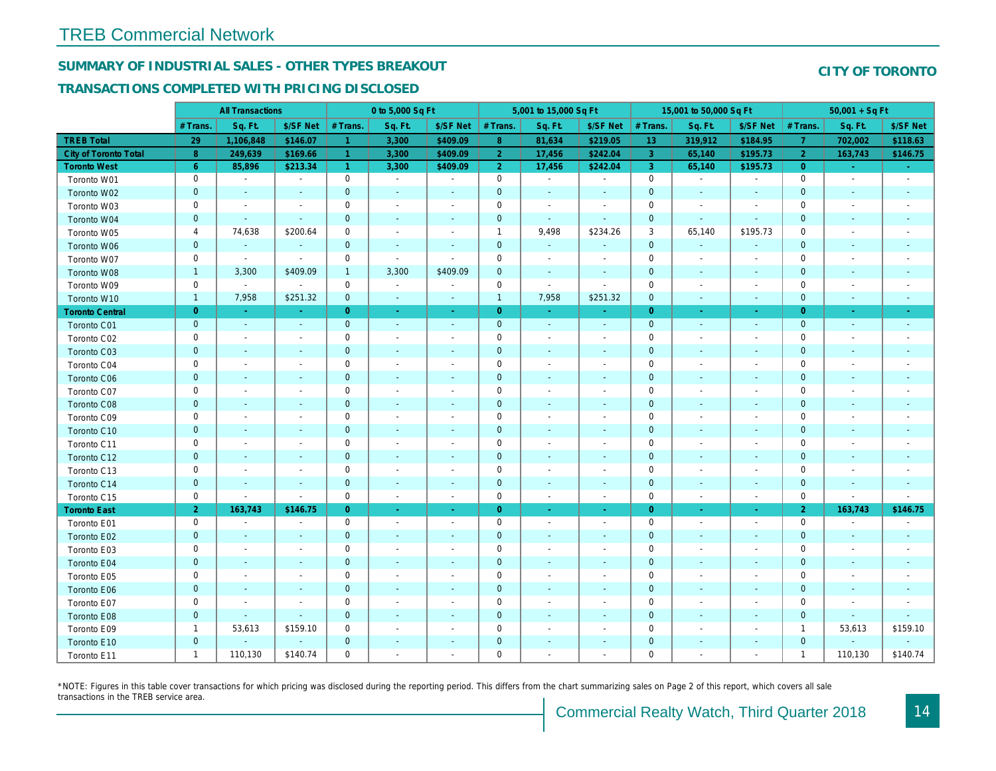## SUMMARY OF INDUSTRIAL SALES - OTHER TYPES BREAKOUT

### TRANSACTIONS COMPLETED WITH PRICING DISCLOSED

|                        |                | <b>All Transactions</b>  |                          |                      | 0 to 5,000 Sq Ft         |                          |                     | 5,001 to 15,000 Sq Ft    |                          |                 | 15,001 to 50,000 Sq Ft   |                          |
|------------------------|----------------|--------------------------|--------------------------|----------------------|--------------------------|--------------------------|---------------------|--------------------------|--------------------------|-----------------|--------------------------|--------------------------|
|                        | # Trans.       | Sq. Ft.                  | \$/SF Net                | # Trans.             | Sq. Ft.                  | \$/SF Net                | # Trans.            | Sq. Ft.                  | \$/SF Net                | # Trans.        | Sq. Ft.                  | \$/SF Ne                 |
| <b>TREB Total</b>      | 29             | 1,106,848                | \$146.07                 | -1                   | 3,300                    | \$409.09                 | 8 <sub>o</sub>      | 81,634                   | \$219.05                 | 13 <sup>°</sup> | 319,912                  | \$184.95                 |
| City of Toronto Total  | 8 <sup>°</sup> | 249,639                  | \$169.66                 | -1                   | 3,300                    | \$409.09                 | $\overline{2}$      | 17,456                   | \$242.04                 | $\overline{3}$  | 65,140                   | \$195.7                  |
| <b>Toronto West</b>    | $6^{\circ}$    | 85,896                   | \$213.34                 | $\blacktriangleleft$ | 3,300                    | \$409.09                 | 2 <sup>1</sup>      | 17,456                   | \$242.04                 | $\overline{3}$  | 65,140                   | \$195.73                 |
| Toronto W01            | 0              | $\blacksquare$           | $\overline{\phantom{a}}$ | $\mathbf 0$          | $\sim$                   | $\overline{\phantom{a}}$ | $\mathbf 0$         | $\sim$                   | $\sim$                   | $\mathbf 0$     | $\blacksquare$           | $\blacksquare$           |
| Toronto W02            | $\mathbf{0}$   | $\overline{\phantom{a}}$ | $\sim$                   | $\mathbf 0$          | $\sim$                   | $\blacksquare$           | $\mathbf 0$         | $\blacksquare$           | $\overline{\phantom{a}}$ | $\mathbf 0$     | $\blacksquare$           | $\blacksquare$           |
| Toronto W03            | 0              | $\overline{\phantom{a}}$ | $\overline{\phantom{a}}$ | $\mathbf 0$          | $\blacksquare$           | $\blacksquare$           | $\mathbf 0$         | $\blacksquare$           | $\blacksquare$           | $\mathbf 0$     | $\blacksquare$           | $\blacksquare$           |
| Toronto W04            | $\mathbf 0$    | $\blacksquare$           | $\sim$                   | $\mathbf 0$          | $\sim$                   | $\blacksquare$           | $\mathbf 0$         | $\blacksquare$           | ÷,                       | $\mathbf 0$     | $\blacksquare$           | $\blacksquare$           |
| Toronto W05            | 4              | 74,638                   | \$200.64                 | $\mathbf 0$          | $\blacksquare$           | $\blacksquare$           | $\mathbf{1}$        | 9,498                    | \$234.26                 | 3               | 65,140                   | \$195.73                 |
| Toronto W06            | $\mathbf{0}$   |                          |                          | $\mathbf 0$          | $\blacksquare$           |                          | $\mathbf 0$         | $\blacksquare$           | ä,                       | $\mathbf 0$     | $\omega$                 |                          |
| Toronto W07            | 0              | $\blacksquare$           | $\blacksquare$           | $\mathbf 0$          | $\sim$                   | $\blacksquare$           | $\mathbf 0$         | $\blacksquare$           | $\blacksquare$           | $\mathbf 0$     | $\blacksquare$           | $\overline{\phantom{a}}$ |
| Toronto W08            | $\mathbf{1}$   | 3,300                    | \$409.09                 | $\mathbf{1}$         | 3,300                    | \$409.09                 | $\pmb{0}$           | $\blacksquare$           | $\overline{\phantom{a}}$ | $\mathbf 0$     | $\blacksquare$           | ٠                        |
| Toronto W09            | 0              | $\blacksquare$           | $\blacksquare$           | 0                    | $\blacksquare$           | $\blacksquare$           | $\mathbf 0$         | $\overline{\phantom{a}}$ | $\blacksquare$           | 0               | $\blacksquare$           | $\blacksquare$           |
| Toronto W10            | $\mathbf{1}$   | 7,958                    | \$251.32                 | $\mathbf 0$          | $\omega$                 | $\blacksquare$           | $\mathbf{1}$        | 7,958                    | \$251.32                 | $\mathbf 0$     | $\blacksquare$           | $\sim$                   |
| <b>Toronto Central</b> | $\overline{0}$ | $\sim$                   | $\sim$                   | $\overline{0}$       | $\sim$                   | $\sim$                   | $\overline{0}$      | $\sim$                   | ÷.                       | $\overline{0}$  | $\bullet$                | $\sim$                   |
| Toronto C01            | $\mathbf 0$    | $\sim$                   | $\sim$                   | $\mathbf 0$          | $\omega$                 | $\blacksquare$           | $\mathbf 0$         | $\omega$                 | $\blacksquare$           | $\mathbf 0$     | $\omega$                 | $\blacksquare$           |
| Toronto C02            | 0              | $\overline{\phantom{a}}$ |                          | $\mathbf 0$          | $\blacksquare$           | $\blacksquare$           | $\mathbf 0$         | $\overline{a}$           | $\blacksquare$           | $\mathbf 0$     | $\ddot{\phantom{1}}$     | $\blacksquare$           |
| Toronto C03            | $\mathbf 0$    | $\overline{\phantom{a}}$ |                          | $\mathbf 0$          | $\blacksquare$           | ٠                        | $\mathbf 0$         | $\blacksquare$           | ٠                        | $\mathbf 0$     | $\blacksquare$           | $\blacksquare$           |
| Toronto C04            | 0              | $\overline{\phantom{a}}$ |                          | $\mathbf 0$          | $\sim$                   | $\blacksquare$           | $\mathbf 0$         | $\overline{a}$           | $\blacksquare$           | $\mathbf 0$     | $\overline{\phantom{a}}$ | $\blacksquare$           |
| Toronto C06            | $\pmb{0}$      | $\sim$                   | $\blacksquare$           | $\mathbf 0$          | $\blacksquare$           | $\blacksquare$           | $\mathbf 0$         | $\blacksquare$           | $\blacksquare$           | $\mathbf 0$     | $\blacksquare$           | $\blacksquare$           |
| Toronto C07            | 0              | $\overline{\phantom{a}}$ |                          | $\mathsf 0$          | $\blacksquare$           | $\blacksquare$           | $\mathsf{O}\xspace$ | $\blacksquare$           | $\blacksquare$           | $\mathbf 0$     | ÷,                       | $\blacksquare$           |
| Toronto C08            | $\mathbf 0$    | $\blacksquare$           | $\sim$                   | $\mathbf 0$          | $\blacksquare$           | $\blacksquare$           | $\mathbf 0$         | ٠                        | $\blacksquare$           | $\mathbf{0}$    | $\blacksquare$           |                          |
| Toronto C09            | 0              | $\overline{\phantom{a}}$ |                          | $\mathbf 0$          | $\blacksquare$           |                          | $\mathbf 0$         | $\overline{a}$           | $\overline{a}$           | $\mathbf 0$     |                          |                          |
| Toronto C10            | $\mathbf 0$    | $\sim$                   | $\sim$                   | $\mathbf 0$          | $\blacksquare$           | $\blacksquare$           | $\mathbf 0$         | $\blacksquare$           | $\blacksquare$           | $\mathbf{0}$    | $\blacksquare$           | $\blacksquare$           |
| Toronto C11            | 0              | $\blacksquare$           | $\overline{\phantom{a}}$ | $\mathsf 0$          | $\blacksquare$           | $\blacksquare$           | $\mathsf{O}\xspace$ | $\overline{a}$           | $\overline{a}$           | $\mathbf 0$     | $\sim$                   | $\blacksquare$           |
| Toronto C12            | $\mathbf 0$    | $\sim$                   | $\sim$                   | $\mathbf 0$          | $\blacksquare$           | $\blacksquare$           | $\pmb{0}$           | $\blacksquare$           | $\blacksquare$           | $\mathbf 0$     | $\blacksquare$           | ٠                        |
| Toronto C13            | 0              | $\overline{\phantom{a}}$ | $\overline{\phantom{a}}$ | $\mathbf 0$          | $\blacksquare$           | $\overline{\phantom{a}}$ | $\mathbf 0$         | $\overline{\phantom{a}}$ | $\overline{a}$           | 0               | $\overline{\phantom{a}}$ | $\overline{\phantom{a}}$ |
| Toronto C14            | $\mathbf 0$    | $\sim$                   | $\sim$                   | $\mathbf 0$          | $\sim$                   | $\sim$                   | $\mathbf 0$         | $\sim$                   | $\sim$                   | $\mathbf 0$     | $\sim$                   | $\sim$                   |
| Toronto C15            | 0              | $\blacksquare$           | $\blacksquare$           | $\mathsf 0$          | $\blacksquare$           | $\blacksquare$           | $\mathbf 0$         | $\blacksquare$           | $\blacksquare$           | $\mathbf 0$     | $\blacksquare$           | $\sim$                   |
| <b>Toronto East</b>    | $\overline{2}$ | 163,743                  | \$146.75                 | $\overline{0}$       | $\omega$                 | $\sigma_{\rm c}$         | $\overline{0}$      | $\omega$                 | ÷                        | $\overline{0}$  | $\bullet$                | $\sigma_{\rm c}$         |
| Toronto E01            | 0              | $\sim$                   | $\overline{\phantom{a}}$ | $\mathbf 0$          | $\sim$                   | $\overline{\phantom{a}}$ | $\mathbf 0$         | $\blacksquare$           | $\blacksquare$           | $\mathbf 0$     | $\blacksquare$           | $\sim$                   |
| Toronto E02            | $\mathbf 0$    | $\sim$                   | $\sim$                   | $\mathbf 0$          | $\sim$                   | $\sim$                   | $\mathbf 0$         | $\sim$                   | $\sim$                   | $\mathbf{0}$    | $\sim$                   | $\sim$                   |
| Toronto E03            | 0              | $\overline{\phantom{a}}$ | $\overline{\phantom{a}}$ | $\mathbf 0$          | $\overline{\phantom{a}}$ | $\overline{\phantom{a}}$ | $\mathbf 0$         | $\overline{\phantom{a}}$ | $\blacksquare$           | 0               | $\blacksquare$           | $\blacksquare$           |
| Toronto E04            | $\mathbf 0$    | $\blacksquare$           | $\sim$                   | $\mathbf 0$          | $\sim$                   | $\blacksquare$           | $\mathbf 0$         | $\blacksquare$           | $\blacksquare$           | $\mathbf{0}$    | $\blacksquare$           | $\blacksquare$           |
| Toronto E05            | 0              | $\overline{\phantom{a}}$ | $\overline{\phantom{a}}$ | $\mathbf 0$          | $\blacksquare$           | $\blacksquare$           | $\mathbf 0$         | $\blacksquare$           | $\blacksquare$           | $\mathbf 0$     | $\blacksquare$           | $\blacksquare$           |
| Toronto E06            | $\mathbf 0$    | $\sim$                   |                          | $\mathbf 0$          | $\blacksquare$           | $\blacksquare$           | $\mathbf 0$         | $\overline{\phantom{a}}$ | $\sim$                   | $\mathbf 0$     | $\sim$                   | $\blacksquare$           |
| Toronto E07            | 0              | $\overline{\phantom{a}}$ | $\overline{\phantom{a}}$ | $\mathbf 0$          | $\blacksquare$           | $\overline{\phantom{a}}$ | $\mathbf 0$         | $\blacksquare$           | $\blacksquare$           | $\mathbf 0$     | $\blacksquare$           | $\blacksquare$           |
| Toronto E08            | $\mathbf{0}$   | $\sim$                   | $\sim$                   | $\mathbf 0$          | $\blacksquare$           | $\blacksquare$           | $\mathbf 0$         | $\sim$                   | $\sim$                   | $\mathbf 0$     | $\sim$                   |                          |
| Toronto E09            | $\mathbf{1}$   | 53,613                   | \$159.10                 | 0                    | $\blacksquare$           | $\blacksquare$           | $\mathbf 0$         | $\overline{a}$           | $\blacksquare$           | $\mathbf 0$     | $\sim$                   | $\blacksquare$           |
| Toronto E10            | $\mathbf 0$    |                          | $\sim$                   | $\mathbf 0$          |                          | $\blacksquare$           | $\pmb{0}$           |                          |                          | $\mathbf 0$     |                          |                          |
| Toronto E11            | $\mathbf{1}$   | 110,130                  | \$140.74                 | $\mathbf 0$          | $\blacksquare$           | $\blacksquare$           | $\mathbf 0$         | $\blacksquare$           | $\blacksquare$           | $\mathbf 0$     | $\blacksquare$           | $\blacksquare$           |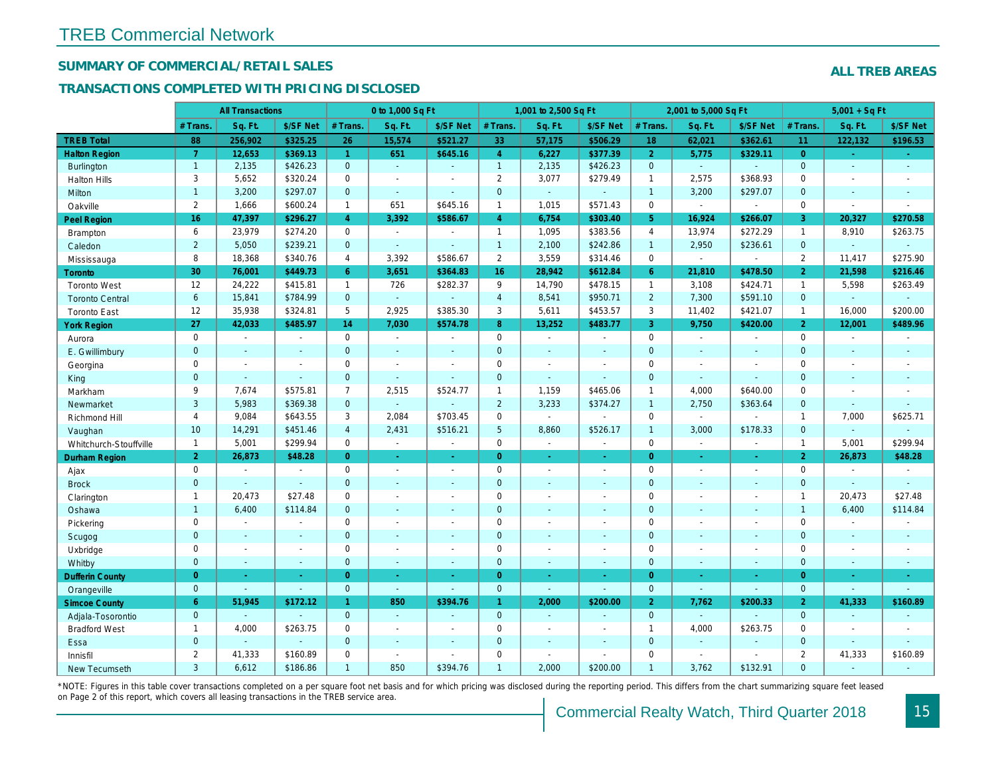## SUMMARY OF COMMERCIAL/RETAIL SALES

### TRANSACTIONS COMPLETED WITH PRICING DISCLOSED

|                        |                | <b>All Transactions</b> |                |                      | 0 to 1,000 Sq Ft |                          |                 | 1,001 to 2,500 Sq Ft |                          |                | 2,001 to 5,000 Sq Ft |                  |
|------------------------|----------------|-------------------------|----------------|----------------------|------------------|--------------------------|-----------------|----------------------|--------------------------|----------------|----------------------|------------------|
|                        | # Trans        | Sq. Ft.                 | \$/SF Net      | # Trans.             | Sq. Ft.          | \$/SF Net                | # Trans.        | Sq. Ft.              | \$/SF Net                | # Trans.       | Sq. Ft.              | \$/SF Ne         |
| <b>TREB Total</b>      | 88             | 256,902                 | \$325.25       | 26                   | 15,574           | \$521.27                 | 33              | 57,175               | \$506.29                 | 18             | 62,021               | \$362.6          |
| <b>Halton Region</b>   | $\overline{7}$ | 12,653                  | \$369.13       | $\blacktriangleleft$ | 651              | \$645.16                 | $\overline{4}$  | 6,227                | \$377.39                 | $\overline{2}$ | 5,775                | \$329.1          |
| <b>Burlington</b>      | $\mathbf{1}$   | 2,135                   | \$426.23       | $\mathbf{0}$         | $\sim$           | $\sim$                   | 1               | 2,135                | \$426.23                 | $\mathbf{0}$   | $\omega$             |                  |
| <b>Halton Hills</b>    | 3              | 5,652                   | \$320.24       | $\Omega$             | $\sim$           |                          | $\overline{2}$  | 3,077                | \$279.49                 | $\overline{1}$ | 2,575                | \$368.93         |
| Milton                 | $\mathbf{1}$   | 3,200                   | \$297.07       | $\mathbf{0}$         | $\omega$         | $\sim$                   | $\mathbf 0$     | $\omega_{\rm c}$     | $\blacksquare$           | $\mathbf{1}$   | 3,200                | \$297.07         |
| Oakville               | $\overline{2}$ | 1,666                   | \$600.24       | $\mathbf{1}$         | 651              | \$645.16                 | $\mathbf{1}$    | 1,015                | \$571.43                 | $\mathbf 0$    | $\omega$             | $\sim$           |
| Peel Region            | 16             | 47,397                  | \$296.27       | $\overline{4}$       | 3,392            | \$586.67                 | $\overline{4}$  | 6,754                | \$303.40                 | 5 <sup>5</sup> | 16,924               | \$266.0          |
| <b>Brampton</b>        | 6              | 23,979                  | \$274.20       | $\mathbf 0$          | $\mathbf{r}$     | $\sim$                   | $\mathbf{1}$    | 1,095                | \$383.56                 | $\overline{4}$ | 13,974               | \$272.29         |
| Caledon                | $\overline{2}$ | 5,050                   | \$239.21       | $\mathbf{0}$         | $\sim$           | $\sim$                   | $\mathbf{1}$    | 2,100                | \$242.86                 | $\mathbf{1}$   | 2,950                | \$236.61         |
| Mississauga            | 8              | 18,368                  | \$340.76       | 4                    | 3,392            | \$586.67                 | $\overline{2}$  | 3,559                | \$314.46                 | $\mathbf 0$    | $\blacksquare$       | $\sim$           |
| <b>Toronto</b>         | 30             | 76,001                  | \$449.73       | 6                    | 3,651            | \$364.83                 | 16              | 28,942               | \$612.84                 | 6              | 21,810               | \$478.50         |
| <b>Toronto West</b>    | 12             | 24,222                  | \$415.81       | $\mathbf{1}$         | 726              | \$282.37                 | 9               | 14,790               | \$478.15                 | $\mathbf{1}$   | 3,108                | \$424.7'         |
| <b>Toronto Central</b> | $6\phantom{1}$ | 15,841                  | \$784.99       | $\mathbf{0}$         | $\omega$         |                          | $\overline{4}$  | 8,541                | \$950.71                 | $\overline{2}$ | 7,300                | \$591.10         |
| <b>Toronto East</b>    | 12             | 35,938                  | \$324.81       | 5                    | 2,925            | \$385.30                 | 3               | 5,611                | \$453.57                 | 3              | 11,402               | \$421.07         |
| <b>York Region</b>     | 27             | 42,033                  | \$485.97       | 14                   | 7,030            | \$574.78                 | 8               | 13,252               | \$483.77                 | $\overline{3}$ | 9,750                | \$420.00         |
| Aurora                 | $\mathbf 0$    | $\sim$                  | $\blacksquare$ | $\mathbf 0$          | $\sim$           | $\blacksquare$           | 0               | $\sim$               | $\sim$                   | $\mathbf 0$    | $\blacksquare$       | $\blacksquare$   |
| E. Gwillimbury         | $\mathbf{0}$   | $\sim$                  | $\sim$         | $\mathbf{0}$         | ÷.               | $\overline{\phantom{a}}$ | $\mathbf 0$     | $\blacksquare$       | $\blacksquare$           | $\mathbf{0}$   | $\blacksquare$       | $\blacksquare$   |
| Georgina               | $\mathbf 0$    | $\blacksquare$          | $\blacksquare$ | $\mathbf 0$          | $\sim$           | $\sim$                   | $\pmb{0}$       | $\blacksquare$       | $\blacksquare$           | $\mathbf 0$    | $\blacksquare$       | $\sim$           |
| King                   | $\mathbf{0}$   | $\sim$                  | $\blacksquare$ | $\mathbf{0}$         | $\sim$           |                          | $\mathbf 0$     | $\blacksquare$       | $\blacksquare$           | $\mathbf{0}$   | $\omega$             | $\blacksquare$   |
| Markham                | 9              | 7,674                   | \$575.81       | $\overline{7}$       | 2,515            | \$524.77                 | $\mathbf{1}$    | 1,159                | \$465.06                 | $\mathbf{1}$   | 4,000                | \$640.00         |
| Newmarket              | 3              | 5,983                   | \$369.38       | $\overline{0}$       | $\omega$         |                          | $\overline{2}$  | 3,233                | \$374.27                 | $\overline{1}$ | 2,750                | \$363.64         |
| Richmond Hill          | 4              | 9,084                   | \$643.55       | 3                    | 2,084            | \$703.45                 | $\mathbf 0$     | $\blacksquare$       | L.                       | $\mathbf 0$    | $\blacksquare$       |                  |
| Vaughan                | 10             | 14,291                  | \$451.46       | $\overline{4}$       | 2,431            | \$516.21                 | $5\phantom{.0}$ | 8,860                | \$526.17                 | $\overline{1}$ | 3,000                | \$178.33         |
| Whitchurch-Stouffville | $\overline{1}$ | 5,001                   | \$299.94       | $\mathbf 0$          | $\mathbf{r}$     | $\sim$                   | $\mathbf 0$     | $\blacksquare$       | $\blacksquare$           | $\mathbf 0$    | $\sim$               | $\sim$           |
| <b>Durham Region</b>   | $\overline{2}$ | 26,873                  | \$48.28        | $\overline{0}$       | $\sim$           | $\omega$                 | $\overline{0}$  | $\frac{1}{\sqrt{2}}$ | ÷                        | $\overline{0}$ | $\bullet$            | $\bullet$        |
| Ajax                   | $\mathbf 0$    | $\blacksquare$          | $\blacksquare$ | $\mathbf 0$          | $\sim$           | $\sim$                   | $\pmb{0}$       | $\blacksquare$       | $\blacksquare$           | $\mathbf 0$    | $\blacksquare$       | $\sim$           |
| <b>Brock</b>           | $\mathbf{0}$   | $\sim$                  | $\omega$       | $\mathbf{0}$         | $\Delta$         | $\sim$                   | $\mathbf 0$     | $\blacksquare$       | $\blacksquare$           | $\mathbf{0}$   | $\blacksquare$       | $\blacksquare$   |
| Clarington             | $\mathbf{1}$   | 20,473                  | \$27.48        | $\mathbf 0$          | $\blacksquare$   | $\blacksquare$           | $\pmb{0}$       | $\overline{a}$       | $\blacksquare$           | $\mathbf 0$    | ÷,                   | $\overline{a}$   |
| Oshawa                 | $\mathbf{1}$   | 6,400                   | \$114.84       | $\overline{0}$       | $\blacksquare$   | $\blacksquare$           | $\mathbf 0$     | $\blacksquare$       | $\blacksquare$           | $\mathbf{0}$   | $\blacksquare$       | $\blacksquare$   |
| Pickering              | $\mathbf 0$    | $\blacksquare$          | $\blacksquare$ | $\mathbf 0$          | $\overline{a}$   |                          | $\pmb{0}$       | $\blacksquare$       | $\blacksquare$           | $\mathbf 0$    | $\blacksquare$       | $\blacksquare$   |
| Scugog                 | $\mathbf{0}$   | $\sim$                  | $\sim$         | $\mathbf{0}$         | $\Delta$         | $\sim$                   | $\mathbf 0$     | $\omega$             | $\blacksquare$           | $\mathbf{0}$   | $\omega$             | $\blacksquare$   |
| Uxbridge               | $\mathbf 0$    | $\blacksquare$          | $\blacksquare$ | $\mathbf 0$          | $\blacksquare$   |                          | $\mathbf 0$     | $\blacksquare$       | $\overline{\phantom{a}}$ | $\mathbf 0$    | L.                   | $\blacksquare$   |
| Whitby                 | $\mathbf{0}$   | $\sim$                  | $\sim$         | $\mathbf{0}$         | $\sim$           | $\sim$                   | $\mathbf 0$     | $\blacksquare$       | $\blacksquare$           | $\mathbf{0}$   | $\blacksquare$       | $\blacksquare$   |
| <b>Dufferin County</b> | $\overline{0}$ | $\sim$                  | $\sim$         | $\overline{0}$       | a.               | $\sim$                   | $\overline{0}$  | $\omega$             | ×.                       | $\overline{0}$ | ÷.                   | $\sim$           |
| Orangeville            | $\mathbf{0}$   | $\blacksquare$          | $\omega$       | $\mathbf{0}$         | $\omega$         | $\blacksquare$           | $\mathbf{0}$    | $\Box$               | $\omega$                 | $\mathbf 0$    | $\omega$             | $\omega_{\rm c}$ |
| <b>Simcoe County</b>   | 6              | 51,945                  | \$172.12       | $\mathbf{1}$         | 850              | \$394.76                 | $\mathbf{1}$    | 2,000                | \$200.00                 | $\overline{2}$ | 7,762                | \$200.33         |
| Adjala-Tosorontio      | $\mathbf{0}$   |                         | $\sim$         | $\mathbf{0}$         | $\sim$           |                          | $\mathbf 0$     | $\omega$             | ÷.                       | $\mathbf{0}$   | ÷.                   |                  |
| <b>Bradford West</b>   | $\mathbf{1}$   | 4,000                   | \$263.75       | $\mathbf 0$          | $\blacksquare$   | $\blacksquare$           | $\pmb{0}$       | $\blacksquare$       | $\overline{a}$           | $\overline{1}$ | 4,000                | \$263.75         |
| Essa                   | $\mathbf{0}$   | $\sim$                  | $\blacksquare$ | $\overline{0}$       | $\sim$           |                          | $\mathbf 0$     | $\blacksquare$       | $\blacksquare$           | $\mathbf 0$    | $\omega$             |                  |
| Innisfil               | $\overline{2}$ | 41,333                  | \$160.89       | $\Omega$             | $\sim$           | $\blacksquare$           | $\mathbf 0$     | $\blacksquare$       | $\blacksquare$           | $\mathbf 0$    | $\blacksquare$       | $\blacksquare$   |
| <b>New Tecumseth</b>   | 3              | 6,612                   | \$186.86       | $\mathbf{1}$         | 850              | \$394.76                 | $\mathbf{1}$    | 2.000                | \$200.00                 | $\overline{1}$ | 3.762                | \$132.9'         |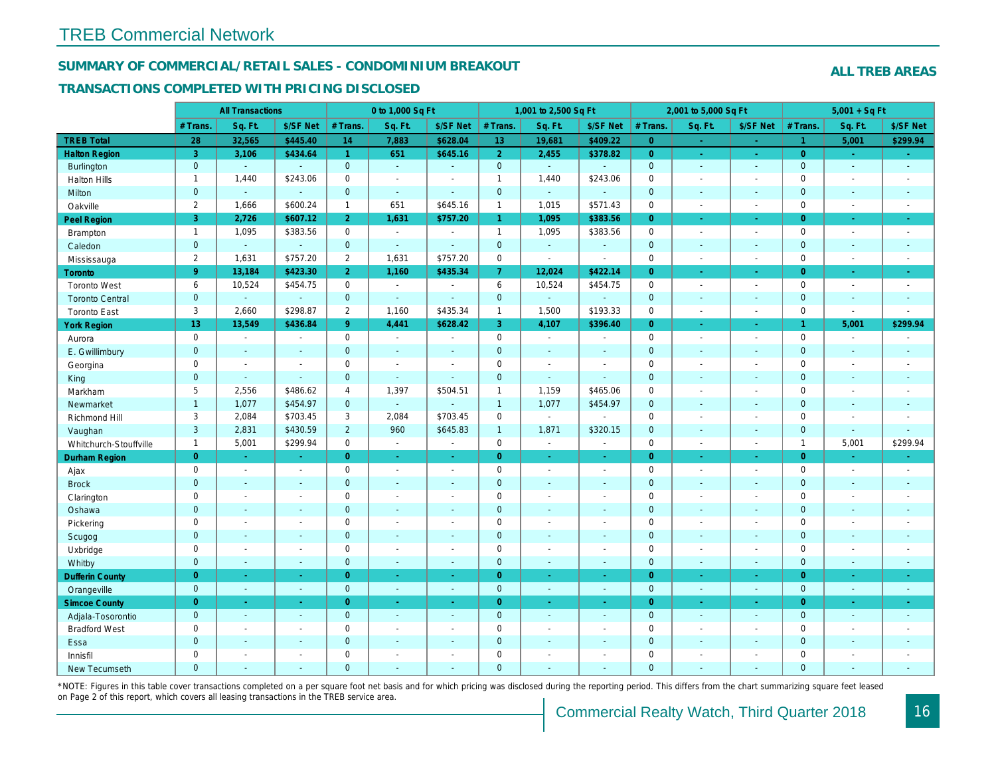#### SUMMARY OF COMMERCIAL/RETAIL SALES - CONDOMINIUM BREAKOUT

### TRANSACTIONS COMPLETED WITH PRICING DISCLOSED

|                        |                | <b>All Transactions</b> |                |                      | 0 to 1,000 Sq Ft |                          |                | 1,001 to 2,500 Sq Ft |                |                | 2,001 to 5,000 Sq Ft     |                     |
|------------------------|----------------|-------------------------|----------------|----------------------|------------------|--------------------------|----------------|----------------------|----------------|----------------|--------------------------|---------------------|
|                        | # Trans.       | Sq. Ft.                 | \$/SF Net      | # Trans.             | Sq. Ft.          | \$/SF Net                | # Trans.       | Sq. Ft.              | \$/SF Net      | # Trans.       | Sq. Ft.                  | \$/SF Ne            |
| <b>TREB Total</b>      | 28             | 32,565                  | \$445.40       | 14                   | 7,883            | \$628.04                 | 13             | 19,681               | \$409.22       | $\overline{0}$ | ÷                        | $\sim$              |
| <b>Halton Region</b>   | 3              | 3,106                   | \$434.64       | $\blacktriangleleft$ | 651              | \$645.16                 | $\overline{2}$ | 2,455                | \$378.82       | $\overline{0}$ | $\bullet$                | $\sigma_{\rm{eff}}$ |
| <b>Burlington</b>      | $\mathbf{0}$   | $\omega$                | $\blacksquare$ | $\mathbf{0}$         | $\omega$         | $\sim$                   | $\mathbf{0}$   | $\omega$             | $\blacksquare$ | $\mathbf 0$    | $\blacksquare$           | $\sim$              |
| <b>Halton Hills</b>    | $\mathbf{1}$   | 1,440                   | \$243.06       | $\mathbf 0$          | $\sim$           |                          | $\mathbf{1}$   | 1,440                | \$243.06       | $\mathbf 0$    | $\overline{a}$           | $\sim$              |
| Milton                 | $\overline{0}$ | $\sim$                  | $\Delta$       | $\mathbf{0}$         | $\Delta$         | ÷.                       | $\mathbf 0$    | $\omega_{\rm c}$     | ä,             | $\mathbf{0}$   | $\omega$                 | $\sim$              |
| Oakville               | $\overline{2}$ | 1,666                   | \$600.24       | $\mathbf{1}$         | 651              | \$645.16                 | $\mathbf{1}$   | 1,015                | \$571.43       | $\mathbf 0$    | $\blacksquare$           | $\blacksquare$      |
| Peel Region            | 3              | 2,726                   | \$607.12       | $\overline{2}$       | 1,631            | \$757.20                 | $\mathbf{1}$   | 1,095                | \$383.56       | $\overline{0}$ | ÷.                       | $\sim$              |
| Brampton               | $\mathbf{1}$   | 1,095                   | \$383.56       | $\mathbf 0$          | $\sim$           |                          | $\mathbf{1}$   | 1,095                | \$383.56       | $\mathbf 0$    | $\blacksquare$           | $\sim$              |
| Caledon                | $\mathbf 0$    | $\omega$                | $\omega$       | $\mathbf 0$          | $\omega$         | $\sim$                   | $\pmb{0}$      | ä,                   | ä,             | $\mathbf 0$    | $\omega$                 | $\sim$              |
| Mississauga            | $\overline{2}$ | 1,631                   | \$757.20       | 2                    | 1,631            | \$757.20                 | 0              | $\blacksquare$       | $\blacksquare$ | $\mathbf 0$    | $\blacksquare$           | $\sim$              |
| Toronto                | 9 <sup>°</sup> | 13,184                  | \$423.30       | 2 <sup>1</sup>       | 1,160            | \$435.34                 | 7 <sup>1</sup> | 12,024               | \$422.14       | $\overline{0}$ | $\omega$                 | ÷                   |
| <b>Toronto West</b>    | 6              | 10,524                  | \$454.75       | $\Omega$             | $\sim$           | $\blacksquare$           | 6              | 10,524               | \$454.75       | $\mathbf 0$    | $\blacksquare$           | $\sim$              |
| <b>Toronto Central</b> | $\mathbf{0}$   | $\mathbf{u}$            | $\blacksquare$ | $\mathbf{0}$         | $\sim$           | $\sim$                   | $\pmb{0}$      | $\omega$             | $\blacksquare$ | $\mathbf 0$    | $\blacksquare$           | $\blacksquare$      |
| <b>Toronto East</b>    | 3              | 2,660                   | \$298.87       | $\overline{2}$       | 1,160            | \$435.34                 | $\mathbf{1}$   | 1,500                | \$193.33       | $\mathbf 0$    | $\overline{\phantom{a}}$ | $\sim$              |
| <b>York Region</b>     | 13             | 13,549                  | \$436.84       | 9 <sup>°</sup>       | 4,441            | \$628.42                 | 3 <sup>1</sup> | 4,107                | \$396.40       | $\overline{0}$ | ÷.                       | $\sim$              |
| Aurora                 | $\mathbf 0$    | $\blacksquare$          | $\blacksquare$ | 0                    | $\bullet$        | $\blacksquare$           | 0              | $\sim$               | $\sim$         | $\mathbf 0$    | $\blacksquare$           | $\sim$              |
| E. Gwillimbury         | $\mathbf{0}$   | $\sim$                  | $\sim$         | $\mathbf{0}$         | $\sim$           | $\sim$                   | $\mathbf 0$    | $\blacksquare$       | $\blacksquare$ | $\mathbf{0}$   | $\blacksquare$           | $\sim$              |
| Georgina               | $\mathbf 0$    | $\blacksquare$          | $\blacksquare$ | $\mathbf 0$          | $\sim$           | $\overline{\phantom{a}}$ | $\pmb{0}$      | $\blacksquare$       | $\sim$         | $\mathbf 0$    | $\blacksquare$           | $\sim$              |
| King                   | $\overline{0}$ | $\sim$                  | $\omega$       | $\mathbf{0}$         | $\Delta$         | $\sim$                   | $\mathbf 0$    | $\blacksquare$       | $\blacksquare$ | $\mathbf{0}$   | ÷.                       | $\sim$              |
| Markham                | $\sqrt{5}$     | 2,556                   | \$486.62       | 4                    | 1,397            | \$504.51                 | $\mathbf{1}$   | 1,159                | \$465.06       | $\mathsf 0$    | $\blacksquare$           | $\blacksquare$      |
| Newmarket              | $\overline{1}$ | 1,077                   | \$454.97       | $\overline{0}$       | $\omega$         |                          | $\mathbf{1}$   | 1,077                | \$454.97       | $\mathbf{0}$   | $\blacksquare$           | $\blacksquare$      |
| Richmond Hill          | 3              | 2,084                   | \$703.45       | 3                    | 2,084            | \$703.45                 | $\pmb{0}$      | $\blacksquare$       | $\blacksquare$ | $\mathbf 0$    | $\sim$                   | $\sim$              |
| Vaughan                | $\overline{3}$ | 2,831                   | \$430.59       | $\overline{2}$       | 960              | \$645.83                 | $\mathbf{1}$   | 1,871                | \$320.15       | $\mathbf{0}$   | $\mathbf{r}$             | $\sim$              |
| Whitchurch-Stouffville | $\mathbf{1}$   | 5,001                   | \$299.94       | $\mathbf 0$          | $\blacksquare$   | $\blacksquare$           | $\mathsf{O}$   | $\blacksquare$       | $\sim$         | $\mathbf 0$    | $\blacksquare$           | $\sim$              |
| Durham Region          | $\overline{0}$ | $\omega$                | $\omega$       | $\overline{0}$       | $\sim$           | $\omega$                 | $\overline{0}$ | $\frac{1}{\sqrt{2}}$ | ÷              | $\overline{0}$ | $\blacksquare$           | $\sigma_{\rm c}$    |
| Ajax                   | $\mathbf 0$    | $\blacksquare$          | $\blacksquare$ | $\mathbf 0$          | $\sim$           | $\sim$                   | $\pmb{0}$      | $\blacksquare$       | $\sim$         | $\mathbf 0$    | $\blacksquare$           | $\sim$              |
| <b>Brock</b>           | $\mathbf{0}$   | $\omega$                | $\omega$       | $\mathbf 0$          | $\omega$         | $\blacksquare$           | $\pmb{0}$      | $\omega$             | $\omega$       | $\mathbf 0$    | $\omega$                 | $\omega$            |
| Clarington             | $\mathbf 0$    | $\blacksquare$          | $\blacksquare$ | $\mathbf 0$          | $\sim$           | $\blacksquare$           | $\pmb{0}$      | $\blacksquare$       | $\blacksquare$ | $\mathbf 0$    | L.                       | $\blacksquare$      |
| Oshawa                 | $\mathbf{0}$   | $\sim$                  | $\blacksquare$ | $\mathbf{0}$         | $\sim$           | $\sim$                   | $\mathbf 0$    | $\blacksquare$       | $\blacksquare$ | $\mathbf{0}$   | $\blacksquare$           | $\blacksquare$      |
| Pickering              | $\mathbf 0$    | $\sim$                  | $\blacksquare$ | $\mathbf 0$          | ÷.               |                          | $\pmb{0}$      | $\blacksquare$       | $\blacksquare$ | $\mathbf 0$    | $\blacksquare$           | $\blacksquare$      |
| Scugog                 | $\mathbf{0}$   | $\blacksquare$          | $\blacksquare$ | $\mathbf{0}$         | $\sim$           | $\blacksquare$           | $\pmb{0}$      | $\blacksquare$       | $\blacksquare$ | $\mathbf{0}$   | $\blacksquare$           | $\blacksquare$      |
| Uxbridge               | $\mathbf 0$    | $\sim$                  | $\sim$         | $\mathbf 0$          | $\sim$           | $\sim$                   | $\pmb{0}$      | $\blacksquare$       | $\blacksquare$ | $\mathbf 0$    | $\blacksquare$           | $\blacksquare$      |
| Whitby                 | $\mathbf{0}$   | $\sim$                  | $\sim$         | $\mathbf{0}$         | $\sim$           | $\sim$                   | $\mathbf 0$    | $\blacksquare$       | $\blacksquare$ | $\mathbf{0}$   | $\blacksquare$           | $\sim$              |
| <b>Dufferin County</b> | $\overline{0}$ | $\sim$                  | $\sim$         | $\overline{0}$       | a.               | a.                       | $\overline{0}$ | $\blacksquare$       | ÷.             | $\overline{0}$ | ÷.                       | $\sim$              |
| Orangeville            | $\mathbf 0$    | $\omega$                | $\blacksquare$ | $\mathbf{0}$         | $\omega$         | $\sim$                   | $\mathbf{0}$   | $\omega$             | $\omega$       | $\mathbf 0$    | $\omega$                 | $\sim$              |
| <b>Simcoe County</b>   | $\overline{0}$ | $\omega$                | $\omega$       | $\overline{0}$       | $\omega$         | $\omega$                 | $\overline{0}$ | ä,                   | ÷.             | $\overline{0}$ | $\blacksquare$           | $\omega_{\rm c}$    |
| Adjala-Tosorontio      | $\mathbf{0}$   | $\sim$                  | $\sim$         | $\mathbf{0}$         | $\sim$           | $\sim$                   | $\mathbf 0$    | $\Delta$             | $\blacksquare$ | $\mathbf 0$    | $\omega$                 | $\sim$              |
| <b>Bradford West</b>   | $\mathbf 0$    | $\sim$                  | $\omega$       | $\mathbf 0$          | $\sim$           | $\sim$                   | $\pmb{0}$      | $\blacksquare$       | $\blacksquare$ | $\mathbf 0$    | $\blacksquare$           | $\blacksquare$      |
| Essa                   | $\mathbf{0}$   | $\sim$                  | $\blacksquare$ | $\mathbf{0}$         |                  | $\sim$                   | $\pmb{0}$      | $\blacksquare$       | $\blacksquare$ | $\mathbf 0$    | $\blacksquare$           |                     |
| Innisfil               | $\mathbf 0$    | $\blacksquare$          | $\blacksquare$ | $\mathbf 0$          | $\sim$           | $\sim$                   | $\pmb{0}$      | $\blacksquare$       | $\blacksquare$ | $\mathbf 0$    | $\blacksquare$           | $\blacksquare$      |
| <b>New Tecumseth</b>   | $\Omega$       |                         |                | $\Omega$             |                  |                          | $\Omega$       |                      |                | $\mathbf{0}$   |                          |                     |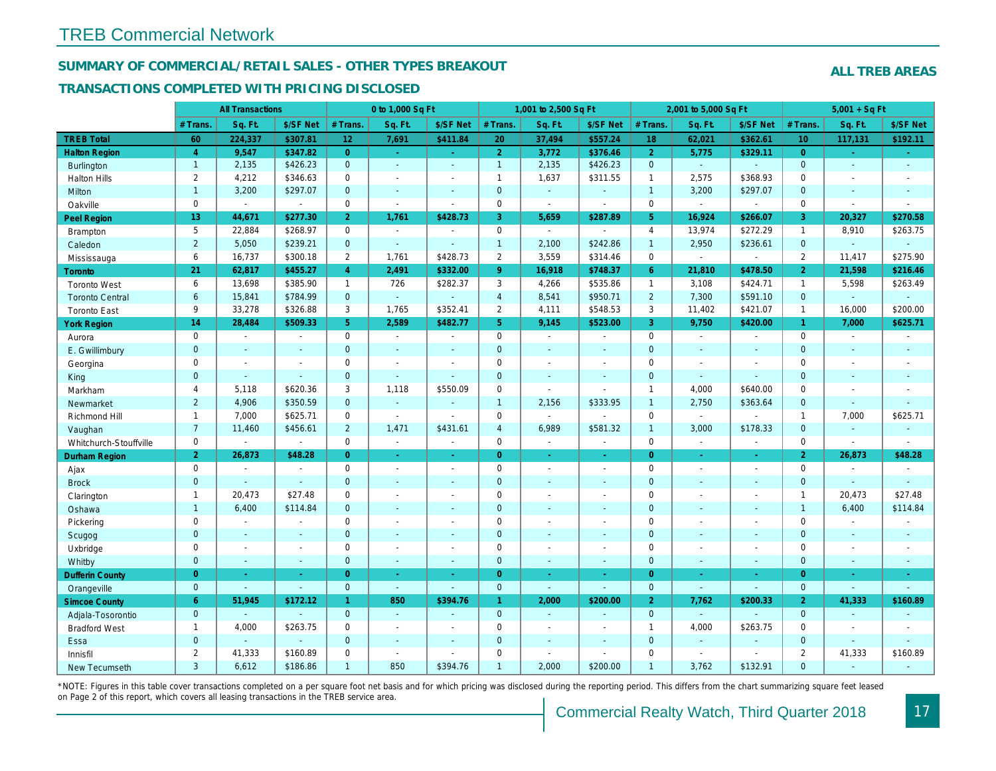#### SUMMARY OF COMMERCIAL/RETAIL SALES - OTHER TYPES BREAKOUT

#### TRANSACTIONS COMPLETED WITH PRICING DISCLOSED

|                        |                 | <b>All Transactions</b>  |                |                 | 0 to 1,000 Sq Ft |                          |                | 1,001 to 2,500 Sq Ft     |                          |                | 2,001 to 5,000 Sq Ft |                  |
|------------------------|-----------------|--------------------------|----------------|-----------------|------------------|--------------------------|----------------|--------------------------|--------------------------|----------------|----------------------|------------------|
|                        | # Trans         | Sq. Ft.                  | \$/SF Net      | # Trans.        | Sq. Ft.          | \$/SF Net                | # Trans.       | Sq. Ft.                  | \$/SF Net                | # Trans.       | Sq. Ft.              | \$/SF Ne         |
| <b>TREB Total</b>      | 60              | 224,337                  | \$307.81       | 12 <sub>2</sub> | 7,691            | \$411.84                 | 20             | 37,494                   | \$557.24                 | 18             | 62,021               | \$362.6'         |
| <b>Halton Region</b>   | $\overline{4}$  | 9,547                    | \$347.82       | $\overline{0}$  | $\sim$           | ÷.                       | $\overline{2}$ | 3,772                    | \$376.46                 | $\overline{2}$ | 5,775                | \$329.1          |
| <b>Burlington</b>      | $\mathbf{1}$    | 2,135                    | \$426.23       | $\mathbf{0}$    | $\omega$         | $\sim$                   | $\mathbf{1}$   | 2,135                    | \$426.23                 | $\mathbf 0$    | $\omega$             | $\omega$         |
| <b>Halton Hills</b>    | $\overline{2}$  | 4,212                    | \$346.63       | $\mathbf 0$     | $\sim$           |                          | $\mathbf{1}$   | 1,637                    | \$311.55                 | $\mathbf{1}$   | 2,575                | \$368.93         |
| Milton                 | $\mathbf{1}$    | 3,200                    | \$297.07       | $\Omega$        | $\Delta$         |                          | $\mathbf 0$    | $\Box$                   | $\sim$                   | $\overline{1}$ | 3,200                | \$297.07         |
| Oakville               | $\mathbf{0}$    | $\blacksquare$           | $\blacksquare$ | $\mathbf 0$     | $\blacksquare$   | $\sim$                   | 0              | $\blacksquare$           | $\blacksquare$           | $\mathbf 0$    | $\omega$             | $\blacksquare$   |
| <b>Peel Region</b>     | 13 <sup>°</sup> | 44,671                   | \$277.30       | 2 <sup>1</sup>  | 1,761            | \$428.73                 | 3              | 5,659                    | \$287.89                 | 5 <sup>5</sup> | 16,924               | \$266.0          |
| Brampton               | 5               | 22,884                   | \$268.97       | $\mathbf 0$     | $\blacksquare$   |                          | 0              | $\blacksquare$           | $\overline{\phantom{a}}$ | $\overline{4}$ | 13,974               | \$272.29         |
| Caledon                | $\overline{2}$  | 5,050                    | \$239.21       | $\mathbf{0}$    | $\sim$           | $\sim$                   | $\mathbf{1}$   | 2,100                    | \$242.86                 | $\overline{1}$ | 2,950                | \$236.6'         |
| Mississauga            | 6               | 16,737                   | \$300.18       | $\overline{2}$  | 1,761            | \$428.73                 | $\overline{2}$ | 3,559                    | \$314.46                 | $\mathbf 0$    | $\blacksquare$       | $\blacksquare$   |
| Toronto                | 21              | 62,817                   | \$455.27       | $\overline{4}$  | 2,491            | \$332.00                 | 9 <sup>°</sup> | 16,918                   | \$748.37                 | 6              | 21,810               | \$478.50         |
| <b>Toronto West</b>    | 6               | 13,698                   | \$385.90       | $\mathbf{1}$    | 726              | \$282.37                 | 3              | 4,266                    | \$535.86                 | $\mathbf{1}$   | 3,108                | \$424.7'         |
| <b>Toronto Central</b> | 6               | 15,841                   | \$784.99       | $\mathbf{0}$    | $\omega$         |                          | $\overline{4}$ | 8,541                    | \$950.71                 | $\overline{2}$ | 7,300                | \$591.10         |
| <b>Toronto East</b>    | 9               | 33,278                   | \$326.88       | 3               | 1,765            | \$352.41                 | $\overline{2}$ | 4,111                    | \$548.53                 | 3              | 11,402               | \$421.07         |
| <b>York Region</b>     | 14              | 28,484                   | \$509.33       | 5 <sup>1</sup>  | 2,589            | \$482.77                 | 5 <sup>1</sup> | 9,145                    | \$523.00                 | $\overline{3}$ | 9,750                | \$420.00         |
| Aurora                 | $\mathbf 0$     | $\sim$                   | $\blacksquare$ | $\mathbf 0$     | $\sim$           | $\sim$                   | 0              | $\sim$                   | $\sim$                   | $\mathbf 0$    | $\blacksquare$       | $\blacksquare$   |
| E. Gwillimbury         | $\mathbf{0}$    | $\sim$                   | $\sim$         | $\mathbf{0}$    | $\sim$           | $\sim$                   | $\mathbf 0$    | $\blacksquare$           | $\blacksquare$           | $\mathbf{0}$   | $\blacksquare$       | $\blacksquare$   |
| Georgina               | $\mathbf 0$     | $\overline{\phantom{a}}$ | $\blacksquare$ | $\mathbf 0$     | $\sim$           | $\overline{a}$           | $\mathbf 0$    | $\blacksquare$           | $\blacksquare$           | $\mathbf 0$    | $\blacksquare$       | $\sim$           |
| King                   | $\overline{0}$  | $\sim$                   | $\sim$         | $\mathbf{0}$    | $\sim$           |                          | $\mathbf 0$    | $\blacksquare$           | $\overline{\phantom{a}}$ | $\mathbf{0}$   | $\blacksquare$       | $\blacksquare$   |
| Markham                | 4               | 5,118                    | \$620.36       | 3               | 1,118            | \$550.09                 | $\pmb{0}$      | $\overline{\phantom{a}}$ | $\blacksquare$           | $\mathbf{1}$   | 4,000                | \$640.00         |
| Newmarket              | $\overline{2}$  | 4,906                    | \$350.59       | $\overline{0}$  | $\omega$         | $\sim$                   | $\mathbf{1}$   | 2,156                    | \$333.95                 | $\mathbf{1}$   | 2,750                | \$363.64         |
| Richmond Hill          | $\mathbf{1}$    | 7,000                    | \$625.71       | 0               | $\sim$           | $\overline{a}$           | $\pmb{0}$      | ä,                       | L.                       | $\mathbf 0$    | $\sim$               |                  |
| Vaughan                | $\overline{7}$  | 11,460                   | \$456.61       | $\overline{2}$  | 1,471            | \$431.61                 | $\overline{4}$ | 6,989                    | \$581.32                 | $\overline{1}$ | 3,000                | \$178.33         |
| Whitchurch-Stouffville | $\mathbf 0$     | $\blacksquare$           | $\blacksquare$ | $\mathbf 0$     | $\blacksquare$   | $\sim$                   | $\pmb{0}$      | $\blacksquare$           | $\sim$                   | $\mathbf 0$    | $\sim$               | $\blacksquare$   |
| <b>Durham Region</b>   | $\overline{2}$  | 26,873                   | \$48.28        | $\overline{0}$  | $\bullet$        | $\blacksquare$           | $\overline{0}$ | ÷                        | $\omega$                 | $\overline{0}$ | $\blacksquare$       | $\sigma_{\rm c}$ |
| Ajax                   | $\mathbf 0$     | $\sim$                   | $\sim$         | $\mathbf 0$     | $\sim$           | $\sim$                   | $\mathbf 0$    | $\blacksquare$           | $\blacksquare$           | $\mathbf 0$    | $\blacksquare$       | $\sim$           |
| <b>Brock</b>           | $\mathbf{0}$    | $\omega$                 | $\omega$       | $\mathbf{0}$    | $\sim$           | $\blacksquare$           | $\mathbf 0$    | $\blacksquare$           | $\blacksquare$           | $\mathbf{0}$   | $\omega$             | $\blacksquare$   |
| Clarington             | $\mathbf{1}$    | 20,473                   | \$27.48        | $\mathbf 0$     | $\overline{a}$   | $\sim$                   | $\mathbf 0$    | $\blacksquare$           | $\sim$                   | $\mathbf 0$    | $\overline{a}$       | $\blacksquare$   |
| Oshawa                 | $\mathbf{1}$    | 6,400                    | \$114.84       | $\overline{0}$  | $\sim$           | $\sim$                   | $\mathbf 0$    | $\blacksquare$           | $\overline{\phantom{a}}$ | $\mathbf{0}$   | $\blacksquare$       | $\sim$           |
| Pickering              | $\mathbf 0$     | $\overline{\phantom{a}}$ | $\blacksquare$ | $\mathbf 0$     | $\sim$           | $\overline{\phantom{a}}$ | $\mathbf 0$    | $\blacksquare$           | $\blacksquare$           | $\mathbf 0$    | $\blacksquare$       | $\blacksquare$   |
| Scugog                 | $\mathbf{0}$    | $\sim$                   | $\sim$         | $\mathbf{0}$    | $\sim$           | $\sim$                   | $\mathbf 0$    | $\Delta$                 | $\blacksquare$           | $\mathbf{0}$   | $\blacksquare$       | $\sim$           |
| Uxbridge               | $\mathbf 0$     | $\blacksquare$           | $\omega$       | $\mathbf 0$     | $\blacksquare$   | $\blacksquare$           | $\pmb{0}$      | $\blacksquare$           | $\overline{a}$           | $\mathbf 0$    | $\overline{a}$       | $\blacksquare$   |
| Whitby                 | $\mathbf{0}$    | $\sim$                   | $\sim$         | $\mathbf{0}$    | $\sim$           |                          | $\mathbf 0$    | $\blacksquare$           | $\blacksquare$           | $\mathbf 0$    | $\blacksquare$       | $\blacksquare$   |
| <b>Dufferin County</b> | $\overline{0}$  | $\sim$                   | $\omega$       | $\overline{0}$  | $\sim$           | $\sim$                   | $\overline{0}$ | $\omega$                 | $\blacksquare$           | $\overline{0}$ | $\blacksquare$       | $\sim$           |
| Orangeville            | $\mathbf{0}$    | $\sim$                   | $\omega$       | $\mathbf{0}$    | $\blacksquare$   | $\blacksquare$           | $\mathbf{0}$   | $\blacksquare$           | $\omega$                 | $\mathbf 0$    | $\omega$             | $\blacksquare$   |
| <b>Simcoe County</b>   | 6               | 51,945                   | \$172.12       | 1 <sup>1</sup>  | 850              | \$394.76                 | $\mathbf{1}$   | 2,000                    | \$200.00                 | $\overline{2}$ | 7,762                | \$200.33         |
| Adjala-Tosorontio      | $\mathbf{0}$    | $\sim$                   | $\sim$         | $\overline{0}$  | $\sim$           |                          | $\mathbf{0}$   | $\sim$                   | $\blacksquare$           | $\mathbf{0}$   | $\omega$             | $\blacksquare$   |
| <b>Bradford West</b>   | $\mathbf{1}$    | 4,000                    | \$263.75       | $\mathbf 0$     | $\sim$           | $\overline{\phantom{a}}$ | $\mathbf 0$    | $\blacksquare$           | $\overline{\phantom{a}}$ | $\mathbf{1}$   | 4,000                | \$263.75         |
| Essa                   | $\overline{0}$  | $\blacksquare$           | $\mathbf{u}$   | $\overline{0}$  | $\sim$           | $\sim$                   | $\mathbf 0$    | ÷.                       | $\overline{\phantom{a}}$ | $\mathbf 0$    | $\omega$             | $\blacksquare$   |
| Innisfil               | 2               | 41,333                   | \$160.89       | 0               | $\sim$           |                          | $\pmb{0}$      | $\blacksquare$           | $\overline{a}$           | $\mathbf 0$    | $\blacksquare$       | $\blacksquare$   |
| <b>New Tecumseth</b>   | 3               | 6,612                    | \$186.86       | $\overline{1}$  | 850              | \$394.76                 | $\overline{1}$ | 2,000                    | \$200.00                 | $\overline{1}$ | 3,762                | \$132.9'         |
|                        |                 |                          |                |                 |                  |                          |                |                          |                          |                |                      |                  |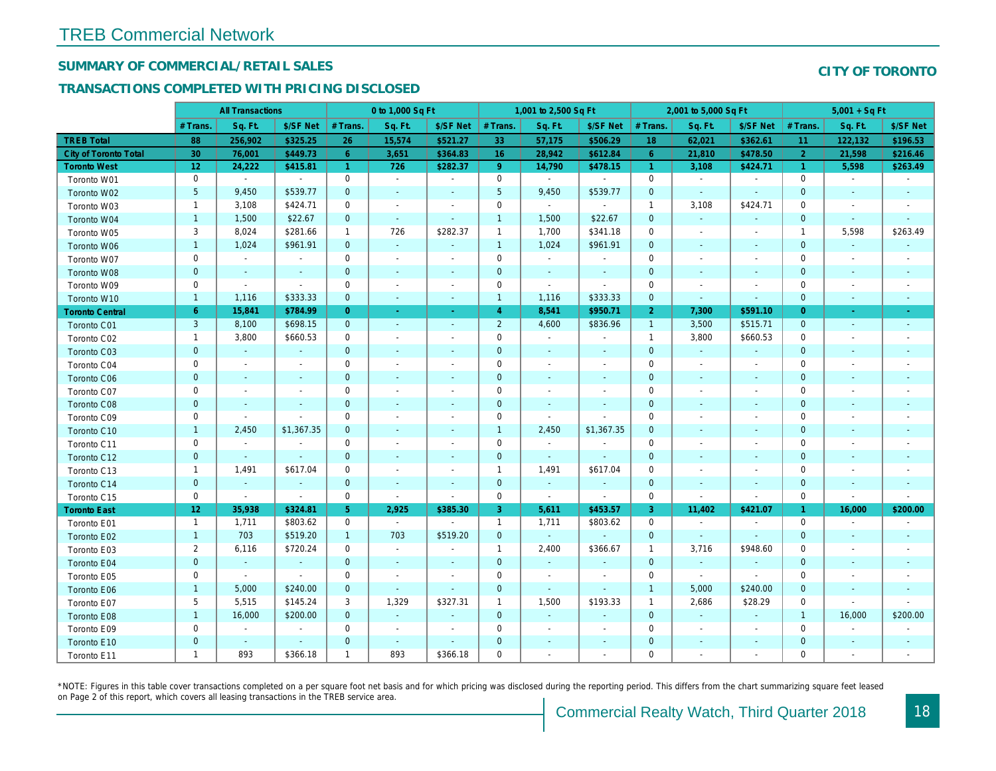## SUMMARY OF COMMERCIAL/RETAIL SALES

### TRANSACTIONS COMPLETED WITH PRICING DISCLOSED

|                              |                         | <b>All Transactions</b> |                |                | 0 to 1,000 Sq Ft         |                          |                | 1,001 to 2,500 Sq Ft |                          |                      | 2,001 to 5,000 Sq Ft     |                          |
|------------------------------|-------------------------|-------------------------|----------------|----------------|--------------------------|--------------------------|----------------|----------------------|--------------------------|----------------------|--------------------------|--------------------------|
|                              | # Trans.                | Sq. Ft.                 | \$/SF Net      | # Trans.       | Sq. Ft.                  | \$/SF Net                | # Trans.       | Sq. Ft.              | \$/SF Net                | # Trans.             | Sq. Ft.                  | \$/SF Ne                 |
| <b>TREB Total</b>            | 88                      | 256,902                 | \$325.25       | 26             | 15,574                   | \$521.27                 | 33             | 57,175               | \$506.29                 | 18                   | 62,021                   | \$362.6'                 |
| <b>City of Toronto Total</b> | 30                      | 76,001                  | \$449.73       | 6              | 3,651                    | \$364.83                 | 16             | 28,942               | \$612.84                 | -6                   | 21,810                   | \$478.50                 |
| <b>Toronto West</b>          | 12                      | 24,222                  | \$415.81       | $\mathbf{1}$   | 726                      | \$282.37                 | 9              | 14,790               | \$478.15                 | $\blacktriangleleft$ | 3,108                    | \$424.7'                 |
| Toronto W01                  | 0                       | $\sim$                  | $\blacksquare$ | 0              | $\sim$                   | $\blacksquare$           | $\mathbf 0$    | $\blacksquare$       | $\blacksquare$           | $\mathbf 0$          | $\blacksquare$           | $\blacksquare$           |
| Toronto W02                  | 5                       | 9,450                   | \$539.77       | $\mathbf 0$    | $\blacksquare$           | $\blacksquare$           | $\sqrt{5}$     | 9,450                | \$539.77                 | $\mathbf 0$          | $\sim$                   | $\blacksquare$           |
| Toronto W03                  | 1                       | 3,108                   | \$424.71       | 0              | $\blacksquare$           | $\blacksquare$           | $\mathbf 0$    | $\sim$               | $\sim$                   | $\overline{1}$       | 3,108                    | \$424.7'                 |
| Toronto W04                  | $\mathbf{1}$            | 1,500                   | \$22.67        | $\mathbf{0}$   | $\sim$                   | $\sim$                   | $\overline{1}$ | 1,500                | \$22.67                  | $\mathbf{0}$         | $\omega$                 | $\blacksquare$           |
| Toronto W05                  | 3                       | 8,024                   | \$281.66       | $\mathbf{1}$   | 726                      | \$282.37                 | $\mathbf{1}$   | 1,700                | \$341.18                 | $\mathbf 0$          | $\omega$                 | $\blacksquare$           |
| Toronto W06                  | $\mathbf{1}$            | 1,024                   | \$961.91       | $\mathbf 0$    | $\blacksquare$           | $\blacksquare$           | $\overline{1}$ | 1,024                | \$961.91                 | $\mathbf 0$          | $\blacksquare$           | $\blacksquare$           |
| Toronto W07                  | 0                       | $\blacksquare$          | $\blacksquare$ | 0              | $\overline{\phantom{a}}$ | $\overline{\phantom{a}}$ | $\mathbf 0$    | $\blacksquare$       | $\blacksquare$           | 0                    | $\blacksquare$           | $\overline{\phantom{a}}$ |
| Toronto W08                  | $\mathbf 0$             | $\blacksquare$          | $\omega$       | $\mathbf 0$    | $\blacksquare$           | $\blacksquare$           | $\mathbf 0$    | $\sim$               | $\sim$                   | $\mathbf{0}$         | $\blacksquare$           | $\blacksquare$           |
| Toronto W09                  | 0                       | $\sim$                  | $\sim$         | $\mathbf 0$    | $\overline{a}$           | $\overline{\phantom{a}}$ | $\mathbf 0$    | $\omega$             | $\blacksquare$           | $\mathbf 0$          | $\blacksquare$           | $\blacksquare$           |
| Toronto W10                  | $\mathbf{1}$            | 1,116                   | \$333.33       | $\mathbf 0$    | $\blacksquare$           | $\blacksquare$           | $\overline{1}$ | 1,116                | \$333.33                 | $\mathbf 0$          | $\blacksquare$           | $\blacksquare$           |
| <b>Toronto Central</b>       | 6                       | 15,841                  | \$784.99       | $\overline{0}$ | $\blacksquare$           | $\blacksquare$           | $\overline{4}$ | 8,541                | \$950.71                 | $\overline{2}$       | 7,300                    | \$591.10                 |
| Toronto C01                  | 3                       | 8,100                   | \$698.15       | $\mathbf{0}$   | $\sim$                   | $\blacksquare$           | $\overline{2}$ | 4,600                | \$836.96                 | $\overline{1}$       | 3,500                    | \$515.7                  |
| Toronto C02                  | $\mathbf{1}$            | 3,800                   | \$660.53       | $\mathbf 0$    | $\blacksquare$           | $\overline{\phantom{a}}$ | $\mathsf 0$    | $\omega$             | $\blacksquare$           | $\overline{1}$       | 3,800                    | \$660.53                 |
| Toronto C03                  | $\mathbf 0$             | $\blacksquare$          | $\blacksquare$ | $\mathbf 0$    | $\blacksquare$           | $\blacksquare$           | $\mathbf 0$    | $\blacksquare$       | $\blacksquare$           | $\mathbf{0}$         | $\blacksquare$           | $\blacksquare$           |
| Toronto C04                  | $\mathbf 0$             | $\blacksquare$          |                | $\mathbf 0$    | $\blacksquare$           | $\overline{a}$           | $\mathbf 0$    | $\blacksquare$       | $\blacksquare$           | 0                    | $\blacksquare$           | $\blacksquare$           |
| <b>Toronto C06</b>           | $\pmb{0}$               | $\blacksquare$          |                | $\pmb{0}$      | $\blacksquare$           | $\overline{\phantom{a}}$ | $\mathbf 0$    | $\blacksquare$       | $\blacksquare$           | 0                    | $\blacksquare$           | $\sim$                   |
| Toronto C07                  | $\mathsf 0$             | $\sim$                  |                | $\pmb{0}$      | $\tilde{\phantom{a}}$    | $\blacksquare$           | $\mathbf 0$    | $\sim$               | $\blacksquare$           | $\mathbf 0$          | $\blacksquare$           | $\blacksquare$           |
| Toronto C08                  | $\mathbf 0$             | $\blacksquare$          |                | $\mathbf 0$    | $\blacksquare$           | $\blacksquare$           | $\mathbf 0$    | $\blacksquare$       | $\sim$                   | $\mathbf{0}$         | $\blacksquare$           | $\blacksquare$           |
| Toronto C09                  | 0                       | $\blacksquare$          |                | $\mathbf 0$    | $\blacksquare$           | $\overline{\phantom{a}}$ | $\mathbf 0$    | $\blacksquare$       |                          | 0                    | $\overline{\phantom{a}}$ | $\blacksquare$           |
| Toronto C10                  | $\mathbf{1}$            | 2,450                   | \$1,367.35     | $\mathbf 0$    | $\blacksquare$           | $\blacksquare$           | $\overline{1}$ | 2,450                | \$1,367.35               | $\mathbf 0$          | $\blacksquare$           | $\blacksquare$           |
| Toronto C11                  | $\mathbf 0$             | $\blacksquare$          |                | $\mathbf 0$    | $\blacksquare$           | $\blacksquare$           | $\mathbf 0$    | $\blacksquare$       | $\sim$                   | $\mathbf 0$          | $\blacksquare$           | $\blacksquare$           |
| Toronto C12                  | $\mathbf 0$             | $\blacksquare$          | $\omega$       | $\overline{0}$ | ä,                       | $\blacksquare$           | $\mathbf 0$    | $\omega$             | $\sim$                   | $\mathbf{0}$         | $\sim$                   | $\overline{\phantom{a}}$ |
| Toronto C13                  | $\mathbf{1}$            | 1,491                   | \$617.04       | $\mathbf 0$    | $\tilde{\phantom{a}}$    | $\blacksquare$           | $\overline{1}$ | 1,491                | \$617.04                 | 0                    | $\blacksquare$           |                          |
| Toronto C14                  | $\pmb{0}$               | $\sim$                  | $\sim$         | $\mathbf{0}$   | $\sim$                   | $\blacksquare$           | $\mathbf{0}$   | $\blacksquare$       | $\blacksquare$           | $\mathbf 0$          | $\blacksquare$           | $\sim$                   |
| Toronto C15                  | 0                       | $\blacksquare$          | $\blacksquare$ | $\mathbf 0$    | $\blacksquare$           | $\sim$                   | $\mathbf 0$    | $\blacksquare$       | $\blacksquare$           | $\mathbf 0$          | $\overline{\phantom{a}}$ | $\blacksquare$           |
| <b>Toronto East</b>          | 12                      | 35,938                  | \$324.81       | 5 <sup>5</sup> | 2,925                    | \$385.30                 | $\mathbf{3}$   | 5,611                | \$453.57                 | 3                    | 11,402                   | \$421.07                 |
| Toronto E01                  | $\mathbf{1}$            | 1,711                   | \$803.62       | 0              | $\sim$                   | $\tilde{\phantom{a}}$    | $\mathbf{1}$   | 1,711                | \$803.62                 | $\mathbf 0$          | $\blacksquare$           | $\sim$                   |
| Toronto E02                  | $\mathbf{1}$            | 703                     | \$519.20       | $\mathbf{1}$   | 703                      | \$519.20                 | $\mathbf{0}$   | $\blacksquare$       | $\sim$                   | $\mathbf{0}$         | $\sim$                   | $\blacksquare$           |
| Toronto E03                  | $\overline{\mathbf{c}}$ | 6,116                   | \$720.24       | $\mathbf 0$    | $\blacksquare$           | $\blacksquare$           | $\overline{1}$ | 2,400                | \$366.67                 | $\mathbf{1}$         | 3,716                    | \$948.60                 |
| Toronto E04                  | $\pmb{0}$               | $\omega$                | $\sim$         | $\mathbf 0$    | $\sim$                   | $\blacksquare$           | $\mathbf{0}$   | $\blacksquare$       | $\sim$                   | $\mathbf{0}$         | $\omega$                 | $\blacksquare$           |
| Toronto E05                  | $\mathbf 0$             | $\blacksquare$          | $\blacksquare$ | $\mathbf 0$    | $\overline{\phantom{a}}$ | $\overline{\phantom{a}}$ | $\mathbf 0$    | $\blacksquare$       | $\blacksquare$           | $\mathbf 0$          | $\blacksquare$           | $\blacksquare$           |
| Toronto E06                  | $\mathbf{1}$            | 5,000                   | \$240.00       | $\mathbf 0$    | $\blacksquare$           | $\blacksquare$           | $\pmb{0}$      | $\blacksquare$       | $\overline{\phantom{a}}$ | $\overline{1}$       | 5,000                    | \$240.00                 |
| Toronto E07                  | 5                       | 5,515                   | \$145.24       | 3              | 1,329                    | \$327.31                 | $\mathbf{1}$   | 1,500                | \$193.33                 | $\mathbf{1}$         | 2,686                    | \$28.29                  |
| Toronto E08                  | $\mathbf{1}$            | 16,000                  | \$200.00       | $\mathbf 0$    | $\blacksquare$           | $\blacksquare$           | $\mathbf 0$    | $\omega$             | $\blacksquare$           | $\mathbf{0}$         | $\blacksquare$           | $\blacksquare$           |
| Toronto E09                  | 0                       | $\blacksquare$          | $\blacksquare$ | $\mathbf 0$    | $\blacksquare$           | $\blacksquare$           | $\mathbf 0$    | $\blacksquare$       | $\blacksquare$           | 0                    | $\blacksquare$           | $\blacksquare$           |
| Toronto E10                  | $\pmb{0}$               | $\blacksquare$          |                | $\pmb{0}$      | $\blacksquare$           | $\blacksquare$           | $\mathbf 0$    | $\blacksquare$       |                          | $\mathbf 0$          | $\blacksquare$           | $\sim$                   |
| Toronto E11                  | $\mathbf{1}$            | 893                     | \$366.18       | $\mathbf{1}$   | 893                      | \$366.18                 | $\mathbf 0$    | $\blacksquare$       | $\blacksquare$           | 0                    | $\blacksquare$           | $\overline{\phantom{a}}$ |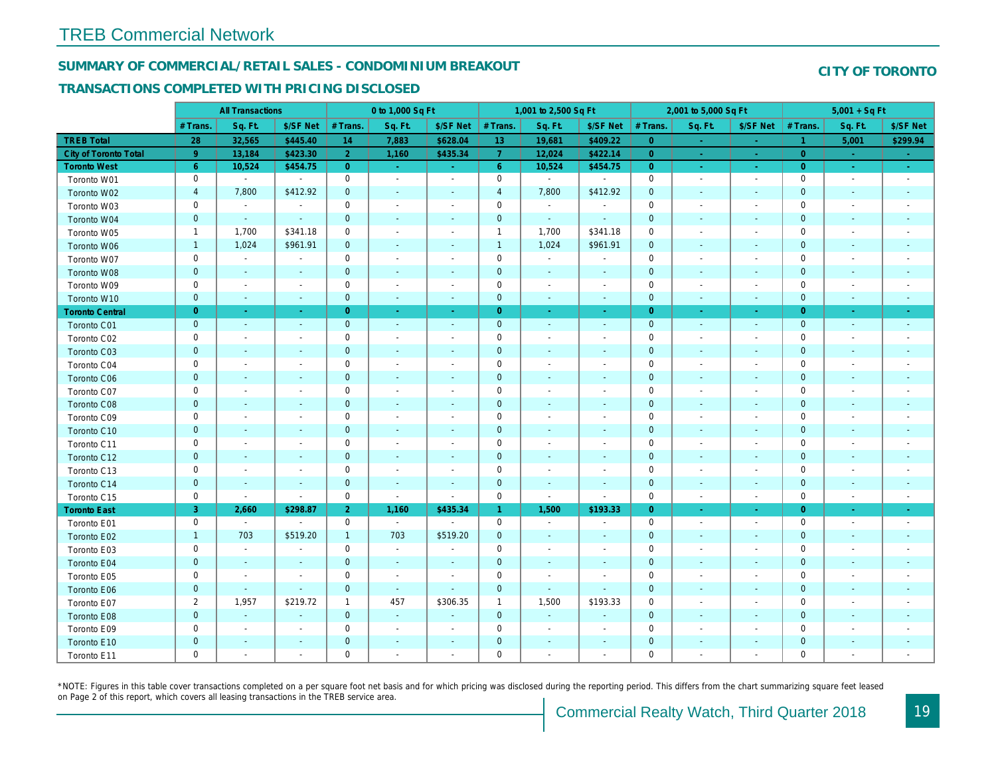#### SUMMARY OF COMMERCIAL/RETAIL SALES - CONDOMINIUM BREAKOUT

#### TRANSACTIONS COMPLETED WITH PRICING DISCLOSED

|                              |                | <b>All Transactions</b>  |                          |                | 0 to 1,000 Sq Ft            |                          |                     | 1,001 to 2,500 Sq Ft     |                          |                | 2,001 to 5,000 Sq Ft     |                          |
|------------------------------|----------------|--------------------------|--------------------------|----------------|-----------------------------|--------------------------|---------------------|--------------------------|--------------------------|----------------|--------------------------|--------------------------|
|                              | # Trans.       | Sq. Ft.                  | \$/SF Net                | # Trans.       | Sq. Ft.                     | \$/SF Net                | # Trans.            | Sq. Ft.                  | \$/SF Net                | # Trans.       | Sq. Ft.                  | \$/SF Ne                 |
| <b>TREB Total</b>            | 28             | 32,565                   | \$445.40                 | 14             | 7,883                       | \$628.04                 | 13                  | 19,681                   | \$409.22                 | $\overline{0}$ | $\pm$                    | $\sim$                   |
| <b>City of Toronto Total</b> | $9^{\circ}$    | 13,184                   | \$423.30                 | 2 <sup>1</sup> | 1,160                       | \$435.34                 | $\overline{7}$      | 12,024                   | \$422.14                 | $\overline{0}$ | $\sim$                   | $\sim$                   |
| <b>Toronto West</b>          | 6 <sup>°</sup> | 10,524                   | \$454.75                 | $\overline{0}$ | $\sim$                      | $\omega_{\rm{eff}}$      | 6 <sup>°</sup>      | 10,524                   | \$454.75                 | $\overline{0}$ | $\sim$                   | $\omega_{\rm{eff}}$      |
| Toronto W01                  | 0              | $\blacksquare$           | $\sim$                   | 0              | $\blacksquare$              | $\blacksquare$           | $\mathsf{O}\xspace$ | $\blacksquare$           | $\sim$                   | $\mathbf 0$    | $\blacksquare$           | $\sim$                   |
| Toronto W02                  | 4              | 7,800                    | \$412.92                 | $\mathbf 0$    | $\blacksquare$              | $\blacksquare$           | $\overline{a}$      | 7,800                    | \$412.92                 | $\mathbf 0$    | $\blacksquare$           | $\blacksquare$           |
| Toronto W03                  | 0              | $\blacksquare$           | $\blacksquare$           | 0              | $\blacksquare$              | $\blacksquare$           | $\mathbf 0$         | $\blacksquare$           | $\blacksquare$           | $\mathbf 0$    | $\blacksquare$           | $\blacksquare$           |
| Toronto W04                  | $\mathbf{0}$   | $\sim$                   | $\omega$                 | $\mathbf 0$    | $\mathbf{r}$                | $\sim$                   | $\mathbf 0$         | $\sim$                   | $\omega$                 | $\mathbf{0}$   | $\omega$                 | $\blacksquare$           |
| Toronto W05                  | $\mathbf{1}$   | 1,700                    | \$341.18                 | $\mathbf 0$    | $\blacksquare$              | $\sim$                   | $\mathbf{1}$        | 1,700                    | \$341.18                 | $\mathbf 0$    | $\sim$                   | $\blacksquare$           |
| Toronto W06                  | $\mathbf{1}$   | 1,024                    | \$961.91                 | $\mathbf 0$    | $\blacksquare$              | $\blacksquare$           | $\mathbf{1}$        | 1,024                    | \$961.91                 | $\mathbf 0$    | $\blacksquare$           | $\blacksquare$           |
| Toronto W07                  | 0              | $\sim$                   | $\blacksquare$           | $\mathbf 0$    | $\blacksquare$              | $\blacksquare$           | $\mathbf 0$         | $\blacksquare$           | $\blacksquare$           | 0              | $\sim$                   | $\overline{\phantom{a}}$ |
| Toronto W08                  | $\mathbf{0}$   | $\blacksquare$           | $\sim$                   | $\mathbf 0$    | $\sim$                      | $\sim$                   | $\mathbf 0$         | $\blacksquare$           | $\blacksquare$           | $\mathbf{0}$   | $\blacksquare$           | $\blacksquare$           |
| Toronto W09                  | 0              | $\overline{\phantom{a}}$ | $\overline{\phantom{a}}$ | $\mathbf 0$    | $\blacksquare$              | $\blacksquare$           | $\mathbf 0$         | $\overline{a}$           | $\blacksquare$           | $\mathbf 0$    | ÷,                       | $\blacksquare$           |
| Toronto W10                  | $\mathbf 0$    | $\blacksquare$           | $\blacksquare$           | $\mathbf 0$    | $\blacksquare$              | $\blacksquare$           | $\mathbf 0$         | $\blacksquare$           | $\blacksquare$           | $\mathbf{0}$   | $\blacksquare$           | $\blacksquare$           |
| <b>Toronto Central</b>       | $\overline{0}$ | $\sim$                   | $\sim$                   | $\overline{0}$ | $\sim$                      | $\blacksquare$           | $\overline{0}$      | $\blacksquare$           | $\blacksquare$           | $\overline{0}$ | $\blacksquare$           | $\blacksquare$           |
| Toronto C01                  | $\mathbf 0$    | $\sim$                   | $\sim$                   | $\mathbf 0$    | $\sim$                      | $\sim$                   | $\mathbf{0}$        | $\sim$                   | $\sim$                   | $\mathbf 0$    | $\sim$                   | $\sim$                   |
| Toronto C02                  | 0              | $\sim$                   | $\sim$                   | $\mathsf 0$    | $\blacksquare$              | $\blacksquare$           | $\mathsf 0$         | $\overline{a}$           | $\blacksquare$           | $\mathbf 0$    | ÷,                       | $\blacksquare$           |
| Toronto C03                  | $\mathbf 0$    | $\blacksquare$           | $\blacksquare$           | $\mathbf 0$    | $\blacksquare$              | $\blacksquare$           | $\mathbf 0$         | $\blacksquare$           | $\blacksquare$           | $\mathbf{0}$   | $\blacksquare$           | $\blacksquare$           |
| Toronto C04                  | 0              | $\overline{\phantom{a}}$ |                          | $\mathsf 0$    | $\blacksquare$              | $\overline{\phantom{a}}$ | $\mathbf 0$         | $\overline{a}$           | $\overline{a}$           | $\mathbf 0$    | $\overline{a}$           | $\blacksquare$           |
| Toronto C06                  | $\mathbf 0$    | $\blacksquare$           | $\blacksquare$           | $\mathbf 0$    | $\blacksquare$              | $\blacksquare$           | $\mathbf 0$         | $\blacksquare$           | $\blacksquare$           | $\mathbf 0$    | $\blacksquare$           | $\sim$                   |
| Toronto C07                  | 0              | $\blacksquare$           | $\sim$                   | $\mathsf 0$    | $\sim$                      | $\blacksquare$           | $\mathsf{O}\xspace$ | $\overline{a}$           | $\overline{a}$           | $\mathbf 0$    | $\blacksquare$           | $\blacksquare$           |
| Toronto C08                  | $\mathbf 0$    | $\sim$                   | $\sim$                   | $\mathbf 0$    | $\blacksquare$              | $\blacksquare$           | $\mathbf 0$         | $\blacksquare$           | $\blacksquare$           | $\mathbf{0}$   | $\blacksquare$           | $\blacksquare$           |
| Toronto C09                  | 0              | $\overline{\phantom{a}}$ | $\overline{\phantom{a}}$ | $\mathbf 0$    | $\sim$                      | $\blacksquare$           | $\mathbf 0$         | $\overline{\phantom{a}}$ | $\blacksquare$           | $\mathbf 0$    | $\blacksquare$           | $\blacksquare$           |
| Toronto C10                  | $\mathbf 0$    | $\sim$                   | $\overline{\phantom{a}}$ | $\mathbf 0$    | $\blacksquare$              | $\blacksquare$           | $\pmb{0}$           | $\blacksquare$           | $\blacksquare$           | $\mathbf 0$    | $\blacksquare$           | $\sim$                   |
| Toronto C11                  | 0              | $\overline{\phantom{a}}$ | $\overline{\phantom{a}}$ | $\mathsf 0$    | $\blacksquare$              | $\blacksquare$           | $\mathsf 0$         | $\overline{a}$           | $\blacksquare$           | $\mathbf 0$    | $\blacksquare$           | $\blacksquare$           |
| Toronto C12                  | $\mathbf{0}$   | $\sim$                   | $\sim$                   | $\mathbf 0$    | $\mathbf{r}$                | $\blacksquare$           | $\pmb{0}$           | $\blacksquare$           | $\blacksquare$           | $\mathbf{0}$   | $\omega$                 | $\sim$                   |
| Toronto C13                  | 0              | $\sim$                   | $\overline{\phantom{a}}$ | $\mathbf 0$    | $\blacksquare$              | $\overline{\phantom{a}}$ | $\mathbf 0$         | $\blacksquare$           | $\blacksquare$           | 0              | $\blacksquare$           | $\blacksquare$           |
| Toronto C14                  | $\mathbf 0$    | $\sim$                   | $\sim$                   | $\mathbf 0$    | $\blacksquare$              | $\blacksquare$           | $\mathbf{0}$        | $\blacksquare$           | $\blacksquare$           | $\mathbf 0$    | $\blacksquare$           | $\sim$                   |
| Toronto C15                  | 0              | $\blacksquare$           | $\blacksquare$           | $\mathbf 0$    | $\blacksquare$              | $\blacksquare$           | $\mathbf 0$         | $\blacksquare$           | $\sim$                   | $\mathbf 0$    | $\blacksquare$           | $\sim$                   |
| <b>Toronto East</b>          | 3              | 2,660                    | \$298.87                 | 2 <sup>1</sup> | 1,160                       | \$435.34                 | $\mathbf{1}$        | 1,500                    | \$193.33                 | $\overline{0}$ | $\sim$                   | $\sim$                   |
| Toronto E01                  | 0              | $\blacksquare$           | $\blacksquare$           | $\mathbf 0$    | $\mathcal{L}_{\mathcal{A}}$ | $\blacksquare$           | $\mathbf 0$         | $\sim$                   | $\overline{\phantom{a}}$ | $\mathbf 0$    | $\blacksquare$           | $\sim$                   |
| Toronto E02                  | $\mathbf{1}$   | 703                      | \$519.20                 | $\mathbf{1}$   | 703                         | \$519.20                 | $\mathbf 0$         | $\blacksquare$           | $\overline{\phantom{a}}$ | $\mathbf 0$    | $\blacksquare$           | $\blacksquare$           |
| Toronto E03                  | 0              | $\overline{\phantom{a}}$ | $\overline{\phantom{a}}$ | $\mathbf 0$    | $\sim$                      | $\overline{\phantom{a}}$ | $\mathbf 0$         | $\sim$                   | $\blacksquare$           | $\mathbf 0$    | $\blacksquare$           | $\blacksquare$           |
| Toronto E04                  | $\mathbf 0$    | $\sim$                   | $\sim$                   | $\mathbf 0$    | $\sim$                      | $\blacksquare$           | $\mathbf 0$         | $\blacksquare$           | $\omega$                 | $\mathbf{0}$   | $\omega$                 | $\blacksquare$           |
| Toronto E05                  | 0              | $\overline{\phantom{a}}$ | $\overline{\phantom{a}}$ | $\mathbf 0$    | $\blacksquare$              | $\blacksquare$           | $\mathbf 0$         | $\overline{\phantom{a}}$ | $\blacksquare$           | $\mathbf 0$    | $\overline{\phantom{a}}$ | $\overline{\phantom{a}}$ |
| Toronto E06                  | $\mathbf 0$    | $\blacksquare$           | $\sim$                   | $\mathbf 0$    | $\blacksquare$              | $\blacksquare$           | $\mathbf 0$         | $\blacksquare$           | $\blacksquare$           | $\mathbf 0$    | $\blacksquare$           | $\blacksquare$           |
| Toronto E07                  | $\overline{2}$ | 1,957                    | \$219.72                 | 1              | 457                         | \$306.35                 | $\mathbf{1}$        | 1,500                    | \$193.33                 | 0              | $\overline{\phantom{a}}$ | $\blacksquare$           |
| Toronto E08                  | $\mathbf 0$    | $\omega$                 | $\mathbf{r}$             | $\mathbf 0$    | $\blacksquare$              | $\blacksquare$           | $\mathbf 0$         | $\omega$                 | ÷,                       | $\mathbf{0}$   | $\blacksquare$           | $\blacksquare$           |
| Toronto E09                  | 0              | $\sim$                   | $\blacksquare$           | $\mathbf 0$    | $\blacksquare$              | $\blacksquare$           | $\mathsf{O}\xspace$ | $\blacksquare$           | $\blacksquare$           | $\mathbf 0$    | $\blacksquare$           | $\blacksquare$           |
| Toronto E10                  | $\mathbf 0$    | $\sim$                   |                          | $\pmb{0}$      | $\blacksquare$              | $\blacksquare$           | $\pmb{0}$           | $\overline{\phantom{a}}$ | $\blacksquare$           | $\mathbf 0$    | $\blacksquare$           |                          |
| Toronto E11                  | 0              | $\blacksquare$           | $\overline{\phantom{a}}$ | $\mathbf 0$    | $\sim$                      | $\blacksquare$           | $\mathbf 0$         | $\blacksquare$           | $\blacksquare$           | $\mathbf 0$    | $\blacksquare$           | $\blacksquare$           |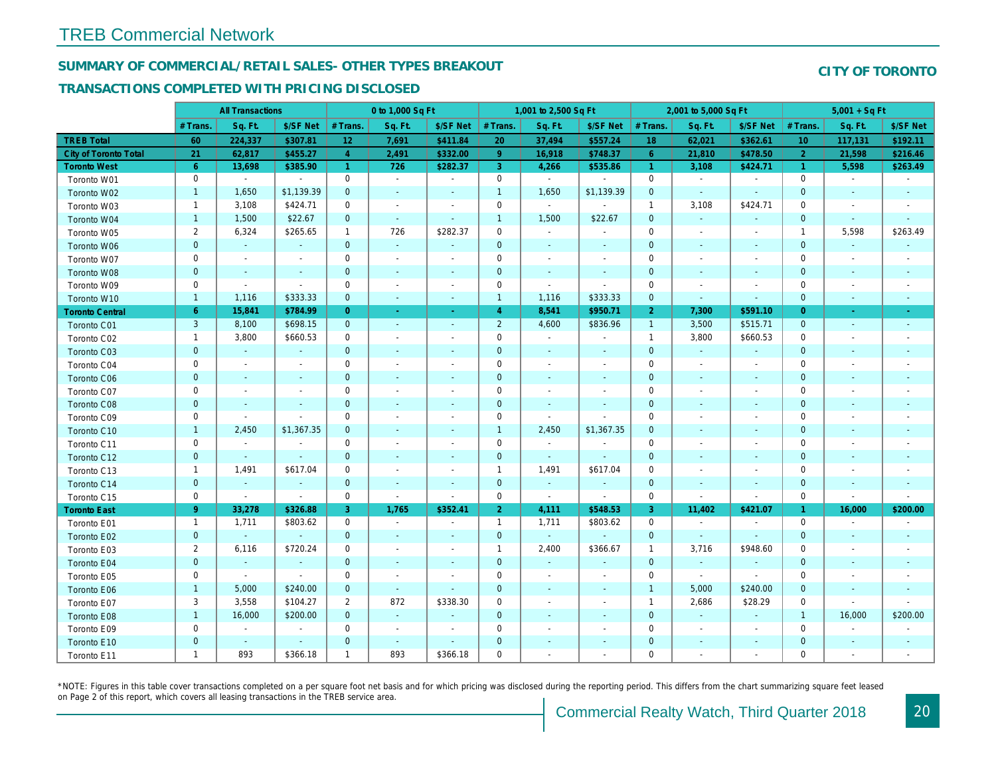## SUMMARY OF COMMERCIAL/RETAIL SALES- OTHER TYPES BREAKOUT

#### TRANSACTIONS COMPLETED WITH PRICING DISCLOSED

|                              |                | <b>All Transactions</b>  |                          |                | 0 to 1,000 Sq Ft         |                          |                | 1,001 to 2,500 Sq Ft     |                          |                | 2,001 to 5,000 Sq Ft     |                          |
|------------------------------|----------------|--------------------------|--------------------------|----------------|--------------------------|--------------------------|----------------|--------------------------|--------------------------|----------------|--------------------------|--------------------------|
|                              | # Trans        | Sq. Ft.                  | \$/SF Net                | # Trans.       | Sq. Ft.                  | \$/SF Net                | # Trans.       | Sq. Ft.                  | \$/SF Net                | # Trans.       | Sq. Ft.                  | \$/SF Ne                 |
| <b>TREB Total</b>            | 60             | 224,337                  | \$307.81                 | 12             | 7,691                    | \$411.84                 | 20             | 37,494                   | \$557.24                 | 18             | 62,021                   | \$362.6'                 |
| <b>City of Toronto Total</b> | 21             | 62,817                   | \$455.27                 | $\overline{4}$ | 2,491                    | \$332.00                 | 9 <sup>°</sup> | 16,918                   | \$748.37                 | 6              | 21,810                   | \$478.50                 |
| <b>Toronto West</b>          | 6              | 13,698                   | \$385.90                 | $\mathbf{1}$   | 726                      | \$282.37                 | 3              | 4,266                    | \$535.86                 | $\overline{1}$ | 3,108                    | \$424.7'                 |
| Toronto W01                  | $\mathbf 0$    | $\sim$                   | $\blacksquare$           | $\mathbf 0$    | $\sim$                   | $\blacksquare$           | $\mathbf 0$    | $\blacksquare$           | $\blacksquare$           | $\mathbf 0$    | $\blacksquare$           | $\sim$                   |
| Toronto W02                  | $\mathbf{1}$   | 1,650                    | \$1,139.39               | $\mathbf 0$    | $\blacksquare$           | $\blacksquare$           | $\mathbf{1}$   | 1,650                    | \$1,139.39               | $\mathbf 0$    | $\blacksquare$           | $\blacksquare$           |
| Toronto W03                  | $\mathbf{1}$   | 3,108                    | \$424.71                 | 0              | $\blacksquare$           | $\blacksquare$           | $\mathbf 0$    | $\blacksquare$           | $\sim$                   | $\overline{1}$ | 3,108                    | \$424.7'                 |
| Toronto W04                  | $\mathbf{1}$   | 1,500                    | \$22.67                  | $\mathbf{0}$   | $\sim$                   | $\omega$                 | $\mathbf{1}$   | 1,500                    | \$22.67                  | $\overline{0}$ | $\omega$                 | $\blacksquare$           |
| Toronto W05                  | 2              | 6,324                    | \$265.65                 | $\mathbf{1}$   | 726                      | \$282.37                 | $\mathbf 0$    | $\blacksquare$           | $\omega$                 | $\mathbf 0$    | $\blacksquare$           | $\blacksquare$           |
| Toronto W06                  | $\mathbf{0}$   | $\sim$                   | $\sim$                   | $\mathbf 0$    | $\sim$                   | $\blacksquare$           | $\mathbf 0$    | $\blacksquare$           | $\overline{\phantom{a}}$ | $\mathbf 0$    | $\overline{\phantom{a}}$ | $\blacksquare$           |
| Toronto W07                  | 0              | $\overline{\phantom{a}}$ | $\overline{\phantom{a}}$ | 0              | $\blacksquare$           | $\blacksquare$           | 0              | $\overline{\phantom{a}}$ | $\blacksquare$           | 0              | $\overline{\phantom{a}}$ | $\overline{\phantom{a}}$ |
| Toronto W08                  | $\mathbf{0}$   | $\sim$                   | $\sim$                   | $\mathbf{0}$   | ۰                        | $\blacksquare$           | $\mathbf 0$    | $\blacksquare$           | $\omega$                 | $\mathbf{0}$   | $\blacksquare$           | $\sim$                   |
| Toronto W09                  | 0              | $\sim$                   | $\sim$                   | $\mathbf 0$    | $\blacksquare$           | $\blacksquare$           | $\mathbf 0$    | $\blacksquare$           | $\blacksquare$           | $\mathbf 0$    | ÷.                       | $\overline{\phantom{a}}$ |
| Toronto W10                  | $\mathbf{1}$   | 1,116                    | \$333.33                 | $\mathbf 0$    | $\blacksquare$           | $\sim$                   | $\mathbf{1}$   | 1,116                    | \$333.33                 | $\mathbf 0$    | $\blacksquare$           | $\blacksquare$           |
| <b>Toronto Central</b>       | $6^{\circ}$    | 15,841                   | \$784.99                 | $\overline{0}$ | $\blacksquare$           | $\blacksquare$           | $\overline{4}$ | 8,541                    | \$950.71                 | $\overline{2}$ | 7,300                    | \$591.10                 |
| Toronto C01                  | 3              | 8,100                    | \$698.15                 | $\mathbf{0}$   | $\sim$                   | $\sim$                   | $\overline{2}$ | 4,600                    | \$836.96                 | $\overline{1}$ | 3,500                    | \$515.7'                 |
| Toronto C02                  | $\mathbf{1}$   | 3,800                    | \$660.53                 | $\mathbf 0$    | $\overline{a}$           | $\overline{\phantom{a}}$ | $\mathbf 0$    | $\blacksquare$           | $\blacksquare$           | $\overline{1}$ | 3,800                    | \$660.53                 |
| Toronto C03                  | $\mathbf{0}$   | $\blacksquare$           | $\sim$                   | $\mathbf{0}$   | ä,                       | ٠                        | $\mathbf 0$    | $\blacksquare$           | ٠                        | $\mathbf{0}$   | $\omega$                 | $\blacksquare$           |
| Toronto C04                  | 0              | $\blacksquare$           | $\overline{\phantom{a}}$ | $\mathbf 0$    | $\blacksquare$           | $\blacksquare$           | $\mathbf 0$    | $\blacksquare$           | $\sim$                   | $\mathbf 0$    | $\blacksquare$           | $\overline{\phantom{a}}$ |
| <b>Toronto C06</b>           | $\mathbf 0$    | $\sim$                   |                          | $\mathbf 0$    | $\blacksquare$           | $\blacksquare$           | $\mathbf 0$    | $\blacksquare$           | $\blacksquare$           | $\mathbf{0}$   | $\blacksquare$           | $\blacksquare$           |
| Toronto C07                  | $\mathbf 0$    |                          |                          | $\mathbf 0$    | $\blacksquare$           | $\blacksquare$           | $\mathbf 0$    |                          | $\sim$                   | $\mathbf 0$    | J.                       | $\blacksquare$           |
| Toronto C08                  | $\mathbf{0}$   | $\blacksquare$           |                          | $\overline{0}$ | $\blacksquare$           | $\blacksquare$           | $\mathbf 0$    | ÷,                       | $\blacksquare$           | $\mathbf{0}$   | $\blacksquare$           | $\blacksquare$           |
| Toronto C09                  | 0              | $\blacksquare$           | $\sim$                   | $\mathbf 0$    | $\blacksquare$           | $\blacksquare$           | $\pmb{0}$      | $\blacksquare$           | ä,                       | 0              | $\overline{\phantom{a}}$ | $\blacksquare$           |
| Toronto C10                  | $\mathbf{1}$   | 2,450                    | \$1,367.35               | $\mathbf 0$    | $\blacksquare$           | $\blacksquare$           | $\mathbf{1}$   | 2,450                    | \$1,367.35               | $\mathbf 0$    | $\blacksquare$           | $\blacksquare$           |
| Toronto C11                  | $\mathbf 0$    | $\blacksquare$           |                          | $\mathbf 0$    | $\sim$                   | $\blacksquare$           | $\mathbf 0$    | $\blacksquare$           | $\blacksquare$           | $\mathbf 0$    | $\blacksquare$           | $\overline{\phantom{a}}$ |
| Toronto C12                  | $\mathbf{0}$   | $\omega$                 | $\sim$                   | $\overline{0}$ | $\sim$                   | $\omega$                 | $\mathbf{0}$   | $\omega$                 | $\sim$                   | $\mathbf{0}$   | $\sim$                   | $\sim$                   |
| Toronto C13                  | $\mathbf{1}$   | 1,491                    | \$617.04                 | $\mathbf 0$    | $\sim$                   | $\blacksquare$           | $\mathbf{1}$   | 1,491                    | \$617.04                 | 0              | $\blacksquare$           |                          |
| Toronto C14                  | $\pmb{0}$      | $\blacksquare$           | $\sim$                   | $\mathbf{0}$   | $\sim$                   | $\blacksquare$           | $\mathbf 0$    | $\blacksquare$           | ۰                        | $\mathbf 0$    | $\blacksquare$           | $\sim$                   |
| Toronto C15                  | 0              | $\blacksquare$           | $\blacksquare$           | $\mathbf 0$    | $\blacksquare$           | $\blacksquare$           | $\mathbf 0$    | $\blacksquare$           | $\blacksquare$           | $\mathbf 0$    | $\blacksquare$           | $\sim$                   |
| <b>Toronto East</b>          | 9 <sup>°</sup> | 33,278                   | \$326.88                 | 3              | 1,765                    | \$352.41                 | 2 <sup>1</sup> | 4,111                    | \$548.53                 | 3              | 11,402                   | \$421.07                 |
| Toronto E01                  | $\mathbf{1}$   | 1,711                    | \$803.62                 | $\mathbf 0$    | $\omega$                 | $\blacksquare$           | $\mathbf{1}$   | 1,711                    | \$803.62                 | $\mathbf 0$    | $\blacksquare$           | $\sim$                   |
| Toronto E02                  | $\mathbf 0$    | $\sim$                   | $\sim$                   | $\mathbf{0}$   | $\sim$                   | $\blacksquare$           | $\mathbf 0$    | $\omega$                 | $\sim$                   | $\mathbf{0}$   | $\sim$                   | $\sim$                   |
| Toronto E03                  | $\overline{2}$ | 6,116                    | \$720.24                 | 0              | $\blacksquare$           | $\overline{\phantom{a}}$ | $\mathbf{1}$   | 2,400                    | \$366.67                 | $\overline{1}$ | 3,716                    | \$948.60                 |
| Toronto E04                  | $\mathbf{0}$   | $\omega$                 | $\sim$                   | $\overline{0}$ | $\blacksquare$           | $\blacksquare$           | $\mathbf 0$    | $\omega$                 | $\blacksquare$           | $\mathbf{0}$   | $\omega$                 | $\blacksquare$           |
| Toronto E05                  | 0              | $\blacksquare$           | $\blacksquare$           | $\mathbf 0$    | $\overline{\phantom{a}}$ | $\blacksquare$           | $\mathbf 0$    | $\blacksquare$           | $\blacksquare$           | $\mathbf 0$    | $\blacksquare$           | $\blacksquare$           |
| Toronto E06                  | $\mathbf{1}$   | 5,000                    | \$240.00                 | $\mathbf 0$    | $\blacksquare$           | $\blacksquare$           | $\mathbf 0$    | ÷,                       | ÷,                       | $\mathbf{1}$   | 5,000                    | \$240.00                 |
| Toronto E07                  | 3              | 3,558                    | \$104.27                 | $\overline{2}$ | 872                      | \$338.30                 | 0              | $\blacksquare$           | $\blacksquare$           | $\overline{1}$ | 2,686                    | \$28.29                  |
| Toronto E08                  | $\mathbf{1}$   | 16,000                   | \$200.00                 | $\mathbf{0}$   | $\sim$                   | $\blacksquare$           | $\mathbf{0}$   |                          | $\omega$                 | $\mathbf{0}$   | $\omega$                 | $\blacksquare$           |
| Toronto E09                  | 0              | $\blacksquare$           | $\blacksquare$           | $\mathbf 0$    | $\blacksquare$           | $\blacksquare$           | $\mathbf 0$    | $\sim$                   | $\blacksquare$           | $\mathbf 0$    | $\blacksquare$           | $\blacksquare$           |
| Toronto E10                  | $\mathbf 0$    | $\overline{\phantom{a}}$ | $\sim$                   | $\mathbf 0$    | $\blacksquare$           | $\blacksquare$           | $\mathbf 0$    |                          |                          | $\mathbf 0$    | $\overline{\phantom{a}}$ | $\overline{\phantom{a}}$ |
| Toronto E11                  | $\mathbf{1}$   | 893                      | \$366.18                 | $\mathbf{1}$   | 893                      | \$366.18                 | $\mathbf 0$    | $\blacksquare$           | $\blacksquare$           | $\mathbf 0$    | $\blacksquare$           | $\overline{\phantom{a}}$ |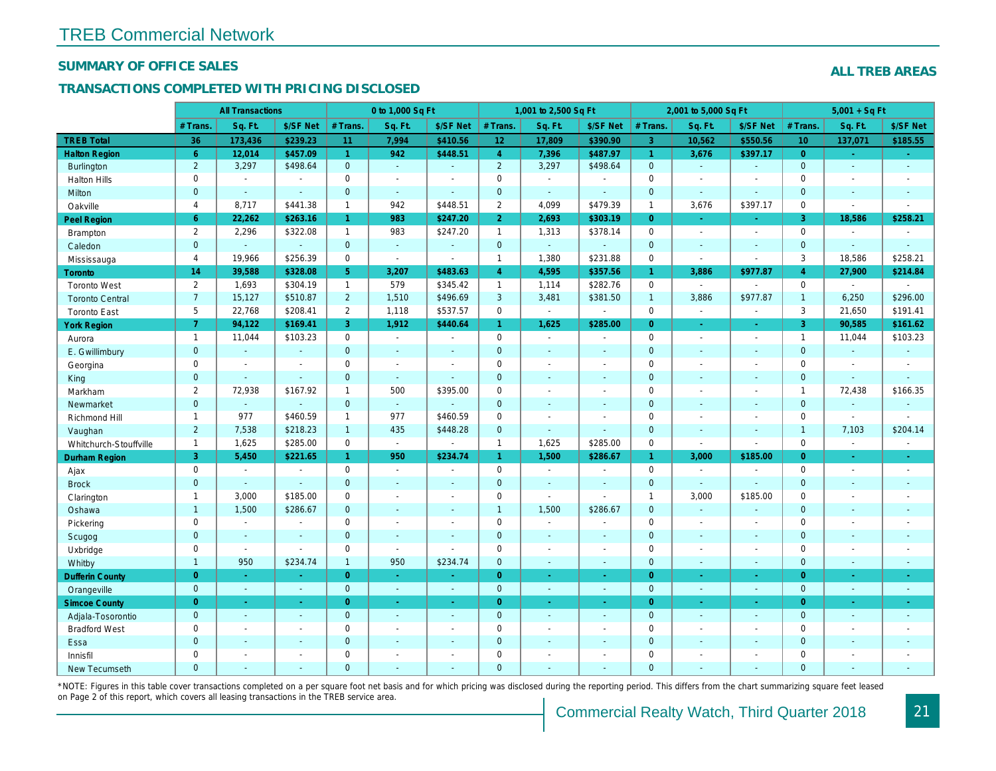#### SUMMARY OF OFFICE SALES

### TRANSACTIONS COMPLETED WITH PRICING DISCLOSED

|                        |                | <b>All Transactions</b> |                          |                      | 0 to 1,000 Sq Ft |                          |                     | 1,001 to 2,500 Sq Ft     |                       |                | 2,001 to 5,000 Sq Ft |                          |
|------------------------|----------------|-------------------------|--------------------------|----------------------|------------------|--------------------------|---------------------|--------------------------|-----------------------|----------------|----------------------|--------------------------|
|                        | # Trans.       | Sq. Ft.                 | \$/SF Net                | # Trans.             | Sq. Ft.          | \$/SF Net                | # Trans.            | Sq. Ft.                  | \$/SF Net             | # Trans.       | Sq. Ft.              | \$/SF Ne                 |
| <b>TREB Total</b>      | 36             | 173,436                 | \$239.23                 | 11                   | 7,994            | \$410.56                 | 12                  | 17,809                   | \$390.90              | $\overline{3}$ | 10,562               | \$550.56                 |
| <b>Halton Region</b>   | 6 <sup>°</sup> | 12,014                  | \$457.09                 | $\mathbf{1}$         | 942              | \$448.51                 | $\overline{4}$      | 7,396                    | \$487.97              | $\mathbf{1}$   | 3,676                | \$397.1                  |
| <b>Burlington</b>      | $\overline{2}$ | 3,297                   | \$498.64                 | $\mathbf{0}$         | $\omega$         | $\blacksquare$           | $\overline{2}$      | 3,297                    | \$498.64              | $\mathbf{0}$   | $\omega$             | $\blacksquare$           |
| <b>Halton Hills</b>    | 0              | $\sim$                  | $\overline{\phantom{a}}$ | $\mathbf 0$          | $\blacksquare$   |                          | $\mathsf{O}$        | $\blacksquare$           | $\blacksquare$        | $\Omega$       | $\sim$               | $\blacksquare$           |
| Milton                 | $\mathbf{0}$   | $\sim$                  | $\blacksquare$           | $\mathbf 0$          | $\omega$         | $\blacksquare$           | $\pmb{0}$           | $\omega_{\rm c}$         | $\blacksquare$        | $\mathbf{0}$   | $\blacksquare$       | $\blacksquare$           |
| Oakville               | $\overline{4}$ | 8,717                   | \$441.38                 | $\mathbf{1}$         | 942              | \$448.51                 | $\overline{2}$      | 4,099                    | \$479.39              | $\overline{1}$ | 3,676                | \$397.17                 |
| Peel Region            | 6              | 22,262                  | \$263.16                 | $\blacktriangleleft$ | 983              | \$247.20                 | $\overline{2}$      | 2,693                    | \$303.19              | $\overline{0}$ | $\omega$             | $\blacksquare$           |
| Brampton               | $\overline{2}$ | 2,296                   | \$322.08                 | $\mathbf{1}$         | 983              | \$247.20                 | $\mathbf{1}$        | 1,313                    | \$378.14              | $\mathbf 0$    | $\blacksquare$       | $\sim$                   |
| Caledon                | $\mathbf{0}$   | $\sim$                  | $\sim$                   | $\mathbf 0$          | $\omega$         | $\blacksquare$           | $\mathbf{0}$        | $\omega_{\rm c}$         | $\omega$              | $\mathbf 0$    | $\blacksquare$       | $\blacksquare$           |
| Mississauga            | $\overline{4}$ | 19,966                  | \$256.39                 | 0                    | $\blacksquare$   | $\blacksquare$           | $\mathbf{1}$        | 1,380                    | \$231.88              | $\mathbf 0$    | $\sim$               | $\blacksquare$           |
| <b>Toronto</b>         | 14             | 39,588                  | \$328.08                 | 5                    | 3,207            | \$483.63                 | $\overline{4}$      | 4,595                    | \$357.56              | $\mathbf{1}$   | 3,886                | \$977.87                 |
| <b>Toronto West</b>    | $\overline{2}$ | 1,693                   | \$304.19                 | $\mathbf{1}$         | 579              | \$345.42                 | $\mathbf{1}$        | 1,114                    | \$282.76              | $\mathbf 0$    | $\blacksquare$       | $\mathbf{r}$             |
| <b>Toronto Central</b> | $\overline{7}$ | 15,127                  | \$510.87                 | $\overline{2}$       | 1,510            | \$496.69                 | $\mathbf{3}$        | 3,481                    | \$381.50              | $\overline{1}$ | 3,886                | \$977.87                 |
| <b>Toronto East</b>    | 5              | 22,768                  | \$208.41                 | $\mathbf{2}$         | 1,118            | \$537.57                 | $\mathbf 0$         | $\blacksquare$           | $\sim$                | $\mathbf 0$    | $\blacksquare$       | $\blacksquare$           |
| <b>York Region</b>     | $\mathbf{7}$   | 94,122                  | \$169.41                 | 3                    | 1,912            | \$440.64                 | $\mathbf{1}$        | 1,625                    | \$285.00              | $\overline{0}$ | $\blacksquare$       | $\sim$                   |
| Aurora                 | $\overline{1}$ | 11,044                  | \$103.23                 | $\mathbf 0$          | $\sim$           | $\blacksquare$           | $\mathsf{O}$        | $\blacksquare$           | $\sim$                | $\mathbf 0$    | $\blacksquare$       | $\sim$                   |
| E. Gwillimbury         | $\mathbf{0}$   | $\omega$                | $\omega$                 | $\overline{0}$       | $\sim$           | $\blacksquare$           | $\mathbf{0}$        | $\blacksquare$           | $\blacksquare$        | $\mathbf{0}$   | $\sim$               | $\blacksquare$           |
| Georgina               | 0              | $\sim$                  | $\blacksquare$           | 0                    | $\blacksquare$   | $\blacksquare$           | $\mathbf 0$         | $\blacksquare$           | $\blacksquare$        | $\mathbf 0$    | $\blacksquare$       | $\blacksquare$           |
| King                   | $\mathbf{0}$   | $\sim$                  | $\sim$                   | $\mathbf 0$          | $\sim$           | $\overline{\phantom{a}}$ | $\mathbf 0$         | $\blacksquare$           | $\blacksquare$        | $\mathbf{0}$   | $\sim$               | $\blacksquare$           |
| Markham                | $\overline{2}$ | 72,938                  | \$167.92                 | $\mathbf{1}$         | 500              | \$395.00                 | $\mathbf 0$         | $\blacksquare$           | $\blacksquare$        | $\mathbf 0$    | $\blacksquare$       | $\blacksquare$           |
| Newmarket              | $\overline{0}$ | $\omega$                | $\blacksquare$           | $\mathbf{0}$         | $\omega$         |                          | $\mathbf{0}$        | ä,                       | $\overline{a}$        | $\mathbf{0}$   | ÷.                   | $\blacksquare$           |
| Richmond Hill          | $\mathbf{1}$   | 977                     | \$460.59                 | $\mathbf{1}$         | 977              | \$460.59                 | $\mathbf 0$         | $\blacksquare$           | $\blacksquare$        | 0              | $\blacksquare$       | $\overline{\phantom{a}}$ |
| Vaughan                | $\overline{2}$ | 7,538                   | \$218.23                 | $\mathbf{1}$         | 435              | \$448.28                 | $\mathbf{0}$        | $\blacksquare$           | $\blacksquare$        | $\mathbf{0}$   | $\omega$             | $\sim$                   |
| Whitchurch-Stouffville | $\mathbf{1}$   | 1,625                   | \$285.00                 | $\mathbf 0$          | $\blacksquare$   | $\sim$                   | $\mathbf{1}$        | 1,625                    | \$285.00              | $\mathbf 0$    | $\sim$               | $\blacksquare$           |
| <b>Durham Region</b>   | 3              | 5,450                   | \$221.65                 | $\mathbf{1}$         | 950              | \$234.74                 | $\mathbf{1}$        | 1,500                    | \$286.67              | $\mathbf{1}$   | 3,000                | \$185.00                 |
| Ajax                   | 0              | $\blacksquare$          | $\blacksquare$           | $\mathbf 0$          | $\sim$           | $\blacksquare$           | $\mathbf 0$         | $\blacksquare$           | $\overline{a}$        | $\mathbf 0$    | $\blacksquare$       | $\blacksquare$           |
| <b>Brock</b>           | $\mathbf{0}$   | $\mathbf{r}$            | $\mathbf{r}$             | $\overline{0}$       | $\mathbf{r}$     | $\sim$                   | $\mathbf{0}$        | $\omega$                 | ä,                    | $\mathbf 0$    | $\omega$             | $\blacksquare$           |
| Clarington             | $\mathbf{1}$   | 3,000                   | \$185.00                 | 0                    | $\sim$           | $\blacksquare$           | $\mathsf{O}\xspace$ | $\overline{\phantom{a}}$ | $\tilde{\phantom{a}}$ | $\mathbf{1}$   | 3,000                | \$185.00                 |
| Oshawa                 | $\mathbf{1}$   | 1,500                   | \$286.67                 | $\mathbf{0}$         | $\blacksquare$   | ٠                        | $\mathbf{1}$        | 1,500                    | \$286.67              | $\mathbf{0}$   | $\blacksquare$       | $\blacksquare$           |
| Pickering              | 0              | $\blacksquare$          | $\overline{\phantom{a}}$ | $\mathbf 0$          | $\sim$           | $\blacksquare$           | $\mathbf 0$         | $\blacksquare$           | $\blacksquare$        | $\mathbf 0$    | $\blacksquare$       | $\blacksquare$           |
| Scugog                 | $\mathbf{0}$   | $\sim$                  | $\blacksquare$           | $\mathbf{0}$         | $\omega$         | $\blacksquare$           | $\mathbf{0}$        | $\omega$                 | $\blacksquare$        | $\mathbf{0}$   | $\omega$             | $\blacksquare$           |
| Uxbridge               | 0              | $\blacksquare$          | $\blacksquare$           | 0                    | $\blacksquare$   |                          | 0                   | $\overline{a}$           | $\overline{a}$        | $\mathbf 0$    | $\sim$               | $\blacksquare$           |
| Whitby                 | $\mathbf{1}$   | 950                     | \$234.74                 | $\mathbf{1}$         | 950              | \$234.74                 | $\mathbf{0}$        | $\blacksquare$           | $\sim$                | $\mathbf{0}$   | $\blacksquare$       | $\sim$                   |
| <b>Dufferin County</b> | $\overline{0}$ | $\sim$                  | $\sim$                   | $\overline{0}$       | <b>Co</b>        | ×.                       | $\overline{0}$      | ÷.                       | ×.                    | $\overline{0}$ | $\sim$               | $\sim$                   |
| Orangeville            | $\mathbf{0}$   | $\omega$                | $\omega$                 | $\mathbf 0$          | $\omega$         | $\omega$                 | $\overline{0}$      | $\omega$                 | $\omega_{\rm c}$      | $\mathbf 0$    | $\omega$             | $\omega_{\rm c}$         |
| <b>Simcoe County</b>   | $\overline{0}$ | $\omega$                | $\sim$                   | $\overline{0}$       | $\omega$         | $\omega$                 | $\overline{0}$      | ä,                       | $\omega$              | $\overline{0}$ | $\blacksquare$       | $\sim$                   |
| Adjala-Tosorontio      | $\mathbf{0}$   | $\sim$                  | $\sim$                   | $\mathbf 0$          | $\mathbf{r}$     | $\blacksquare$           | $\mathbf{0}$        | $\blacksquare$           | $\blacksquare$        | $\mathbf 0$    | $\Delta$             | $\sim$                   |
| <b>Bradford West</b>   | 0              | $\blacksquare$          | $\blacksquare$           | 0                    | $\sim$           | $\sim$                   | $\mathsf{O}\xspace$ | $\blacksquare$           | $\blacksquare$        | $\mathbf 0$    | $\blacksquare$       | $\blacksquare$           |
| Essa                   | $\mathbf{0}$   | $\sim$                  | $\sim$                   | $\mathbf 0$          | $\blacksquare$   | $\blacksquare$           | $\mathbf 0$         | ä,                       | ä,                    | $\mathbf 0$    | $\sim$               |                          |
| Innisfil               | 0              | $\sim$                  | $\sim$                   | $\mathbf 0$          | $\blacksquare$   | $\blacksquare$           | $\mathbf 0$         | $\blacksquare$           | $\blacksquare$        | $\mathbf 0$    | $\sim$               | $\blacksquare$           |
| <b>New Tecumseth</b>   | $\Omega$       |                         |                          | $\Omega$             |                  |                          | $\mathbf{0}$        |                          |                       | $\Omega$       |                      |                          |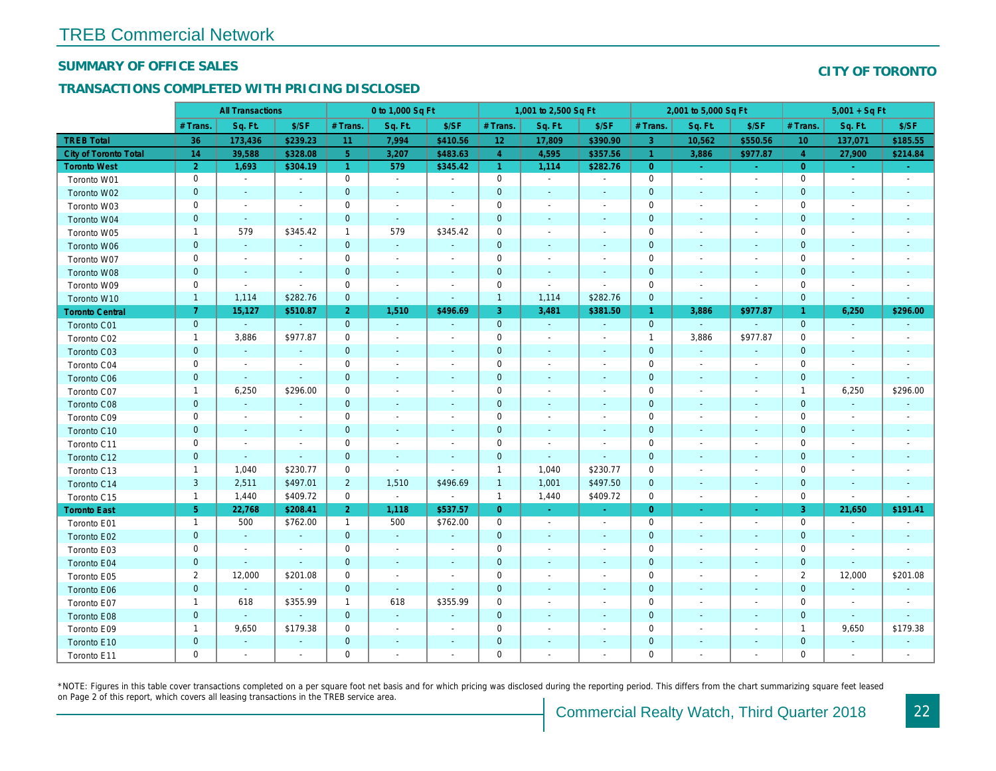#### SUMMARY OF OFFICE SALES

### TRANSACTIONS COMPLETED WITH PRICING DISCLOSED

|                        |                | <b>All Transactions</b>  |                             |                | 0 to 1,000 Sq Ft     |                          |                | 1,001 to 2,500 Sq Ft     |                          |                      | 2,001 to 5,000 Sq Ft     |                          |
|------------------------|----------------|--------------------------|-----------------------------|----------------|----------------------|--------------------------|----------------|--------------------------|--------------------------|----------------------|--------------------------|--------------------------|
|                        | # Trans        | Sq. Ft.                  | \$/SF                       | # Trans.       | Sq. Ft.              | \$/SF                    | # Trans.       | Sq. Ft.                  | \$/SF                    | # Trans.             | Sq. Ft.                  | \$/SF                    |
| <b>TREB Total</b>      | 36             | 173,436                  | \$239.23                    | 11             | 7,994                | \$410.56                 | 12             | 17,809                   | \$390.90                 | -3                   | 10,562                   | \$550.56                 |
| City of Toronto Total  | 14             | 39,588                   | \$328.08                    | 5 <sup>5</sup> | 3,207                | \$483.63                 | $\overline{4}$ | 4,595                    | \$357.56                 | $\blacktriangleleft$ | 3,886                    | \$977.87                 |
| <b>Toronto West</b>    | $\overline{2}$ | 1,693                    | \$304.19                    | $\overline{1}$ | 579                  | \$345.42                 | $\overline{1}$ | 1,114                    | \$282.76                 | $\overline{0}$       | $\sim$                   | $\sim$                   |
| Toronto W01            | $\pmb{0}$      | $\sim$                   | $\sim$                      | $\mathbf 0$    | $\blacksquare$       | $\blacksquare$           | $\mathbf 0$    | $\sim$                   | $\blacksquare$           | $\pmb{0}$            | $\sim$                   | $\sim$                   |
| Toronto W02            | $\mathbf 0$    | $\sim$                   | $\sim$                      | $\mathbf 0$    | $\sim$               | $\blacksquare$           | $\mathbf 0$    | $\sim$                   |                          | $\mathbf 0$          | $\blacksquare$           | $\sim$                   |
| Toronto W03            | $\mathbf 0$    | $\blacksquare$           | $\sim$                      | $\mathbf 0$    | $\blacksquare$       | $\blacksquare$           | $\mathbf 0$    | $\blacksquare$           | $\overline{\phantom{a}}$ | $\mathbf 0$          | $\sim$                   | $\sim$                   |
| Toronto W04            | $\pmb{0}$      | $\sim$                   | $\omega$                    | $\mathbf 0$    | $\blacksquare$       | $\blacksquare$           | 0              | $\blacksquare$           | $\sim$                   | $\mathbf 0$          | $\blacksquare$           | $\overline{\phantom{a}}$ |
| Toronto W05            | $\mathbf{1}$   | 579                      | \$345.42                    | $\mathbf{1}$   | 579                  | \$345.42                 | 0              | $\overline{\phantom{a}}$ | $\overline{\phantom{a}}$ | $\mathbf 0$          | $\blacksquare$           | $\overline{\phantom{a}}$ |
| Toronto W06            | $\mathbf 0$    | $\sim$                   | $\blacksquare$              | $\mathbf{0}$   | $\omega$             | $\overline{\phantom{a}}$ | $\mathbf 0$    | $\blacksquare$           |                          | $\mathbf 0$          | $\blacksquare$           | $\sim$                   |
| Toronto W07            | $\pmb{0}$      | $\blacksquare$           | $\overline{\phantom{a}}$    | $\mathbf 0$    | $\blacksquare$       | $\blacksquare$           | $\mathbf 0$    | $\overline{\phantom{a}}$ |                          | $\mathbf 0$          | $\overline{a}$           | $\overline{\phantom{a}}$ |
| Toronto W08            | $\pmb{0}$      | $\blacksquare$           | $\sim$                      | $\mathbf 0$    | $\blacksquare$       | $\blacksquare$           | $\pmb{0}$      | $\blacksquare$           | $\blacksquare$           | $\mathbf 0$          | $\blacksquare$           | $\blacksquare$           |
| Toronto W09            | $\mathbf 0$    | $\overline{\phantom{a}}$ | $\blacksquare$              | $\mathbf 0$    | $\overline{a}$       | $\overline{\phantom{a}}$ | 0              | $\overline{\phantom{a}}$ |                          | $\mathbf 0$          |                          | $\overline{\phantom{a}}$ |
| Toronto W10            | $\mathbf{1}$   | 1,114                    | \$282.76                    | $\mathbf{0}$   | $\blacksquare$       | $\blacksquare$           | $\overline{1}$ | 1,114                    | \$282.76                 | $\mathbf 0$          | $\blacksquare$           | $\blacksquare$           |
| <b>Toronto Central</b> | $\overline{7}$ | 15,127                   | \$510.87                    | 2 <sup>1</sup> | 1,510                | \$496.69                 | $\mathbf{3}$   | 3,481                    | \$381.50                 | $\mathbf{1}$         | 3,886                    | \$977.87                 |
| Toronto C01            | $\mathbf 0$    | $\omega$                 | $\mathcal{L}_{\mathcal{C}}$ | $\mathbf{0}$   | $\blacksquare$       | $\sim$                   | $\mathbf 0$    | $\blacksquare$           | $\blacksquare$           | $\mathbf{0}$         | $\blacksquare$           | $\blacksquare$           |
| Toronto C02            | $\mathbf{1}$   | 3,886                    | \$977.87                    | $\mathbf 0$    | $\blacksquare$       | $\blacksquare$           | $\mathbf 0$    | $\tilde{\phantom{a}}$    | $\blacksquare$           | $\mathbf{1}$         | 3,886                    | \$977.87                 |
| Toronto C03            | $\mathbf 0$    | $\sim$                   | $\blacksquare$              | $\mathbf{0}$   | $\sim$               | $\blacksquare$           | $\pmb{0}$      | $\blacksquare$           | $\sim$                   | $\mathbf 0$          | $\sim$                   | $\blacksquare$           |
| Toronto C04            | $\pmb{0}$      | $\blacksquare$           | $\overline{\phantom{a}}$    | $\mathbf 0$    | $\blacksquare$       | $\overline{a}$           | $\pmb{0}$      | $\blacksquare$           | $\overline{\phantom{a}}$ | $\mathbf 0$          | $\blacksquare$           | $\blacksquare$           |
| <b>Toronto C06</b>     | $\mathbf 0$    | $\sim$                   | $\mathcal{L}$               | $\mathbf 0$    | $\blacksquare$       | $\blacksquare$           | $\mathbf 0$    | $\blacksquare$           | $\overline{\phantom{a}}$ | $\mathbf 0$          | $\sim$                   | $\sim$                   |
| Toronto C07            | $\mathbf{1}$   | 6,250                    | \$296.00                    | $\mathbf 0$    | $\blacksquare$       | $\blacksquare$           | $\mathbf 0$    | $\blacksquare$           | $\overline{\phantom{a}}$ | $\mathbf 0$          | $\blacksquare$           | $\sim$                   |
| Toronto C08            | $\pmb{0}$      | $\mathcal{L}$            | $\omega$                    | $\mathbf{0}$   | ä,                   | $\blacksquare$           | $\mathbf 0$    | $\sim$                   | $\overline{\phantom{a}}$ | $\mathbf 0$          | $\blacksquare$           | $\blacksquare$           |
| Toronto C09            | 0              | $\blacksquare$           | $\blacksquare$              | 0              | $\blacksquare$       | $\overline{a}$           | 0              | $\blacksquare$           | $\overline{\phantom{a}}$ | 0                    |                          | $\overline{\phantom{a}}$ |
| Toronto C10            | $\mathbf 0$    | $\sim$                   | $\sim$                      | $\mathbf 0$    | $\sim$               | $\sim$                   | $\mathbf 0$    | $\sim$                   | $\blacksquare$           | $\mathbf 0$          | $\overline{\phantom{a}}$ | $\sim$                   |
| Toronto C11            | $\mathbf 0$    | $\blacksquare$           | $\overline{\phantom{a}}$    | $\mathbf 0$    | $\blacksquare$       | $\overline{a}$           | $\mathbf 0$    | $\overline{\phantom{a}}$ | $\blacksquare$           | $\mathbf 0$          | $\overline{\phantom{a}}$ | $\overline{\phantom{a}}$ |
| Toronto C12            | $\mathbf 0$    | $\blacksquare$           | $\sim$                      | $\mathbf{0}$   | $\blacksquare$       | $\sim$                   | $\mathbf 0$    | $\blacksquare$           | $\blacksquare$           | $\mathbf 0$          | $\overline{\phantom{a}}$ | $\sim$                   |
| Toronto C13            | $\mathbf{1}$   | 1,040                    | \$230.77                    | $\mathbf 0$    | $\omega$             | $\blacksquare$           | $\mathbf{1}$   | 1,040                    | \$230.77                 | 0                    | $\overline{\phantom{a}}$ | $\overline{\phantom{a}}$ |
| Toronto C14            | $\mathbf{3}$   | 2,511                    | \$497.01                    | $\overline{2}$ | 1,510                | \$496.69                 | $\overline{1}$ | 1,001                    | \$497.50                 | $\mathbf 0$          | $\overline{\phantom{a}}$ | $\blacksquare$           |
| Toronto C15            | $\mathbf{1}$   | 1,440                    | \$409.72                    | $\mathbf 0$    | $\omega$             | $\blacksquare$           | $\mathbf{1}$   | 1,440                    | \$409.72                 | $\mathbf 0$          | $\overline{\phantom{a}}$ | $\blacksquare$           |
| <b>Toronto East</b>    | 5 <sub>1</sub> | 22,768                   | \$208.41                    | 2 <sup>1</sup> | 1,118                | \$537.57                 | $\overline{0}$ | $\blacksquare$           | $\blacksquare$           | $\overline{0}$       |                          | $\sigma$                 |
| Toronto E01            | $\mathbf{1}$   | 500                      | \$762.00                    | $\mathbf{1}$   | 500                  | \$762.00                 | $\mathbf 0$    | $\blacksquare$           | $\overline{\phantom{a}}$ | $\mathbf 0$          | $\blacksquare$           | $\sim$                   |
| Toronto E02            | $\pmb{0}$      | $\blacksquare$           | ä,                          | $\mathbf{0}$   | ä,                   |                          | $\pmb{0}$      | $\blacksquare$           |                          | $\mathbf 0$          | $\blacksquare$           | $\blacksquare$           |
| Toronto E03            | $\pmb{0}$      | $\overline{\phantom{a}}$ | $\blacksquare$              | $\mathbf 0$    | $\blacksquare$       | $\blacksquare$           | $\pmb{0}$      | $\blacksquare$           | $\blacksquare$           | $\mathbf 0$          | $\blacksquare$           | $\blacksquare$           |
| Toronto E04            | $\mathbf 0$    | $\sim$                   | $\blacksquare$              | $\mathbf 0$    | $\blacksquare$       | $\blacksquare$           | $\mathbf 0$    | $\blacksquare$           | $\overline{\phantom{a}}$ | $\pmb{0}$            | $\overline{\phantom{a}}$ | $\overline{\phantom{a}}$ |
| Toronto E05            | $\overline{2}$ | 12,000                   | \$201.08                    | $\mathbf 0$    | $\blacksquare$       | $\sim$                   | 0              | $\blacksquare$           | $\overline{\phantom{a}}$ | $\mathbf 0$          | $\blacksquare$           | $\sim$                   |
| Toronto E06            | $\pmb{0}$      | $\omega$                 |                             | $\mathbf 0$    | $\omega$             | $\blacksquare$           | 0              | $\sim$                   |                          | $\mathbf 0$          | $\blacksquare$           | $\overline{\phantom{a}}$ |
| Toronto E07            | $\mathbf{1}$   | 618                      | \$355.99                    | $\mathbf{1}$   | 618                  | \$355.99                 | 0              | $\overline{\phantom{a}}$ | $\overline{\phantom{a}}$ | $\mathbf 0$          | $\overline{\phantom{a}}$ | $\overline{\phantom{a}}$ |
| Toronto E08            | $\mathbf 0$    | $\omega$                 | $\omega$                    | $\mathbf{0}$   | $\blacksquare$       | $\blacksquare$           | $\mathbf 0$    | $\blacksquare$           | $\sim$                   | $\mathbf 0$          | $\sim$                   | $\sim$                   |
| Toronto E09            | $\mathbf{1}$   | 9,650                    | \$179.38                    | $\mathbf 0$    | $\blacksquare$       | $\blacksquare$           | 0              | $\blacksquare$           | $\overline{\phantom{a}}$ | $\mathbf 0$          |                          | $\overline{\phantom{a}}$ |
| Toronto E10            | $\pmb{0}$      | $\blacksquare$           | $\blacksquare$              | $\mathbf{0}$   | $\blacksquare$       | $\blacksquare$           | 0              |                          |                          | $\mathbf 0$          | $\blacksquare$           | ٠                        |
| Toronto E11            | $\mathbf 0$    | $\blacksquare$           | ٠                           | $\mathbf 0$    | $\ddot{\phantom{1}}$ | $\ddot{\phantom{1}}$     | 0              |                          |                          | $\mathbf 0$          |                          | $\sim$                   |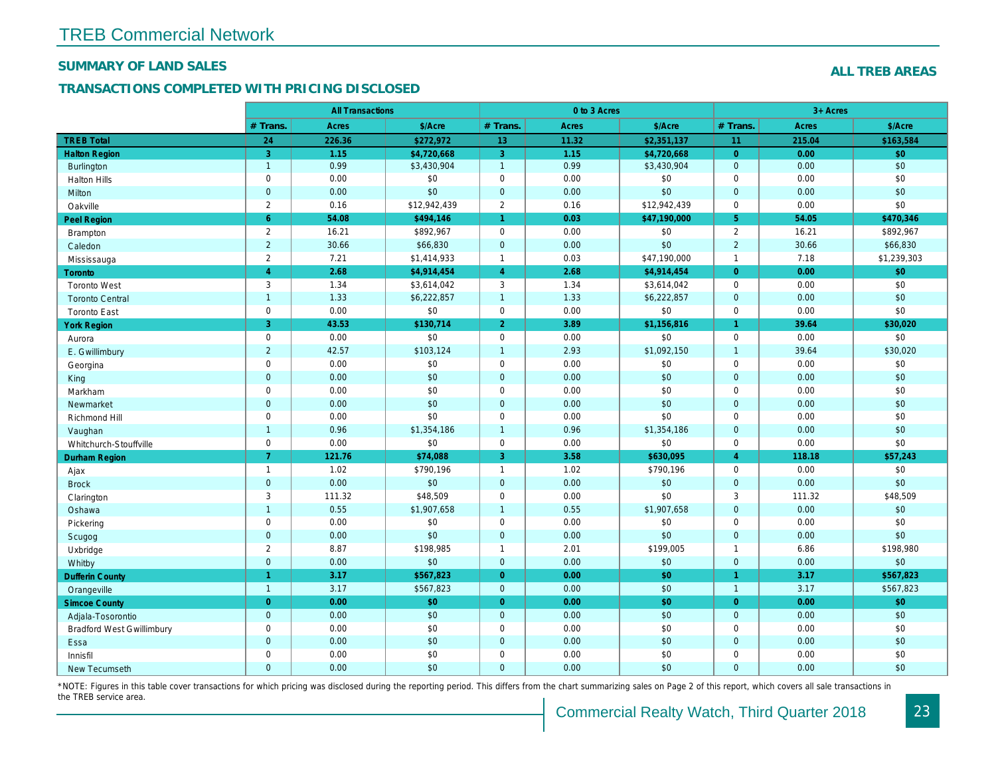#### SUMMARY OF LAND SALES

### TRANSACTIONS COMPLETED WITH PRICING DISCLOSED

|                                  |                      | <b>All Transactions</b> |              |                      | 0 to 3 Acres |              |                      |
|----------------------------------|----------------------|-------------------------|--------------|----------------------|--------------|--------------|----------------------|
|                                  | # Trans.             | Acres                   | \$/Acre      | # Trans.             | <b>Acres</b> | \$/Acre      | # Trans.             |
| <b>TREB Total</b>                | 24                   | 226.36                  | \$272,972    | 13                   | 11.32        | \$2,351,137  | 11                   |
| <b>Halton Region</b>             | 3                    | 1.15                    | \$4,720,668  | 3                    | 1.15         | \$4,720,668  | $\Omega$             |
| <b>Burlington</b>                | $\overline{1}$       | 0.99                    | \$3,430,904  | $\mathbf{1}$         | 0.99         | \$3,430,904  | $\mathbf 0$          |
| <b>Halton Hills</b>              | $\mathbf 0$          | 0.00                    | \$0          | $\mathbf 0$          | 0.00         | \$0          | $\mathbf 0$          |
| Milton                           | $\mathbf 0$          | 0.00                    | \$0          | $\mathbf{0}$         | 0.00         | \$0          | $\overline{0}$       |
| Oakville                         | $\overline{2}$       | 0.16                    | \$12,942,439 | $\overline{2}$       | 0.16         | \$12,942,439 | $\mathbf 0$          |
| Peel Region                      | $6\phantom{1}$       | 54.08                   | \$494,146    | $\blacktriangleleft$ | 0.03         | \$47,190,000 | 5 <sup>5</sup>       |
| Brampton                         | $\overline{2}$       | 16.21                   | \$892,967    | $\mathbf 0$          | 0.00         | \$0          | $\overline{2}$       |
| Caledon                          | $\overline{2}$       | 30.66                   | \$66,830     | $\mathbf 0$          | 0.00         | \$0          | $\overline{2}$       |
| Mississauga                      | 2                    | 7.21                    | \$1,414,933  | $\mathbf{1}$         | 0.03         | \$47,190,000 | $\overline{1}$       |
| Toronto                          | $\overline{4}$       | 2.68                    | \$4,914,454  | $\overline{4}$       | 2.68         | \$4,914,454  | $\overline{0}$       |
| <b>Toronto West</b>              | 3                    | 1.34                    | \$3,614,042  | 3                    | 1.34         | \$3,614,042  | $\mathbf 0$          |
| <b>Toronto Central</b>           | $\overline{1}$       | 1.33                    | \$6,222,857  | $\mathbf{1}$         | 1.33         | \$6,222,857  | $\mathbf{0}$         |
| <b>Toronto East</b>              | $\mathbf 0$          | 0.00                    | \$0          | $\mathbf 0$          | 0.00         | \$0          | $\mathbf 0$          |
| <b>York Region</b>               | 3                    | 43.53                   | \$130,714    | $\overline{2}$       | 3.89         | \$1,156,816  | $\mathbf{1}$         |
| Aurora                           | $\mathsf{O}\xspace$  | 0.00                    | \$0          | $\mathsf 0$          | 0.00         | \$0          | $\mathbf 0$          |
| E. Gwillimbury                   | $\overline{2}$       | 42.57                   | \$103,124    | $\mathbf{1}$         | 2.93         | \$1,092,150  | $\overline{1}$       |
| Georgina                         | $\mathbf 0$          | 0.00                    | \$0          | $\mathsf 0$          | 0.00         | \$0          | $\mathbf 0$          |
| King                             | $\mathbf 0$          | 0.00                    | \$0          | $\mathbf 0$          | 0.00         | \$0          | $\mathbf 0$          |
| Markham                          | $\mathsf 0$          | 0.00                    | \$0          | $\mathbf 0$          | 0.00         | \$0          | $\mathbf 0$          |
| Newmarket                        | $\mathbf 0$          | 0.00                    | \$0          | $\mathbf{0}$         | 0.00         | \$0          | $\mathbf 0$          |
| Richmond Hill                    | $\mathbf 0$          | 0.00                    | \$0          | $\mathbf 0$          | 0.00         | \$0          | $\mathbf 0$          |
| Vaughan                          | $\overline{1}$       | 0.96                    | \$1,354,186  | $\overline{1}$       | 0.96         | \$1,354,186  | $\overline{0}$       |
| Whitchurch-Stouffville           | $\mathsf 0$          | 0.00                    | \$0          | $\mathsf 0$          | 0.00         | \$0          | $\mathbf 0$          |
| <b>Durham Region</b>             | $\overline{7}$       | 121.76                  | \$74,088     | 3                    | 3.58         | \$630,095    | $\overline{4}$       |
| Ajax                             | $\mathbf{1}$         | 1.02                    | \$790,196    | $\mathbf{1}$         | 1.02         | \$790,196    | $\mathbf 0$          |
| <b>Brock</b>                     | $\mathbf 0$          | 0.00                    | \$0          | $\mathbf 0$          | 0.00         | \$0          | $\mathbf{0}$         |
| Clarington                       | 3                    | 111.32                  | \$48,509     | $\mathbf 0$          | 0.00         | \$0          | 3                    |
| Oshawa                           | $\overline{1}$       | 0.55                    | \$1,907,658  | $\overline{1}$       | 0.55         | \$1,907,658  | $\mathbf 0$          |
| Pickering                        | $\mathsf 0$          | 0.00                    | \$0          | $\mathbf 0$          | 0.00         | \$0          | $\mathbf 0$          |
| Scugog                           | $\mathbf{0}$         | 0.00                    | \$0          | $\mathbf{0}$         | 0.00         | \$0          | $\overline{0}$       |
| Uxbridge                         | $\overline{2}$       | 8.87                    | \$198,985    | $\mathbf{1}$         | 2.01         | \$199,005    | $\overline{1}$       |
| Whitby                           | $\mathbf{0}$         | 0.00                    | \$0          | $\mathbf{0}$         | 0.00         | \$0          | $\mathbf{0}$         |
| <b>Dufferin County</b>           | $\blacktriangleleft$ | 3.17                    | \$567,823    | $\overline{0}$       | 0.00         | \$0          | $\blacktriangleleft$ |
| Orangeville                      | $\overline{1}$       | 3.17                    | \$567,823    | $\mathbf{0}$         | 0.00         | \$0          | $\overline{1}$       |
| <b>Simcoe County</b>             | $\overline{0}$       | 0.00                    | \$0          | $\overline{0}$       | 0.00         | \$0          | $\overline{0}$       |
| Adjala-Tosorontio                | $\mathbf{0}$         | 0.00                    | \$0          | $\mathbf{0}$         | 0.00         | \$0          | $\mathbf 0$          |
| <b>Bradford West Gwillimbury</b> | $\mathsf 0$          | 0.00                    | \$0          | $\mathbf 0$          | 0.00         | \$0          | $\mathbf 0$          |
| Essa                             | $\mathbf 0$          | 0.00                    | \$0          | $\mathbf 0$          | 0.00         | \$0          | $\mathbf 0$          |
| Innisfil                         | $\mathsf 0$          | 0.00                    | \$0          | $\mathbf 0$          | 0.00         | \$0          | $\mathbf 0$          |
| <b>New Tecumseth</b>             | $\Omega$             | 0.00                    | \$0          | $\Omega$             | 0.00         | \$0          | $\Omega$             |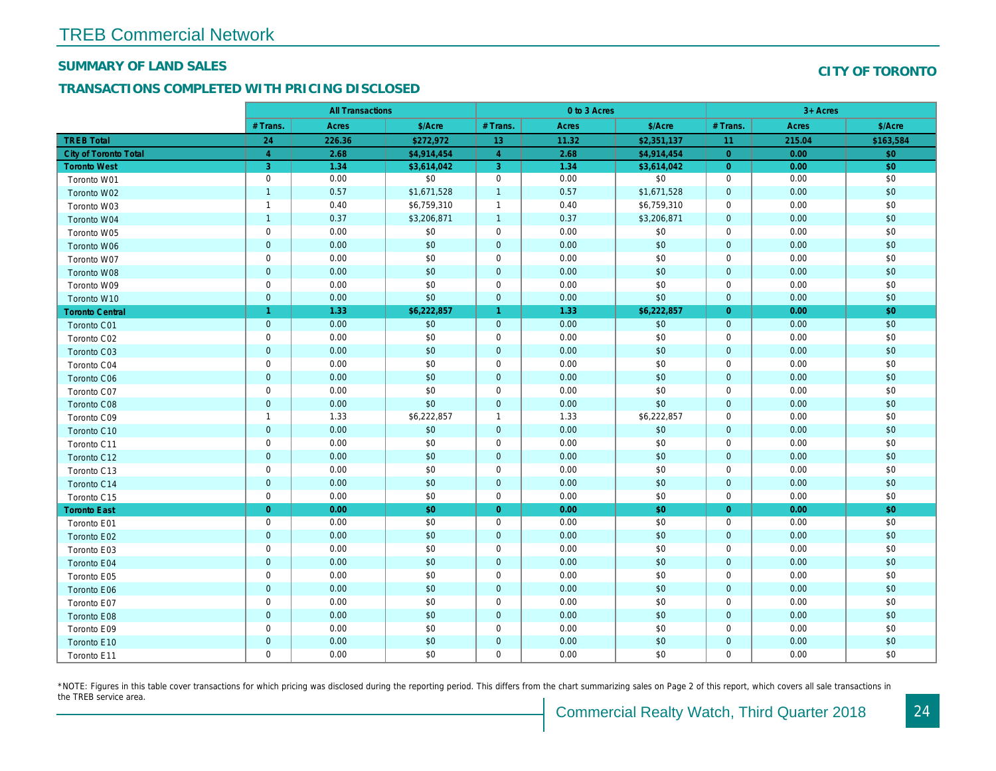#### SUMMARY OF LAND SALES

## TRANSACTIONS COMPLETED WITH PRICING DISCLOSED

|                              |                | <b>All Transactions</b> |             |                | 0 to 3 Acres |             |                |  |
|------------------------------|----------------|-------------------------|-------------|----------------|--------------|-------------|----------------|--|
|                              | # Trans.       | Acres                   | \$/Acre     | # Trans.       | Acres        | \$/Acre     | # Trans.       |  |
| <b>TREB Total</b>            | 24             | 226.36                  | \$272,972   | 13             | 11.32        | \$2,351,137 | 11             |  |
| <b>City of Toronto Total</b> | $\overline{4}$ | 2.68                    | \$4,914,454 | $\overline{4}$ | 2.68         | \$4,914,454 | $\overline{0}$ |  |
| <b>Toronto West</b>          | 3              | 1.34                    | \$3,614,042 | 3              | 1.34         | \$3,614,042 | $\overline{0}$ |  |
| Toronto W01                  | $\mathbf 0$    | 0.00                    | \$0         | $\mathbf 0$    | 0.00         | \$0         | 0              |  |
| Toronto W02                  | $\overline{1}$ | 0.57                    | \$1,671,528 | $\overline{1}$ | 0.57         | \$1,671,528 | $\overline{0}$ |  |
| Toronto W03                  | $\overline{1}$ | 0.40                    | \$6,759,310 | $\mathbf{1}$   | 0.40         | \$6,759,310 | $\mathbf 0$    |  |
| Toronto W04                  | $\overline{1}$ | 0.37                    | \$3,206,871 | $\overline{1}$ | 0.37         | \$3,206,871 | $\mathbf{0}$   |  |
| Toronto W05                  | $\mathbf 0$    | 0.00                    | \$0         | 0              | 0.00         | \$0         | 0              |  |
| Toronto W06                  | $\mathbf 0$    | 0.00                    | \$0         | $\mathbf{0}$   | 0.00         | \$0         | $\overline{0}$ |  |
| Toronto W07                  | $\mathbf 0$    | 0.00                    | \$0         | $\mathbf 0$    | 0.00         | \$0         | $\mathbf 0$    |  |
| Toronto W08                  | $\mathbf 0$    | 0.00                    | \$0         | $\mathbf 0$    | 0.00         | \$0         | $\mathbf 0$    |  |
| Toronto W09                  | $\mathbf 0$    | 0.00                    | \$0         | 0              | 0.00         | \$0         | 0              |  |
| Toronto W10                  | $\mathbf 0$    | 0.00                    | \$0         | $\mathbf 0$    | 0.00         | \$0         | $\overline{0}$ |  |
| <b>Toronto Central</b>       | $\overline{1}$ | 1.33                    | \$6,222,857 | 1              | 1.33         | \$6,222,857 | $\overline{0}$ |  |
| Toronto C01                  | $\mathbf 0$    | 0.00                    | \$0         | $\pmb{0}$      | 0.00         | \$0         | $\mathbf{0}$   |  |
| Toronto C02                  | $\mathbf 0$    | 0.00                    | \$0         | $\mathbf 0$    | 0.00         | \$0         | $\mathbf 0$    |  |
| Toronto C03                  | $\overline{0}$ | 0.00                    | \$0         | $\mathbf 0$    | 0.00         | \$0         | $\mathbf{0}$   |  |
| Toronto C04                  | $\mathbf 0$    | 0.00                    | \$0         | $\mathbf 0$    | 0.00         | \$0         | 0              |  |
| <b>Toronto C06</b>           | $\mathbf 0$    | 0.00                    | \$0         | $\mathbf 0$    | 0.00         | \$0         | $\mathbf{0}$   |  |
| Toronto C07                  | $\mathbf 0$    | 0.00                    | \$0         | $\mathbf 0$    | 0.00         | \$0         | $\mathbf 0$    |  |
| Toronto C08                  | $\overline{0}$ | 0.00                    | \$0         | $\mathbf 0$    | 0.00         | \$0         | $\mathbf{0}$   |  |
| Toronto C09                  | $\overline{1}$ | 1.33                    | \$6,222,857 | $\mathbf{1}$   | 1.33         | \$6,222,857 | $\mathbf 0$    |  |
| Toronto C10                  | $\mathbf{0}$   | 0.00                    | \$0         | $\mathbf{0}$   | 0.00         | \$0         | $\overline{0}$ |  |
| Toronto C11                  | $\mathbf 0$    | 0.00                    | \$0         | $\mathbf 0$    | 0.00         | \$0         | 0              |  |
| Toronto C12                  | $\overline{0}$ | 0.00                    | \$0         | $\mathbf 0$    | 0.00         | \$0         | $\mathbf 0$    |  |
| Toronto C13                  | $\pmb{0}$      | 0.00                    | \$0         | $\mathbf 0$    | 0.00         | \$0         | 0              |  |
| Toronto C14                  | $\mathbf 0$    | 0.00                    | \$0         | $\mathbf{0}$   | 0.00         | \$0         | $\mathbf 0$    |  |
| Toronto C15                  | $\mathbf 0$    | 0.00                    | \$0         | $\pmb{0}$      | 0.00         | \$0         | $\mathbf 0$    |  |
| <b>Toronto East</b>          | $\overline{0}$ | 0.00                    | \$0         | $\overline{0}$ | 0.00         | \$0         | $\overline{0}$ |  |
| Toronto E01                  | $\mathbf 0$    | 0.00                    | \$0         | 0              | 0.00         | \$0         | 0              |  |
| Toronto E02                  | $\mathbf 0$    | 0.00                    | \$0         | $\mathbf 0$    | 0.00         | \$0         | $\mathbf{0}$   |  |
| Toronto E03                  | $\mathbf 0$    | 0.00                    | \$0         | $\mathbf 0$    | 0.00         | \$0         | 0              |  |
| Toronto E04                  | $\mathbf 0$    | 0.00                    | \$0         | $\mathbf 0$    | 0.00         | \$0         | $\mathbf 0$    |  |
| Toronto E05                  | $\mathbf 0$    | 0.00                    | \$0         | $\mathbf 0$    | 0.00         | \$0         | $\mathbf 0$    |  |
| Toronto E06                  | $\mathbf 0$    | 0.00                    | \$0         | $\mathbf 0$    | 0.00         | \$0         | $\mathbf{0}$   |  |
| Toronto E07                  | $\mathbf 0$    | 0.00                    | \$0         | $\mathbf 0$    | 0.00         | \$0         | 0              |  |
| Toronto E08                  | $\mathbf 0$    | 0.00                    | \$0         | $\mathbf{0}$   | 0.00         | \$0         | $\mathbf{0}$   |  |
| Toronto E09                  | $\mathbf 0$    | 0.00                    | \$0         | $\mathbf 0$    | 0.00         | \$0         | $\mathbf 0$    |  |
| Toronto E10                  | $\mathbf 0$    | 0.00                    | \$0         | $\mathbf 0$    | 0.00         | \$0         | $\mathbf 0$    |  |
| Toronto E11                  | $\mathbf 0$    | 0.00                    | \$0         | $\mathbf 0$    | 0.00         | \$0         | $\mathbf 0$    |  |